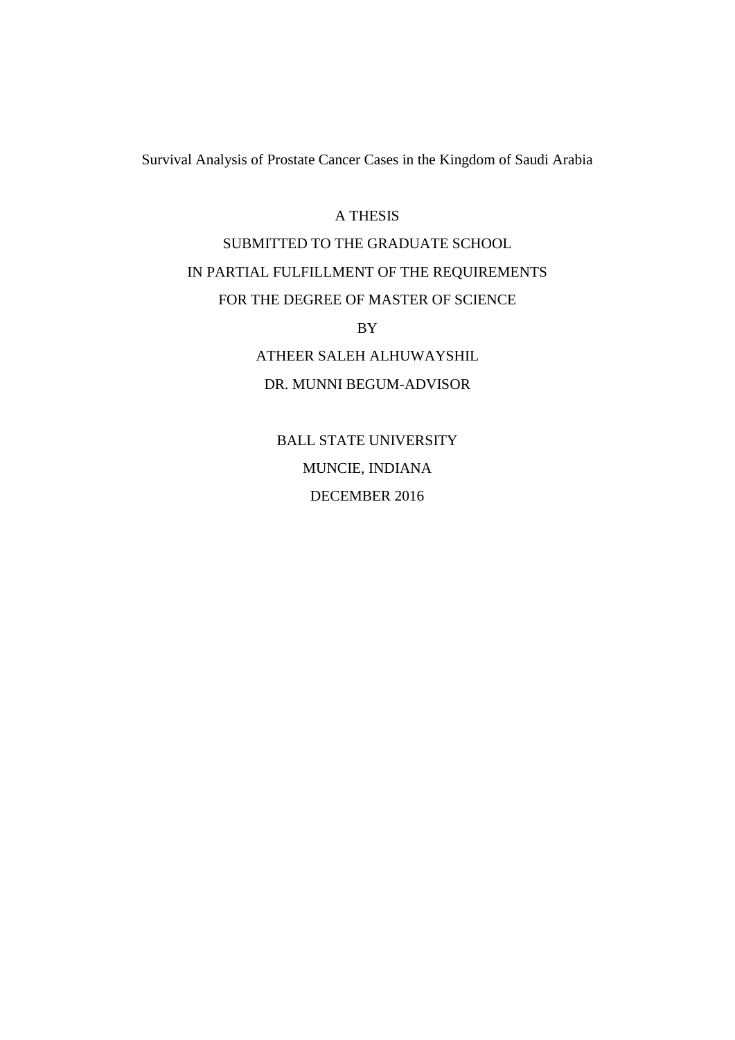Survival Analysis of Prostate Cancer Cases in the Kingdom of Saudi Arabia

#### A THESIS

## SUBMITTED TO THE GRADUATE SCHOOL IN PARTIAL FULFILLMENT OF THE REQUIREMENTS FOR THE DEGREE OF MASTER OF SCIENCE

BY

ATHEER SALEH ALHUWAYSHIL DR. MUNNI BEGUM-ADVISOR

BALL STATE UNIVERSITY MUNCIE, INDIANA DECEMBER 2016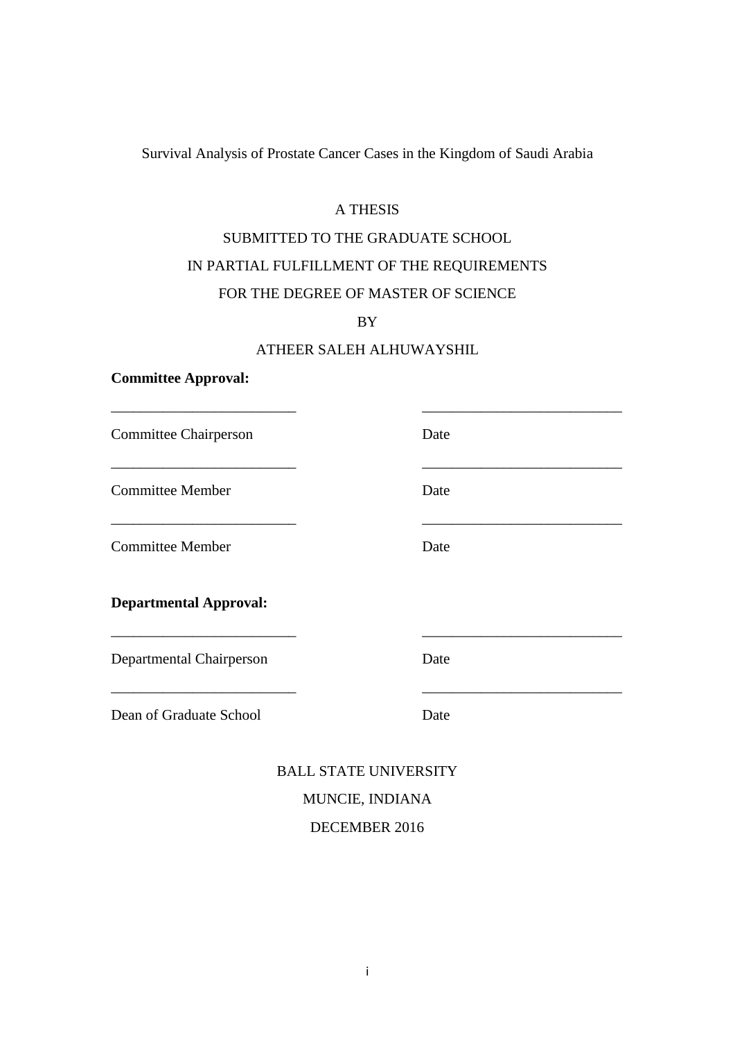Survival Analysis of Prostate Cancer Cases in the Kingdom of Saudi Arabia

#### A THESIS

### SUBMITTED TO THE GRADUATE SCHOOL IN PARTIAL FULFILLMENT OF THE REQUIREMENTS FOR THE DEGREE OF MASTER OF SCIENCE

BY

#### ATHEER SALEH ALHUWAYSHIL

\_\_\_\_\_\_\_\_\_\_\_\_\_\_\_\_\_\_\_\_\_\_\_\_\_ \_\_\_\_\_\_\_\_\_\_\_\_\_\_\_\_\_\_\_\_\_\_\_\_\_\_\_

\_\_\_\_\_\_\_\_\_\_\_\_\_\_\_\_\_\_\_\_\_\_\_\_\_ \_\_\_\_\_\_\_\_\_\_\_\_\_\_\_\_\_\_\_\_\_\_\_\_\_\_\_

\_\_\_\_\_\_\_\_\_\_\_\_\_\_\_\_\_\_\_\_\_\_\_\_\_ \_\_\_\_\_\_\_\_\_\_\_\_\_\_\_\_\_\_\_\_\_\_\_\_\_\_\_

\_\_\_\_\_\_\_\_\_\_\_\_\_\_\_\_\_\_\_\_\_\_\_\_\_ \_\_\_\_\_\_\_\_\_\_\_\_\_\_\_\_\_\_\_\_\_\_\_\_\_\_\_

\_\_\_\_\_\_\_\_\_\_\_\_\_\_\_\_\_\_\_\_\_\_\_\_\_ \_\_\_\_\_\_\_\_\_\_\_\_\_\_\_\_\_\_\_\_\_\_\_\_\_\_\_

#### **Committee Approval:**

Committee Chairperson Date

Committee Member Date

**Committee Member Date** 

**Departmental Approval:**

Departmental Chairperson Date

Dean of Graduate School Date

BALL STATE UNIVERSITY MUNCIE, INDIANA DECEMBER 2016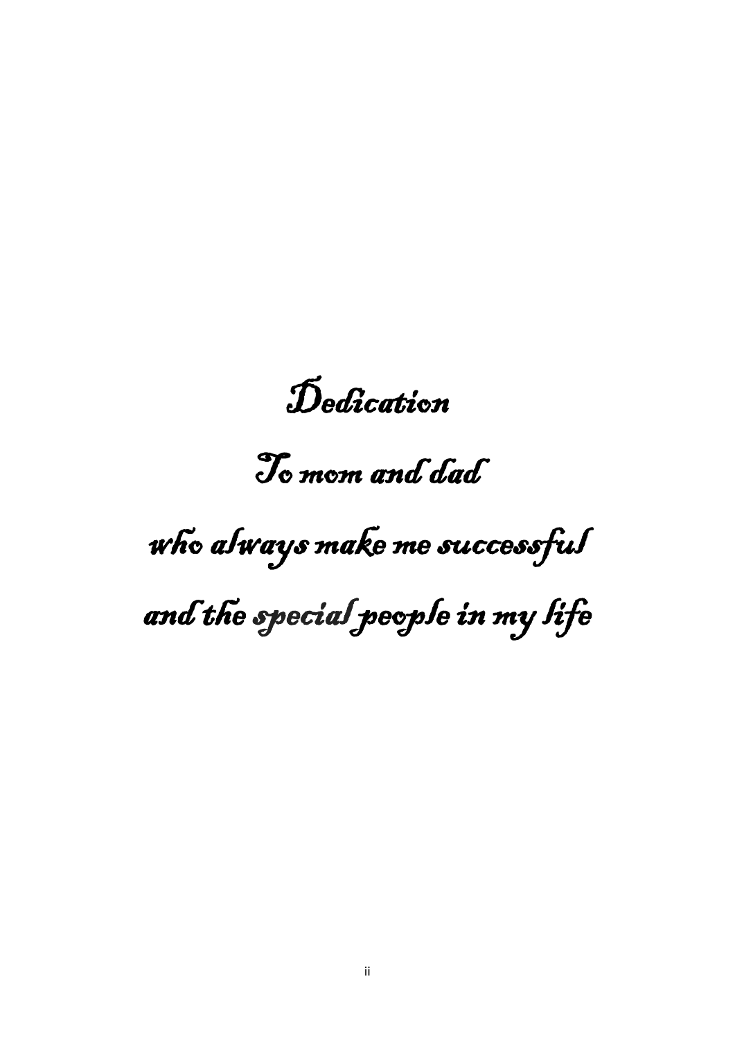Dedication

To mom and dad

# who always make me successful

and the special people in my life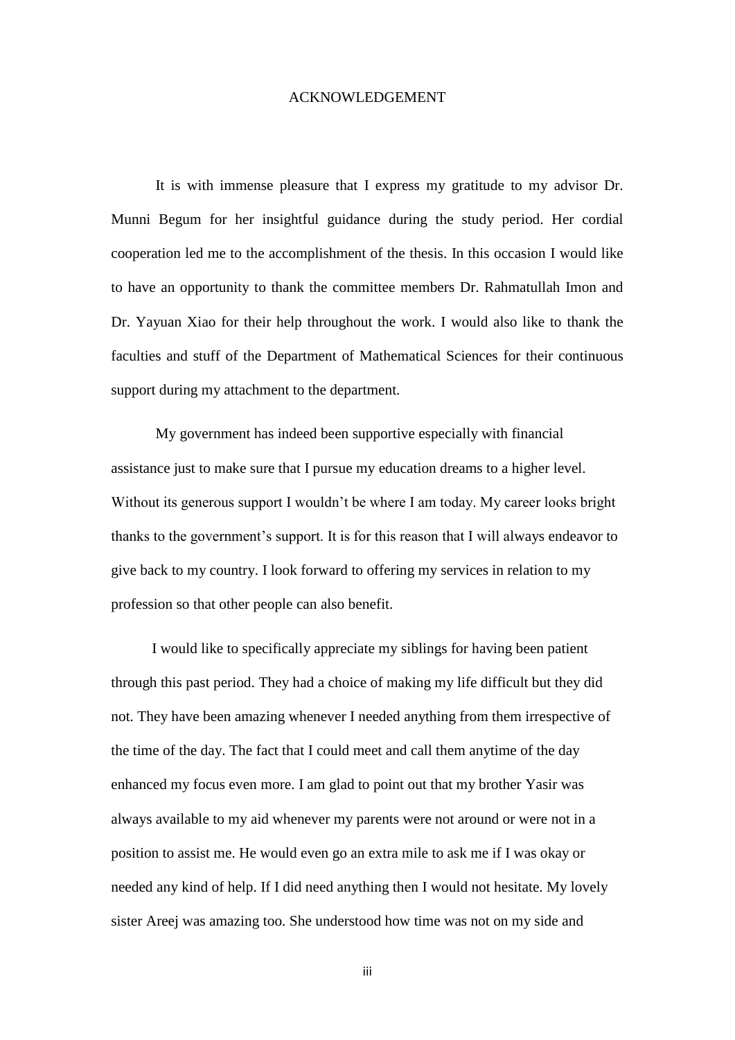#### ACKNOWLEDGEMENT

It is with immense pleasure that I express my gratitude to my advisor Dr. Munni Begum for her insightful guidance during the study period. Her cordial cooperation led me to the accomplishment of the thesis. In this occasion I would like to have an opportunity to thank the committee members Dr. Rahmatullah Imon and Dr. Yayuan Xiao for their help throughout the work. I would also like to thank the faculties and stuff of the Department of Mathematical Sciences for their continuous support during my attachment to the department.

 My government has indeed been supportive especially with financial assistance just to make sure that I pursue my education dreams to a higher level. Without its generous support I wouldn't be where I am today. My career looks bright thanks to the government's support. It is for this reason that I will always endeavor to give back to my country. I look forward to offering my services in relation to my profession so that other people can also benefit.

 I would like to specifically appreciate my siblings for having been patient through this past period. They had a choice of making my life difficult but they did not. They have been amazing whenever I needed anything from them irrespective of the time of the day. The fact that I could meet and call them anytime of the day enhanced my focus even more. I am glad to point out that my brother Yasir was always available to my aid whenever my parents were not around or were not in a position to assist me. He would even go an extra mile to ask me if I was okay or needed any kind of help. If I did need anything then I would not hesitate. My lovely sister Areej was amazing too. She understood how time was not on my side and

iii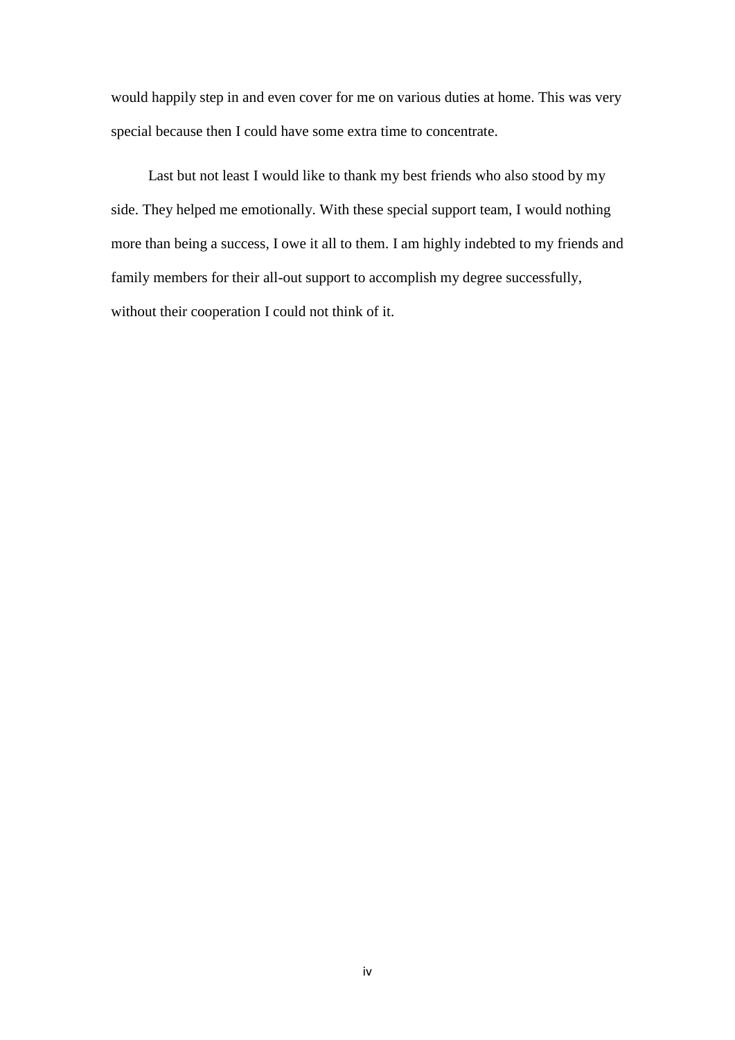would happily step in and even cover for me on various duties at home. This was very special because then I could have some extra time to concentrate.

 Last but not least I would like to thank my best friends who also stood by my side. They helped me emotionally. With these special support team, I would nothing more than being a success, I owe it all to them. I am highly indebted to my friends and family members for their all-out support to accomplish my degree successfully, without their cooperation I could not think of it.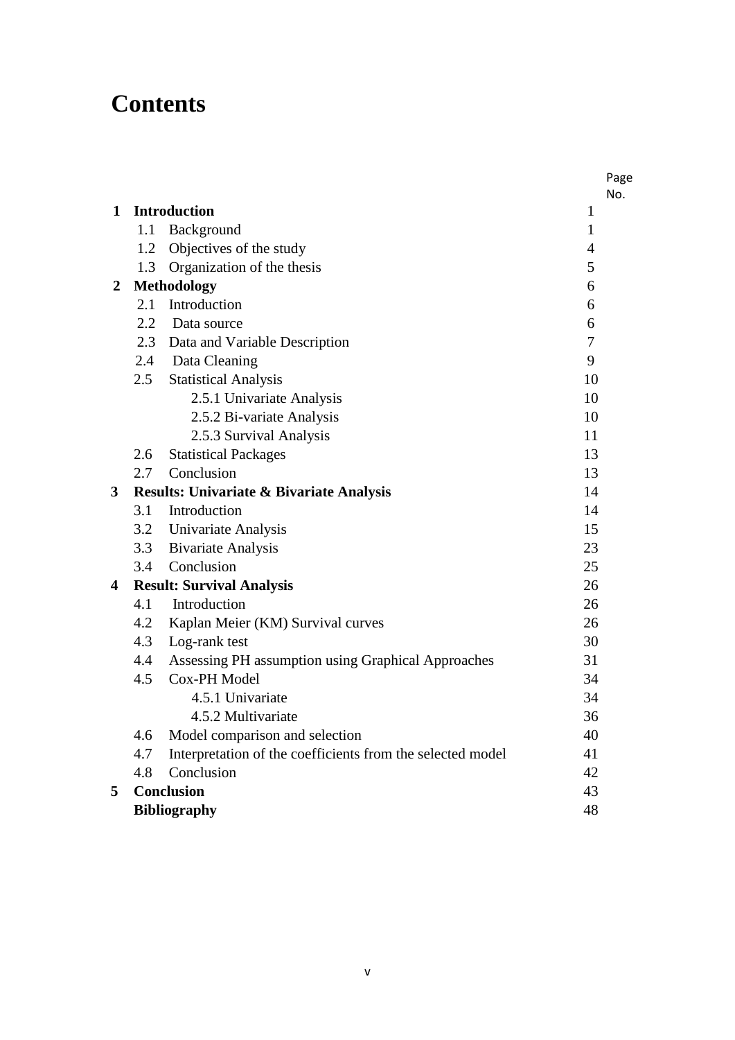# **Contents**

|                         |         |                                                            |              | Page |
|-------------------------|---------|------------------------------------------------------------|--------------|------|
| $\mathbf 1$             |         | <b>Introduction</b>                                        | $\mathbf{1}$ | No.  |
|                         | 1.1     | Background                                                 | $\mathbf{1}$ |      |
|                         | 1.2     | Objectives of the study                                    | 4            |      |
|                         | 1.3     | Organization of the thesis                                 | 5            |      |
| 2                       |         | <b>Methodology</b>                                         | 6            |      |
|                         | 2.1     | Introduction                                               | 6            |      |
|                         | $2.2\,$ | Data source                                                | 6            |      |
|                         |         | 2.3 Data and Variable Description                          | 7            |      |
|                         |         | 2.4 Data Cleaning                                          | 9            |      |
|                         | 2.5     | <b>Statistical Analysis</b>                                | 10           |      |
|                         |         | 2.5.1 Univariate Analysis                                  | 10           |      |
|                         |         | 2.5.2 Bi-variate Analysis                                  | 10           |      |
|                         |         | 2.5.3 Survival Analysis                                    | 11           |      |
|                         | 2.6     | <b>Statistical Packages</b>                                | 13           |      |
|                         | 2.7     | Conclusion                                                 | 13           |      |
| 3                       |         | <b>Results: Univariate &amp; Bivariate Analysis</b>        | 14           |      |
|                         |         | 3.1 Introduction                                           | 14           |      |
|                         |         | 3.2 Univariate Analysis                                    | 15           |      |
|                         | 3.3     | <b>Bivariate Analysis</b>                                  | 23           |      |
|                         | 3.4     | Conclusion                                                 | 25           |      |
| $\overline{\mathbf{4}}$ |         | <b>Result: Survival Analysis</b>                           | 26           |      |
|                         | 4.1     | Introduction                                               | 26           |      |
|                         | 4.2     | Kaplan Meier (KM) Survival curves                          | 26           |      |
|                         | 4.3     | Log-rank test                                              | 30           |      |
|                         | 4.4     | Assessing PH assumption using Graphical Approaches         | 31           |      |
|                         | 4.5     | Cox-PH Model                                               | 34           |      |
|                         |         | 4.5.1 Univariate                                           | 34           |      |
|                         |         | 4.5.2 Multivariate                                         | 36           |      |
|                         | 4.6     | Model comparison and selection                             | 40           |      |
|                         | 4.7     | Interpretation of the coefficients from the selected model | 41           |      |
|                         | 4.8     | Conclusion                                                 | 42           |      |
| 5                       |         | <b>Conclusion</b>                                          | 43           |      |
|                         |         | <b>Bibliography</b>                                        | 48           |      |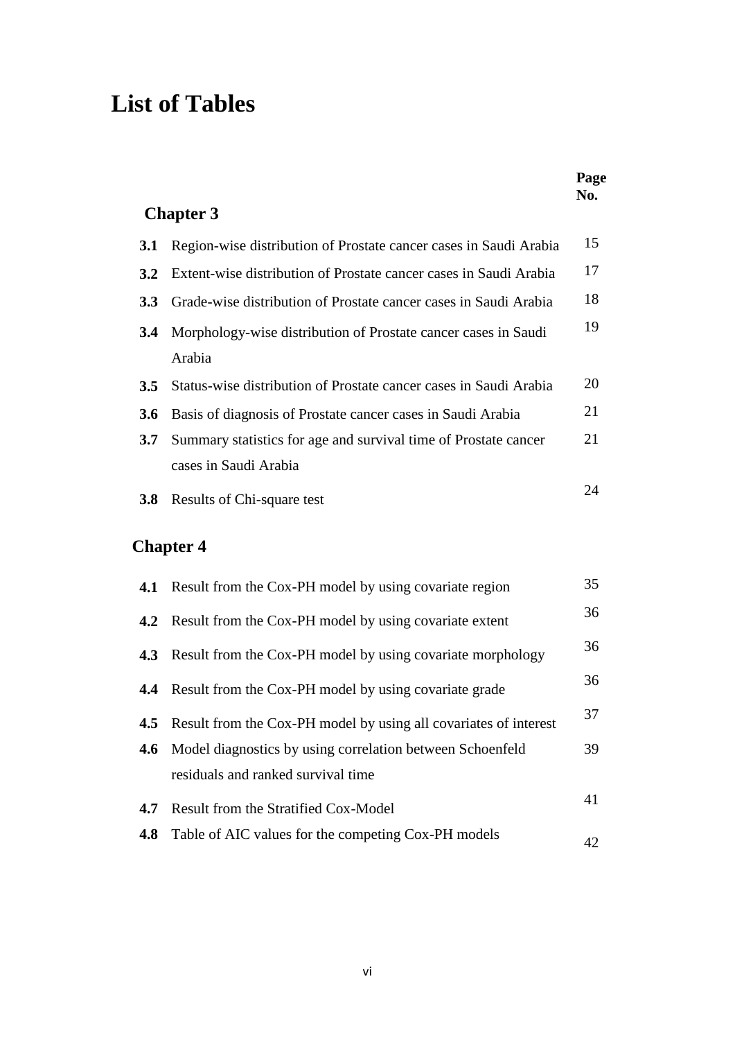# **List of Tables**

|                  |                                                                   | Page<br>No. |
|------------------|-------------------------------------------------------------------|-------------|
|                  | <b>Chapter 3</b>                                                  |             |
| <b>3.1</b>       | Region-wise distribution of Prostate cancer cases in Saudi Arabia | 15          |
| $3.2^{\circ}$    | Extent-wise distribution of Prostate cancer cases in Saudi Arabia | 17          |
| <b>3.3</b>       | Grade-wise distribution of Prostate cancer cases in Saudi Arabia  | 18          |
| 3.4              | Morphology-wise distribution of Prostate cancer cases in Saudi    | 19          |
|                  | Arabia                                                            |             |
| $3.5^{\circ}$    | Status-wise distribution of Prostate cancer cases in Saudi Arabia | 20          |
| <b>3.6</b>       | Basis of diagnosis of Prostate cancer cases in Saudi Arabia       | 21          |
| 3.7              | Summary statistics for age and survival time of Prostate cancer   | 21          |
|                  | cases in Saudi Arabia                                             |             |
| 3.8 <sub>1</sub> | Results of Chi-square test                                        | 24          |
|                  |                                                                   |             |

### **Chapter 4**

|     | <b>4.1</b> Result from the Cox-PH model by using covariate region     | 35 |
|-----|-----------------------------------------------------------------------|----|
|     | <b>4.2</b> Result from the Cox-PH model by using covariate extent     | 36 |
|     | <b>4.3</b> Result from the Cox-PH model by using covariate morphology | 36 |
|     | <b>4.4</b> Result from the Cox-PH model by using covariate grade      | 36 |
| 4.5 | Result from the Cox-PH model by using all covariates of interest      | 37 |
|     | <b>4.6</b> Model diagnostics by using correlation between Schoenfeld  | 39 |
|     | residuals and ranked survival time                                    |    |
| 4.7 | Result from the Stratified Cox-Model                                  | 41 |
| 4.8 | Table of AIC values for the competing Cox-PH models                   | 42 |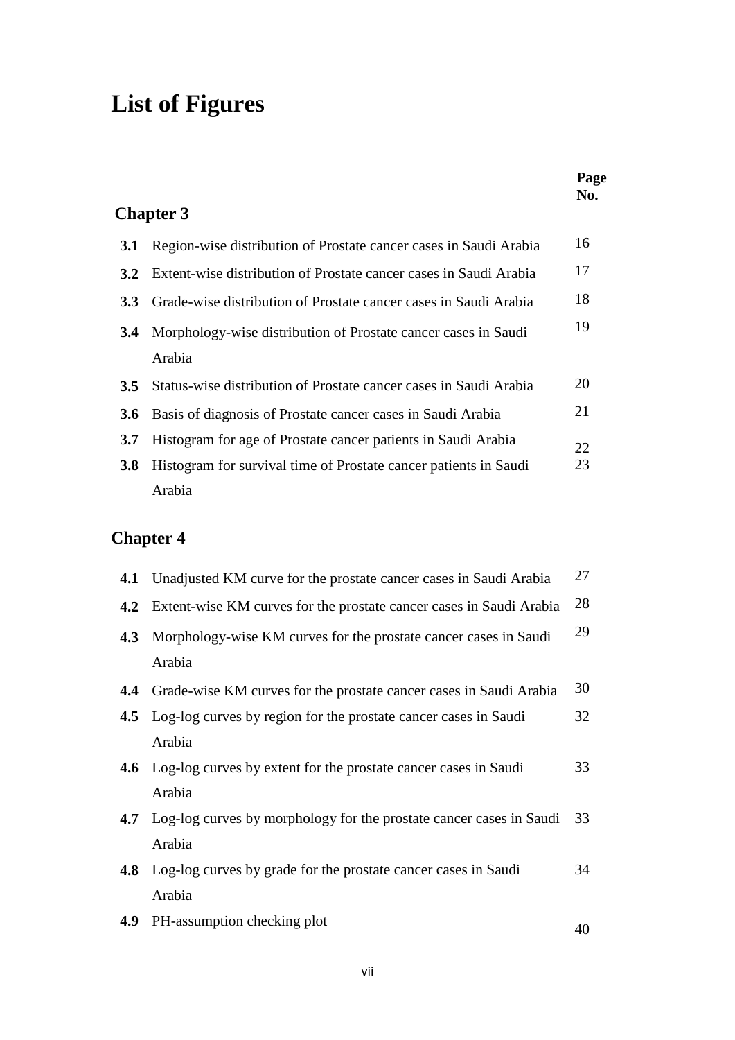# **List of Figures**

|     |                                                                          | Page<br>No. |
|-----|--------------------------------------------------------------------------|-------------|
|     | <b>Chapter 3</b>                                                         |             |
| 3.1 | Region-wise distribution of Prostate cancer cases in Saudi Arabia        | 16          |
| 3.2 | Extent-wise distribution of Prostate cancer cases in Saudi Arabia        | 17          |
| 3.3 | Grade-wise distribution of Prostate cancer cases in Saudi Arabia         | 18          |
| 3.4 | Morphology-wise distribution of Prostate cancer cases in Saudi<br>Arabia | 19          |
| 3.5 | Status-wise distribution of Prostate cancer cases in Saudi Arabia        | 20          |
| 3.6 | Basis of diagnosis of Prostate cancer cases in Saudi Arabia              | 21          |
| 3.7 | Histogram for age of Prostate cancer patients in Saudi Arabia            | 22          |
| 3.8 | Histogram for survival time of Prostate cancer patients in Saudi         | 23          |
|     | Arabia                                                                   |             |
|     | <b>Chapter 4</b>                                                         |             |
| 4.1 | Unadjusted KM curve for the prostate cancer cases in Saudi Arabia        | 27          |
| 4.2 | Extent-wise KM curves for the prostate cancer cases in Saudi Arabia      | 28          |
| 4.3 | Morphology-wise KM curves for the prostate cancer cases in Saudi         | 29          |
|     | Arabia                                                                   |             |
| 4.4 | Grade-wise KM curves for the prostate cancer cases in Saudi Arabia       | 30          |
| 4.5 | Log-log curves by region for the prostate cancer cases in Saudi          | 32          |
|     | Arabia                                                                   |             |
| 4.6 | Log-log curves by extent for the prostate cancer cases in Saudi          | 33          |
|     | Arabia                                                                   |             |
| 4.7 | Log-log curves by morphology for the prostate cancer cases in Saudi      | 33          |
|     | Arabia                                                                   |             |
| 4.8 | Log-log curves by grade for the prostate cancer cases in Saudi<br>Arabia | 34          |
| 4.9 | PH-assumption checking plot                                              |             |
|     |                                                                          | 40          |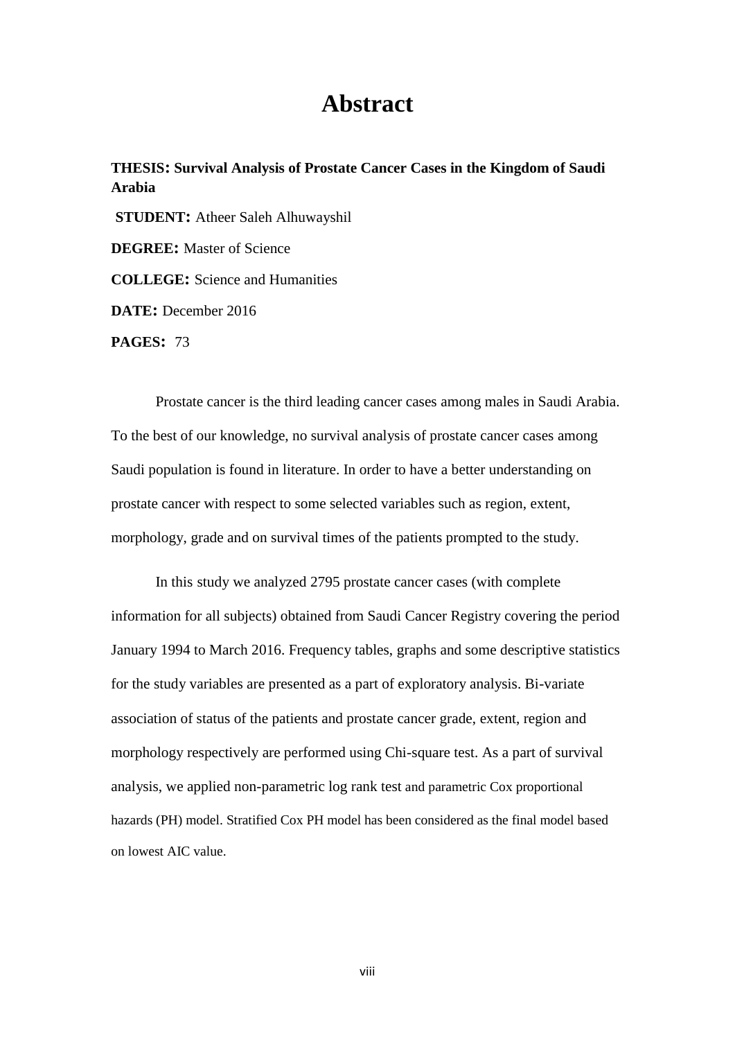### **Abstract**

**THESIS: Survival Analysis of Prostate Cancer Cases in the Kingdom of Saudi Arabia STUDENT:** Atheer Saleh Alhuwayshil **DEGREE:** Master of Science **COLLEGE:** Science and Humanities **DATE:** December 2016 **PAGES:** 73

Prostate cancer is the third leading cancer cases among males in Saudi Arabia. To the best of our knowledge, no survival analysis of prostate cancer cases among Saudi population is found in literature. In order to have a better understanding on prostate cancer with respect to some selected variables such as region, extent, morphology, grade and on survival times of the patients prompted to the study.

In this study we analyzed 2795 prostate cancer cases (with complete information for all subjects) obtained from Saudi Cancer Registry covering the period January 1994 to March 2016. Frequency tables, graphs and some descriptive statistics for the study variables are presented as a part of exploratory analysis. Bi-variate association of status of the patients and prostate cancer grade, extent, region and morphology respectively are performed using Chi-square test. As a part of survival analysis, we applied non-parametric log rank test and parametric Cox proportional hazards (PH) model. Stratified Cox PH model has been considered as the final model based on lowest AIC value.

viii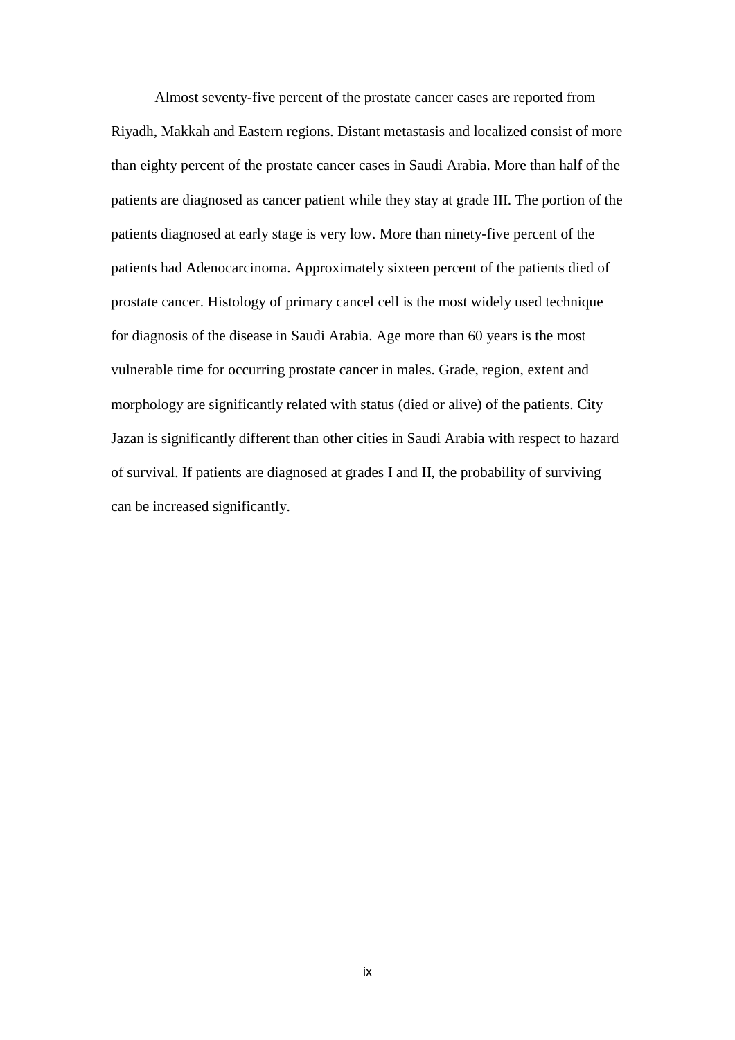Almost seventy-five percent of the prostate cancer cases are reported from Riyadh, Makkah and Eastern regions. Distant metastasis and localized consist of more than eighty percent of the prostate cancer cases in Saudi Arabia. More than half of the patients are diagnosed as cancer patient while they stay at grade III. The portion of the patients diagnosed at early stage is very low. More than ninety-five percent of the patients had Adenocarcinoma. Approximately sixteen percent of the patients died of prostate cancer. Histology of primary cancel cell is the most widely used technique for diagnosis of the disease in Saudi Arabia. Age more than 60 years is the most vulnerable time for occurring prostate cancer in males. Grade, region, extent and morphology are significantly related with status (died or alive) of the patients. City Jazan is significantly different than other cities in Saudi Arabia with respect to hazard of survival. If patients are diagnosed at grades I and II, the probability of surviving can be increased significantly.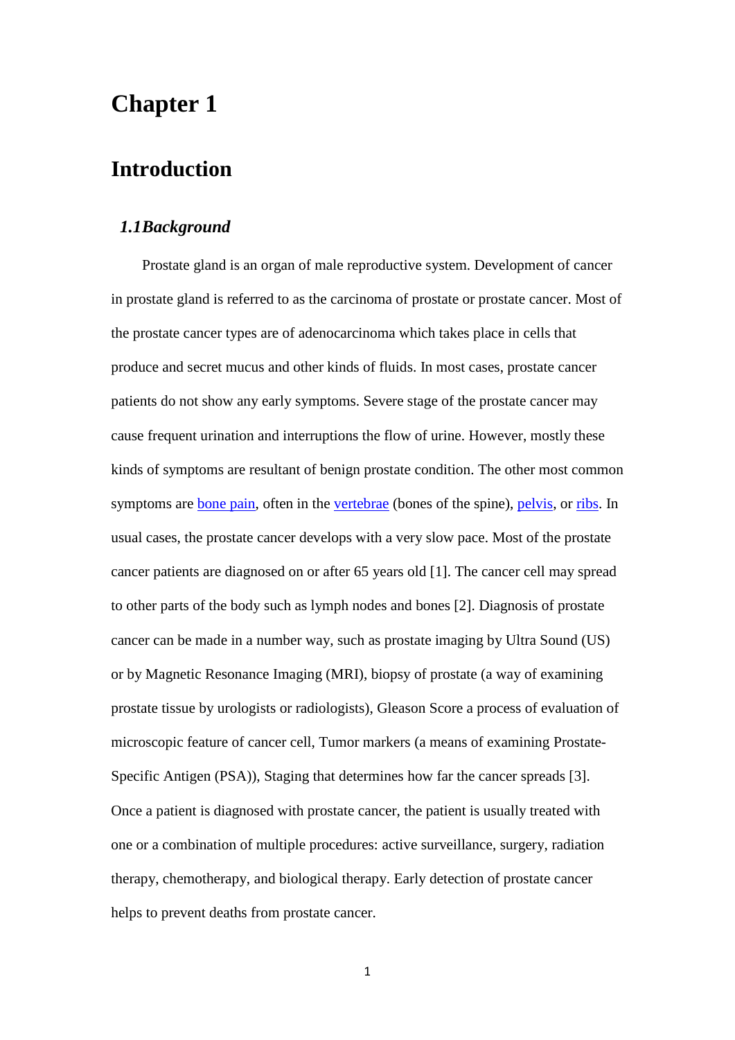### **Chapter 1**

### **Introduction**

#### *1.1Background*

Prostate gland is an organ of male reproductive system. Development of cancer in prostate gland is referred to as the carcinoma of prostate or prostate cancer. Most of the prostate cancer types are of adenocarcinoma which takes place in cells that produce and secret mucus and other kinds of fluids. In most cases, prostate cancer patients do not show any early symptoms. Severe stage of the prostate cancer may cause frequent urination and interruptions the flow of urine. However, mostly these kinds of symptoms are resultant of benign prostate condition. The other most common symptoms are <u>bone pain</u>, often in the [vertebrae](https://en.wikipedia.org/wiki/Vertebrae) (bones of the spine), [pelvis,](https://en.wikipedia.org/wiki/Pelvis) or [ribs.](https://en.wikipedia.org/wiki/Rib) In usual cases, the prostate cancer develops with a very slow pace. Most of the prostate cancer patients are diagnosed on or after 65 years old [1]. The cancer cell may spread to other parts of the body such as lymph nodes and bones [2]. Diagnosis of prostate cancer can be made in a number way, such as prostate imaging by Ultra Sound (US) or by Magnetic Resonance Imaging (MRI), biopsy of prostate (a way of examining prostate tissue by urologists or radiologists), Gleason Score a process of evaluation of microscopic feature of cancer cell, Tumor markers (a means of examining Prostate-Specific Antigen (PSA)), Staging that determines how far the cancer spreads [3]. Once a patient is diagnosed with prostate cancer, the patient is usually treated with one or a combination of multiple procedures: active surveillance, surgery, radiation therapy, chemotherapy, and biological therapy. Early detection of prostate cancer helps to prevent deaths from prostate cancer.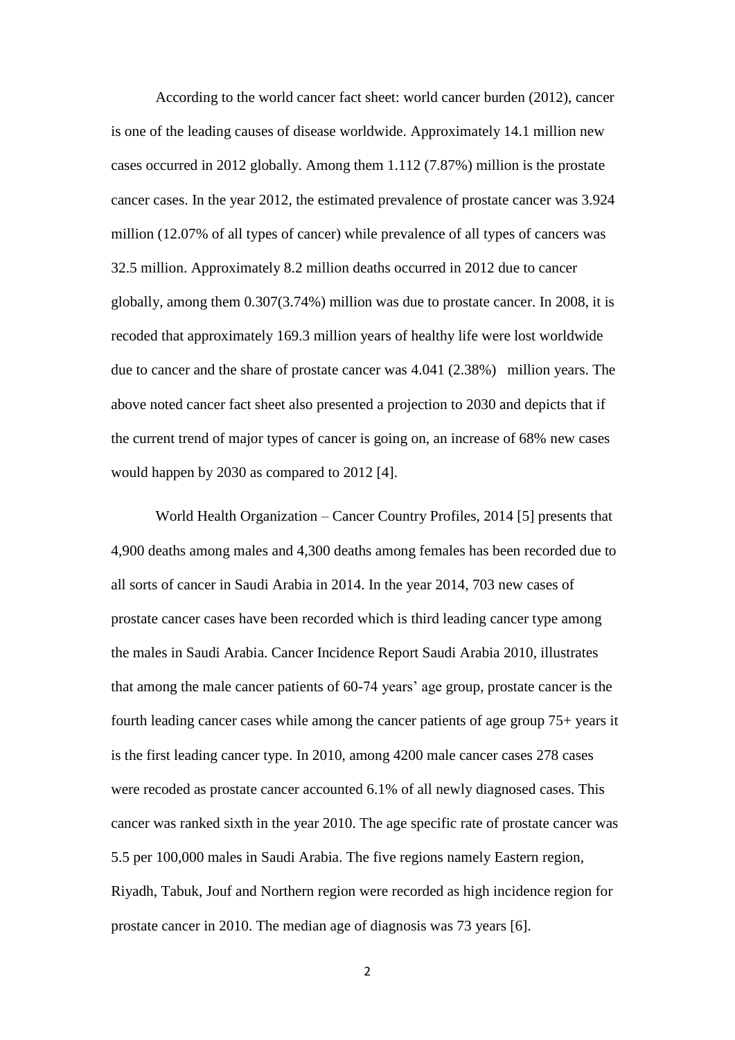According to the world cancer fact sheet: world cancer burden (2012), cancer is one of the leading causes of disease worldwide. Approximately 14.1 million new cases occurred in 2012 globally. Among them 1.112 (7.87%) million is the prostate cancer cases. In the year 2012, the estimated prevalence of prostate cancer was 3.924 million (12.07% of all types of cancer) while prevalence of all types of cancers was 32.5 million. Approximately 8.2 million deaths occurred in 2012 due to cancer globally, among them 0.307(3.74%) million was due to prostate cancer. In 2008, it is recoded that approximately 169.3 million years of healthy life were lost worldwide due to cancer and the share of prostate cancer was 4.041 (2.38%) million years. The above noted cancer fact sheet also presented a projection to 2030 and depicts that if the current trend of major types of cancer is going on, an increase of 68% new cases would happen by 2030 as compared to 2012 [4].

World Health Organization – Cancer Country Profiles, 2014 [5] presents that 4,900 deaths among males and 4,300 deaths among females has been recorded due to all sorts of cancer in Saudi Arabia in 2014. In the year 2014, 703 new cases of prostate cancer cases have been recorded which is third leading cancer type among the males in Saudi Arabia. Cancer Incidence Report Saudi Arabia 2010, illustrates that among the male cancer patients of 60-74 years' age group, prostate cancer is the fourth leading cancer cases while among the cancer patients of age group 75+ years it is the first leading cancer type. In 2010, among 4200 male cancer cases 278 cases were recoded as prostate cancer accounted 6.1% of all newly diagnosed cases. This cancer was ranked sixth in the year 2010. The age specific rate of prostate cancer was 5.5 per 100,000 males in Saudi Arabia. The five regions namely Eastern region, Riyadh, Tabuk, Jouf and Northern region were recorded as high incidence region for prostate cancer in 2010. The median age of diagnosis was 73 years [6].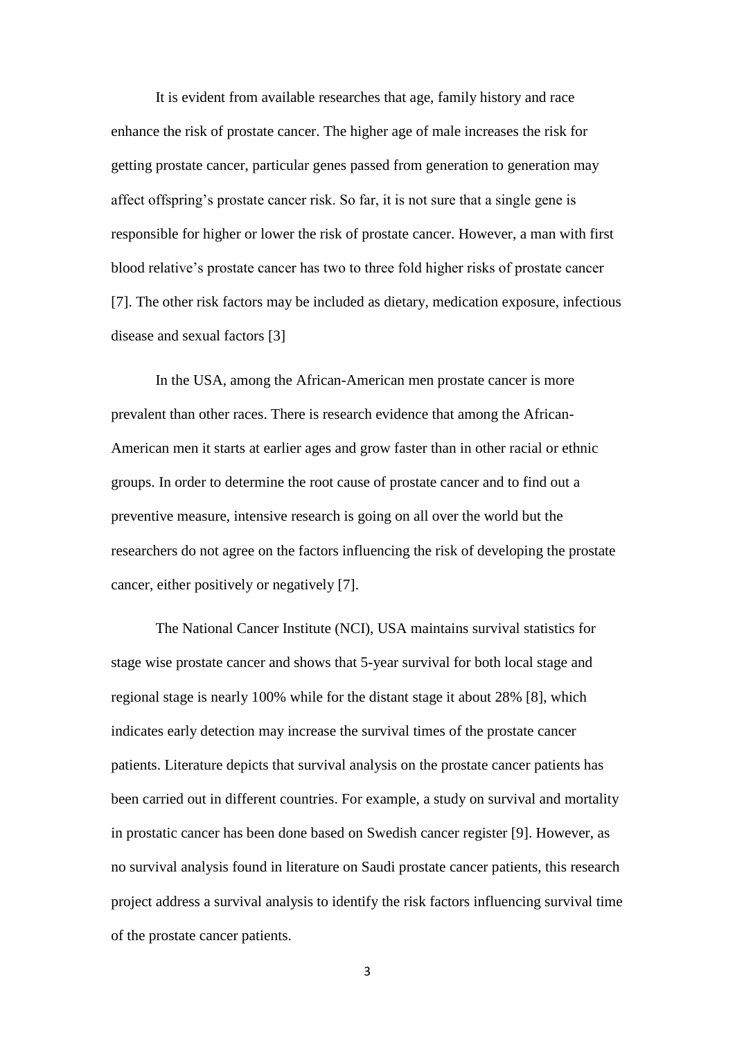It is evident from available researches that age, family history and race enhance the risk of prostate cancer. The higher age of male increases the risk for getting prostate cancer, particular genes passed from generation to generation may affect offspring's prostate cancer risk. So far, it is not sure that a single gene is responsible for higher or lower the risk of prostate cancer. However, a man with first blood relative's prostate cancer has two to three fold higher risks of prostate cancer [7]. The other risk factors may be included as dietary, medication exposure, infectious disease and sexual factors [3]

 In the USA, among the African-American men prostate cancer is more prevalent than other races. There is research evidence that among the African-American men it starts at earlier ages and grow faster than in other racial or ethnic groups. In order to determine the root cause of prostate cancer and to find out a preventive measure, intensive research is going on all over the world but the researchers do not agree on the factors influencing the risk of developing the prostate cancer, either positively or negatively [7].

The National Cancer Institute (NCI), USA maintains survival statistics for stage wise prostate cancer and shows that 5-year survival for both local stage and regional stage is nearly 100% while for the distant stage it about 28% [8], which indicates early detection may increase the survival times of the prostate cancer patients. Literature depicts that survival analysis on the prostate cancer patients has been carried out in different countries. For example, a study on survival and mortality in prostatic cancer has been done based on Swedish cancer register [9]. However, as no survival analysis found in literature on Saudi prostate cancer patients, this research project address a survival analysis to identify the risk factors influencing survival time of the prostate cancer patients.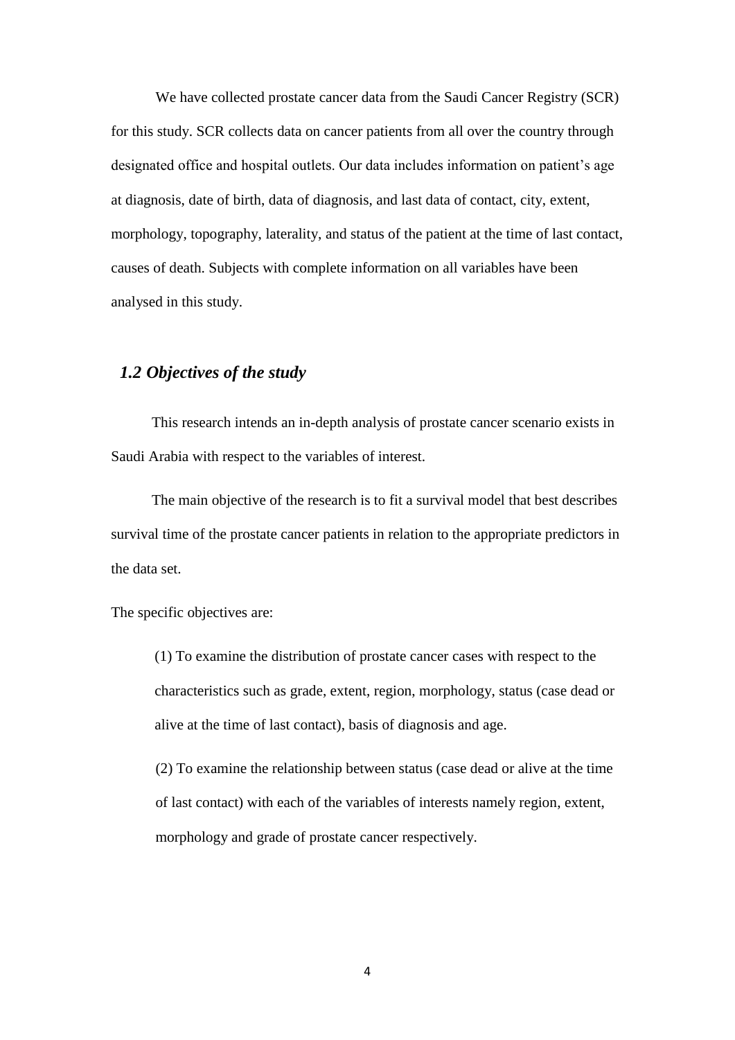We have collected prostate cancer data from the Saudi Cancer Registry (SCR) for this study. SCR collects data on cancer patients from all over the country through designated office and hospital outlets. Our data includes information on patient's age at diagnosis, date of birth, data of diagnosis, and last data of contact, city, extent, morphology, topography, laterality, and status of the patient at the time of last contact, causes of death. Subjects with complete information on all variables have been analysed in this study.

#### *1.2 Objectives of the study*

 This research intends an in-depth analysis of prostate cancer scenario exists in Saudi Arabia with respect to the variables of interest.

 The main objective of the research is to fit a survival model that best describes survival time of the prostate cancer patients in relation to the appropriate predictors in the data set.

The specific objectives are:

(1) To examine the distribution of prostate cancer cases with respect to the characteristics such as grade, extent, region, morphology, status (case dead or alive at the time of last contact), basis of diagnosis and age.

(2) To examine the relationship between status (case dead or alive at the time of last contact) with each of the variables of interests namely region, extent, morphology and grade of prostate cancer respectively.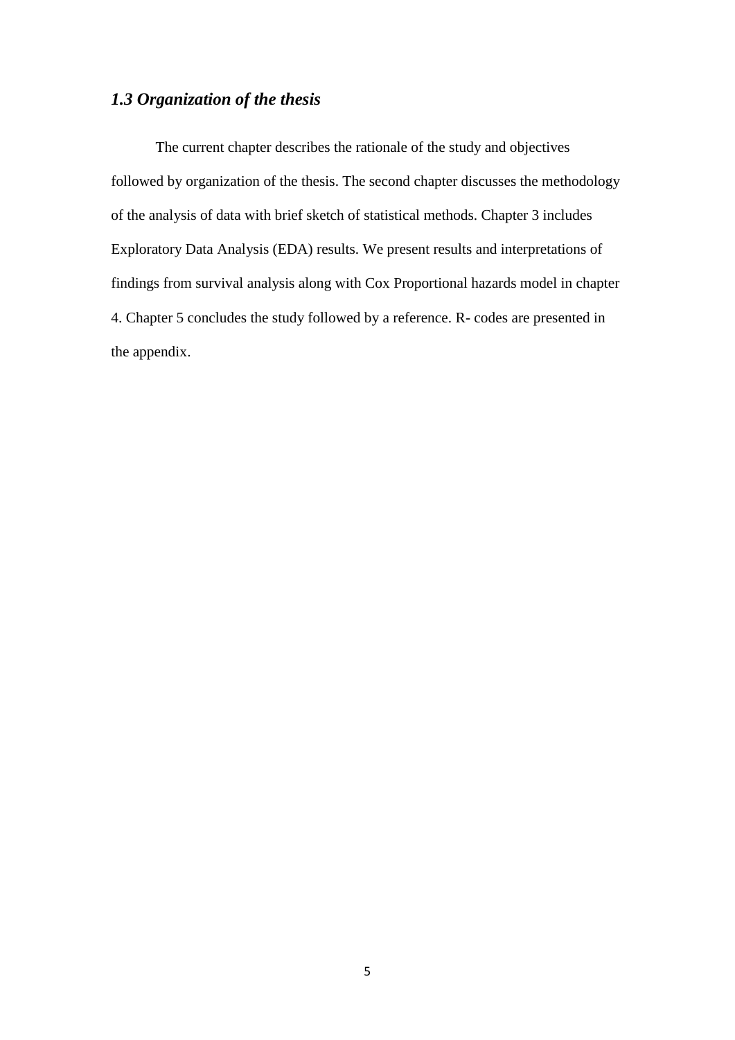#### *1.3 Organization of the thesis*

The current chapter describes the rationale of the study and objectives followed by organization of the thesis. The second chapter discusses the methodology of the analysis of data with brief sketch of statistical methods. Chapter 3 includes Exploratory Data Analysis (EDA) results. We present results and interpretations of findings from survival analysis along with Cox Proportional hazards model in chapter 4. Chapter 5 concludes the study followed by a reference. R- codes are presented in the appendix.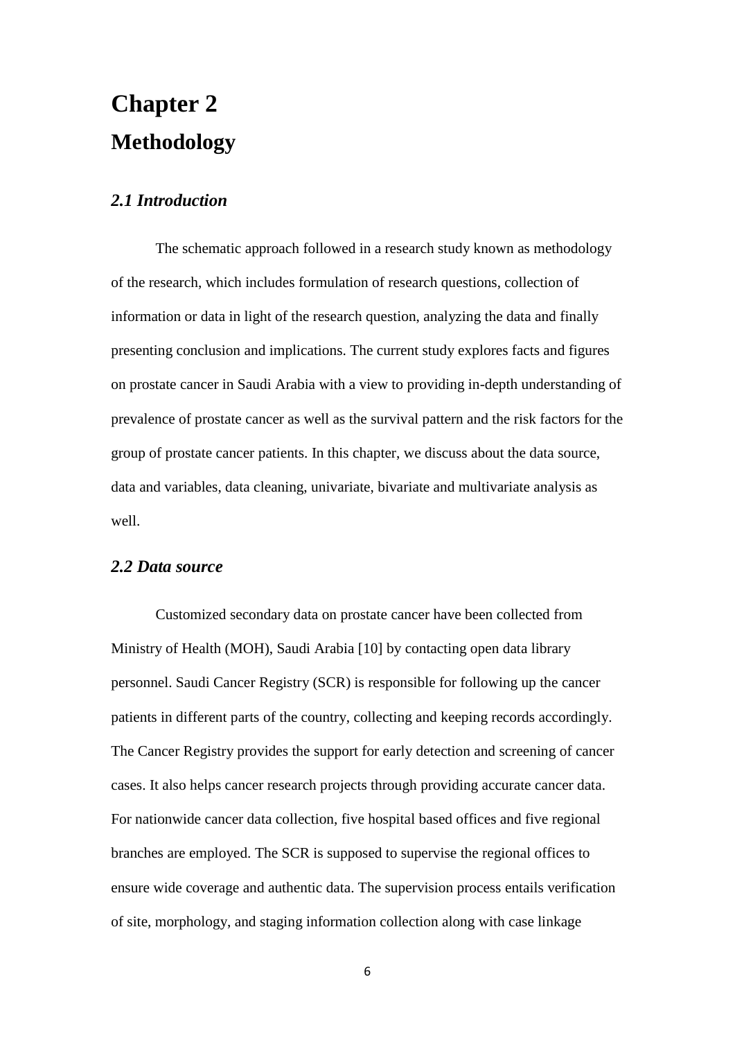# **Chapter 2 Methodology**

#### *2.1 Introduction*

The schematic approach followed in a research study known as methodology of the research, which includes formulation of research questions, collection of information or data in light of the research question, analyzing the data and finally presenting conclusion and implications. The current study explores facts and figures on prostate cancer in Saudi Arabia with a view to providing in-depth understanding of prevalence of prostate cancer as well as the survival pattern and the risk factors for the group of prostate cancer patients. In this chapter, we discuss about the data source, data and variables, data cleaning, univariate, bivariate and multivariate analysis as well.

#### *2.2 Data source*

Customized secondary data on prostate cancer have been collected from Ministry of Health (MOH), Saudi Arabia [10] by contacting open data library personnel. Saudi Cancer Registry (SCR) is responsible for following up the cancer patients in different parts of the country, collecting and keeping records accordingly. The Cancer Registry provides the support for early detection and screening of cancer cases. It also helps cancer research projects through providing accurate cancer data. For nationwide cancer data collection, five hospital based offices and five regional branches are employed. The SCR is supposed to supervise the regional offices to ensure wide coverage and authentic data. The supervision process entails verification of site, morphology, and staging information collection along with case linkage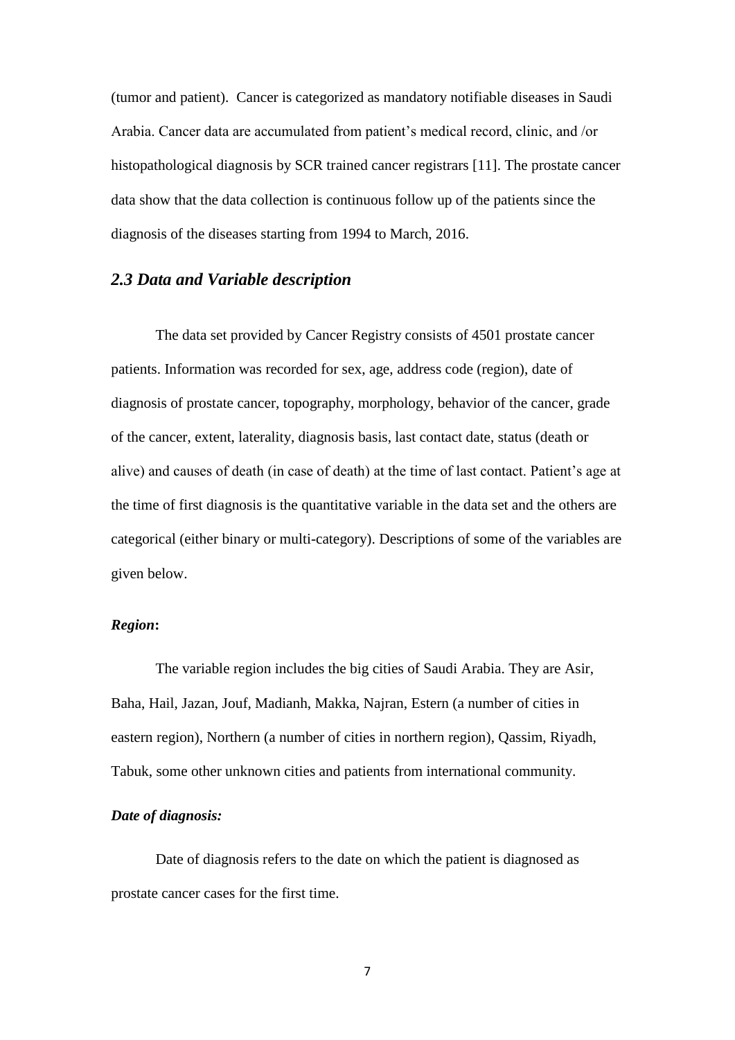(tumor and patient). Cancer is categorized as mandatory notifiable diseases in Saudi Arabia. Cancer data are accumulated from patient's medical record, clinic, and /or histopathological diagnosis by SCR trained cancer registrars [11]. The prostate cancer data show that the data collection is continuous follow up of the patients since the diagnosis of the diseases starting from 1994 to March, 2016.

#### *2.3 Data and Variable description*

The data set provided by Cancer Registry consists of 4501 prostate cancer patients. Information was recorded for sex, age, address code (region), date of diagnosis of prostate cancer, topography, morphology, behavior of the cancer, grade of the cancer, extent, laterality, diagnosis basis, last contact date, status (death or alive) and causes of death (in case of death) at the time of last contact. Patient's age at the time of first diagnosis is the quantitative variable in the data set and the others are categorical (either binary or multi-category). Descriptions of some of the variables are given below.

#### *Region***:**

The variable region includes the big cities of Saudi Arabia. They are Asir, Baha, Hail, Jazan, Jouf, Madianh, Makka, Najran, Estern (a number of cities in eastern region), Northern (a number of cities in northern region), Qassim, Riyadh, Tabuk, some other unknown cities and patients from international community.

#### *Date of diagnosis:*

Date of diagnosis refers to the date on which the patient is diagnosed as prostate cancer cases for the first time.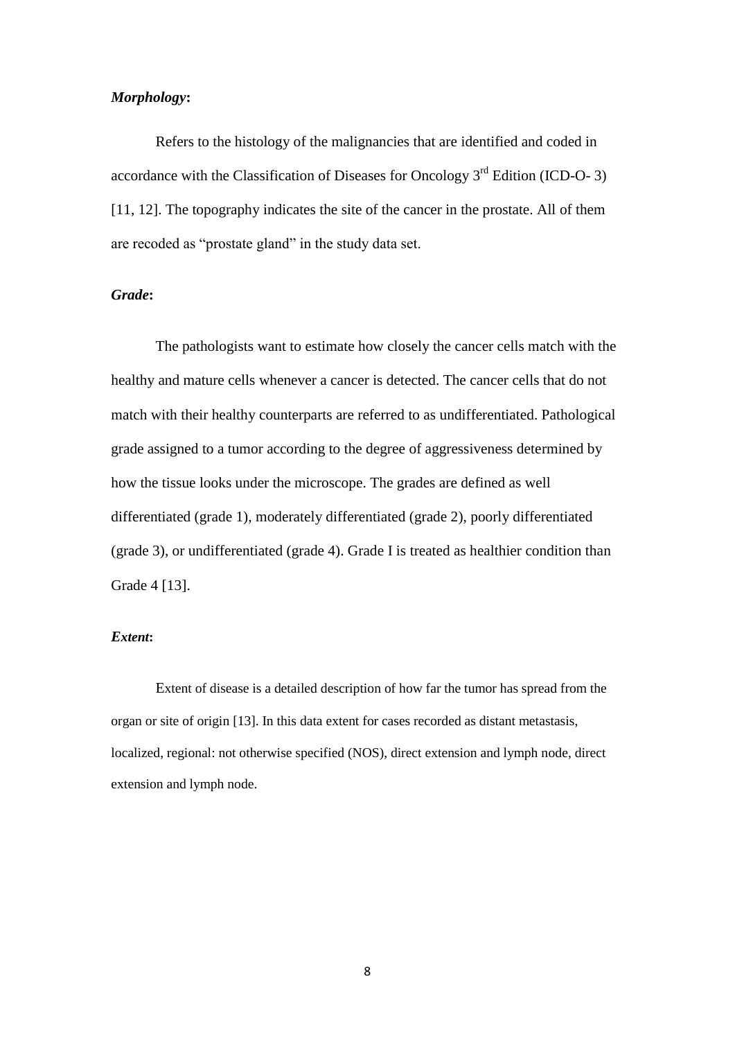#### *Morphology***:**

Refers to the histology of the malignancies that are identified and coded in accordance with the Classification of Diseases for Oncology  $3<sup>rd</sup>$  Edition (ICD-O- 3) [11, 12]. The topography indicates the site of the cancer in the prostate. All of them are recoded as "prostate gland" in the study data set.

#### *Grade***:**

The pathologists want to estimate how closely the cancer cells match with the healthy and mature cells whenever a cancer is detected. The cancer cells that do not match with their healthy counterparts are referred to as undifferentiated. Pathological grade assigned to a tumor according to the degree of aggressiveness determined by how the tissue looks under the microscope. The grades are defined as well differentiated (grade 1), moderately differentiated (grade 2), poorly differentiated (grade 3), or undifferentiated (grade 4). Grade I is treated as healthier condition than Grade 4 [13].

#### *Extent***:**

Extent of disease is a detailed description of how far the tumor has spread from the organ or site of origin [13]. In this data extent for cases recorded as distant metastasis, localized, regional: not otherwise specified (NOS), direct extension and lymph node, direct extension and lymph node.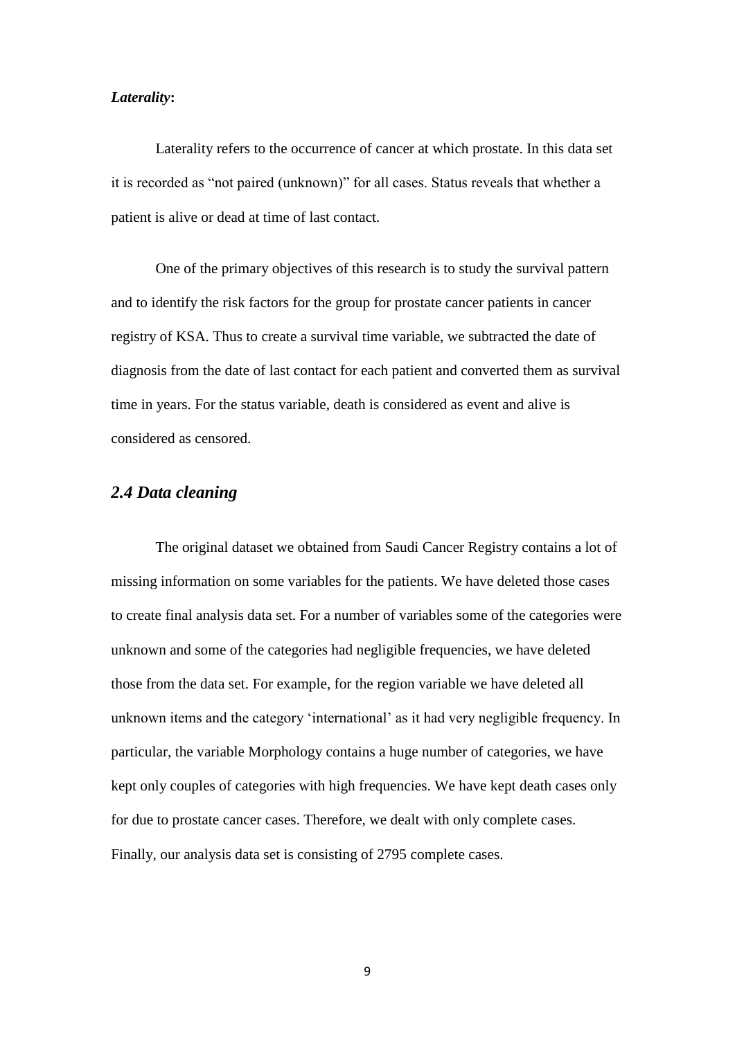#### *Laterality***:**

Laterality refers to the occurrence of cancer at which prostate. In this data set it is recorded as "not paired (unknown)" for all cases. Status reveals that whether a patient is alive or dead at time of last contact.

One of the primary objectives of this research is to study the survival pattern and to identify the risk factors for the group for prostate cancer patients in cancer registry of KSA. Thus to create a survival time variable, we subtracted the date of diagnosis from the date of last contact for each patient and converted them as survival time in years. For the status variable, death is considered as event and alive is considered as censored.

#### *2.4 Data cleaning*

The original dataset we obtained from Saudi Cancer Registry contains a lot of missing information on some variables for the patients. We have deleted those cases to create final analysis data set. For a number of variables some of the categories were unknown and some of the categories had negligible frequencies, we have deleted those from the data set. For example, for the region variable we have deleted all unknown items and the category 'international' as it had very negligible frequency. In particular, the variable Morphology contains a huge number of categories, we have kept only couples of categories with high frequencies. We have kept death cases only for due to prostate cancer cases. Therefore, we dealt with only complete cases. Finally, our analysis data set is consisting of 2795 complete cases.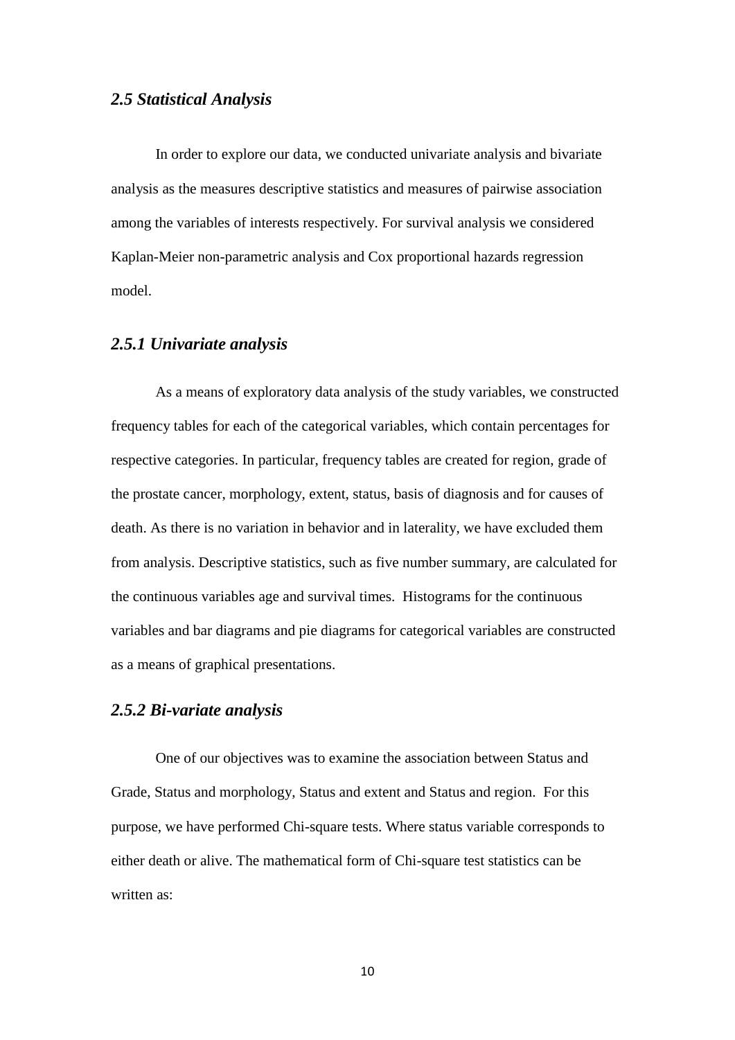#### *2.5 Statistical Analysis*

In order to explore our data, we conducted univariate analysis and bivariate analysis as the measures descriptive statistics and measures of pairwise association among the variables of interests respectively. For survival analysis we considered Kaplan-Meier non-parametric analysis and Cox proportional hazards regression model.

#### *2.5.1 Univariate analysis*

As a means of exploratory data analysis of the study variables, we constructed frequency tables for each of the categorical variables, which contain percentages for respective categories. In particular, frequency tables are created for region, grade of the prostate cancer, morphology, extent, status, basis of diagnosis and for causes of death. As there is no variation in behavior and in laterality, we have excluded them from analysis. Descriptive statistics, such as five number summary, are calculated for the continuous variables age and survival times. Histograms for the continuous variables and bar diagrams and pie diagrams for categorical variables are constructed as a means of graphical presentations.

#### *2.5.2 Bi-variate analysis*

One of our objectives was to examine the association between Status and Grade, Status and morphology, Status and extent and Status and region. For this purpose, we have performed Chi-square tests. Where status variable corresponds to either death or alive. The mathematical form of Chi-square test statistics can be written as: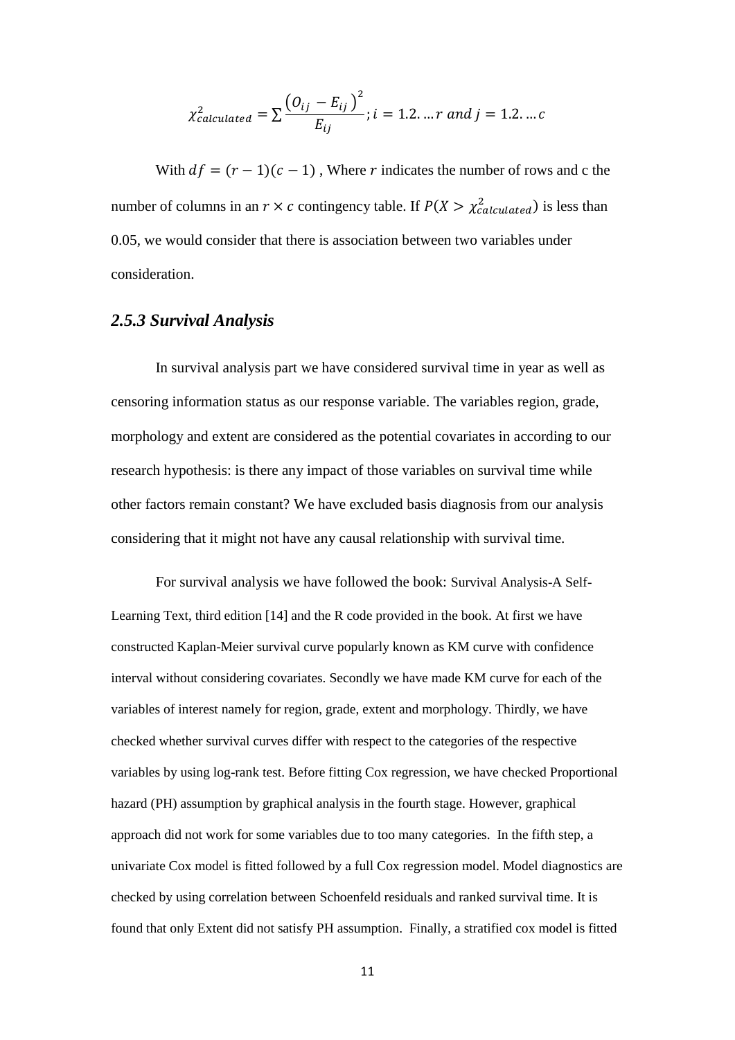$$
\chi_{calculated}^2 = \sum \frac{(O_{ij} - E_{ij})^2}{E_{ij}}; i = 1.2, ..., r \text{ and } j = 1.2, ... c
$$

With  $df = (r - 1)(c - 1)$ , Where r indicates the number of rows and c the number of columns in an  $r \times c$  contingency table. If  $P(X > \chi^2_{calculated})$  is less than 0.05, we would consider that there is association between two variables under consideration.

#### *2.5.3 Survival Analysis*

In survival analysis part we have considered survival time in year as well as censoring information status as our response variable. The variables region, grade, morphology and extent are considered as the potential covariates in according to our research hypothesis: is there any impact of those variables on survival time while other factors remain constant? We have excluded basis diagnosis from our analysis considering that it might not have any causal relationship with survival time.

For survival analysis we have followed the book: Survival Analysis-A Self-Learning Text, third edition [14] and the R code provided in the book. At first we have constructed Kaplan-Meier survival curve popularly known as KM curve with confidence interval without considering covariates. Secondly we have made KM curve for each of the variables of interest namely for region, grade, extent and morphology. Thirdly, we have checked whether survival curves differ with respect to the categories of the respective variables by using log-rank test. Before fitting Cox regression, we have checked Proportional hazard (PH) assumption by graphical analysis in the fourth stage. However, graphical approach did not work for some variables due to too many categories. In the fifth step, a univariate Cox model is fitted followed by a full Cox regression model. Model diagnostics are checked by using correlation between Schoenfeld residuals and ranked survival time. It is found that only Extent did not satisfy PH assumption. Finally, a stratified cox model is fitted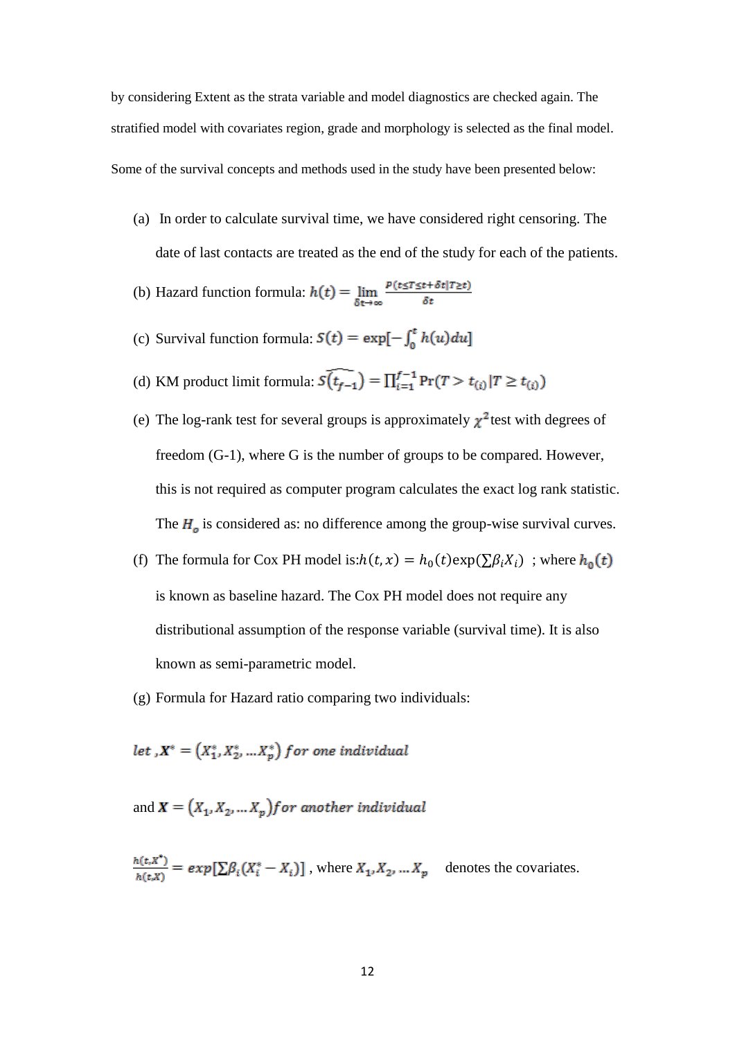by considering Extent as the strata variable and model diagnostics are checked again. The stratified model with covariates region, grade and morphology is selected as the final model. Some of the survival concepts and methods used in the study have been presented below:

(a) In order to calculate survival time, we have considered right censoring. The date of last contacts are treated as the end of the study for each of the patients.

(b) Hazard function formula:  $h(t) = \lim_{\delta t \to \infty} \frac{p(t \leq T \leq t + \delta t | T \geq t)}{\delta t}$ 

- (c) Survival function formula:  $S(t) = \exp[-\int_0^t h(u) du]$
- (d) KM product limit formula:  $\widehat{S(t_{f-1})} = \prod_{i=1}^{f-1} Pr(T > t_{(i)} | T \ge t_{(i)})$
- (e) The log-rank test for several groups is approximately  $\chi^2$  test with degrees of freedom (G-1), where G is the number of groups to be compared. However, this is not required as computer program calculates the exact log rank statistic. The  $H<sub>o</sub>$  is considered as: no difference among the group-wise survival curves.
- (f) The formula for Cox PH model is: $h(t, x) = h_0(t) \exp(\sum \beta_i X_i)$ ; where is known as baseline hazard. The Cox PH model does not require any distributional assumption of the response variable (survival time). It is also known as semi-parametric model.
- (g) Formula for Hazard ratio comparing two individuals:

let  $X^* = (X_1^*, X_2^*, \dots X_n^*)$  for one individual

and  $\mathbf{X} = (X_1, X_2, ... X_p)$  for another individual

$$
\frac{h(t, X^*)}{h(t, X)} = exp[\sum \beta_i (X_i^* - X_i)], \text{ where } X_1, X_2, \dots X_p \text{ denotes the covariates.}
$$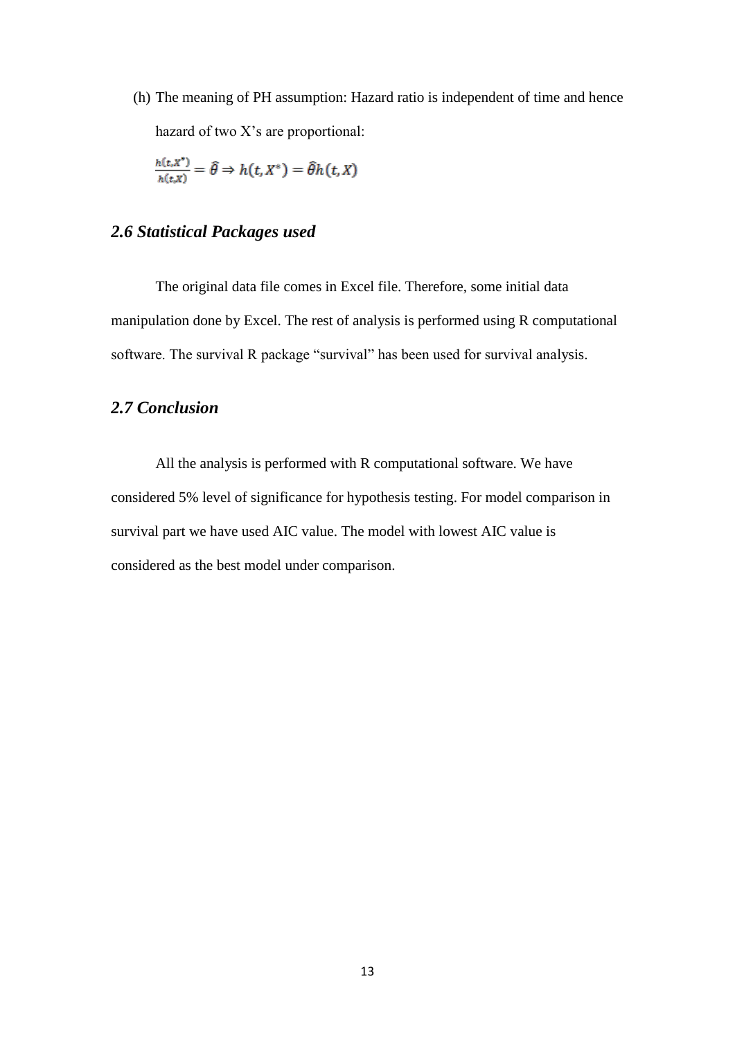(h) The meaning of PH assumption: Hazard ratio is independent of time and hence hazard of two X's are proportional:

$$
\frac{h(t,X^*)}{h(t,X)} = \hat{\theta} \Rightarrow h(t,X^*) = \hat{\theta}h(t,X)
$$

#### *2.6 Statistical Packages used*

The original data file comes in Excel file. Therefore, some initial data manipulation done by Excel. The rest of analysis is performed using R computational software. The survival R package "survival" has been used for survival analysis.

#### *2.7 Conclusion*

All the analysis is performed with R computational software. We have considered 5% level of significance for hypothesis testing. For model comparison in survival part we have used AIC value. The model with lowest AIC value is considered as the best model under comparison.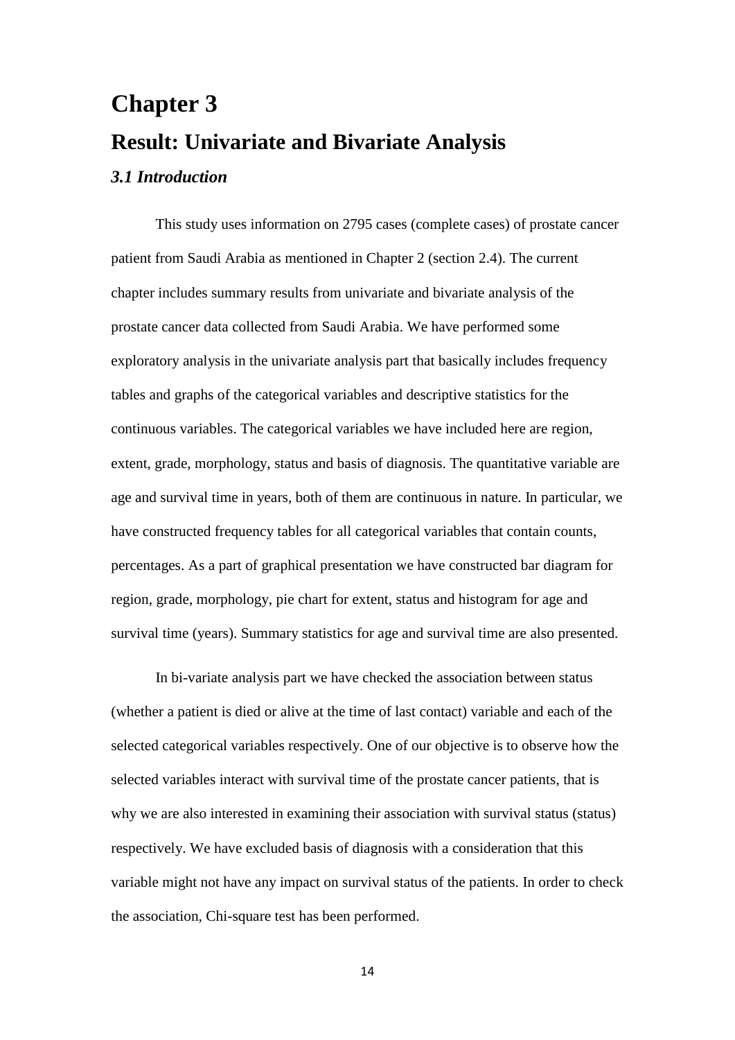# **Chapter 3 Result: Univariate and Bivariate Analysis** *3.1 Introduction*

This study uses information on 2795 cases (complete cases) of prostate cancer patient from Saudi Arabia as mentioned in Chapter 2 (section 2.4). The current chapter includes summary results from univariate and bivariate analysis of the prostate cancer data collected from Saudi Arabia. We have performed some exploratory analysis in the univariate analysis part that basically includes frequency tables and graphs of the categorical variables and descriptive statistics for the continuous variables. The categorical variables we have included here are region, extent, grade, morphology, status and basis of diagnosis. The quantitative variable are age and survival time in years, both of them are continuous in nature. In particular, we have constructed frequency tables for all categorical variables that contain counts, percentages. As a part of graphical presentation we have constructed bar diagram for region, grade, morphology, pie chart for extent, status and histogram for age and survival time (years). Summary statistics for age and survival time are also presented.

In bi-variate analysis part we have checked the association between status (whether a patient is died or alive at the time of last contact) variable and each of the selected categorical variables respectively. One of our objective is to observe how the selected variables interact with survival time of the prostate cancer patients, that is why we are also interested in examining their association with survival status (status) respectively. We have excluded basis of diagnosis with a consideration that this variable might not have any impact on survival status of the patients. In order to check the association, Chi-square test has been performed.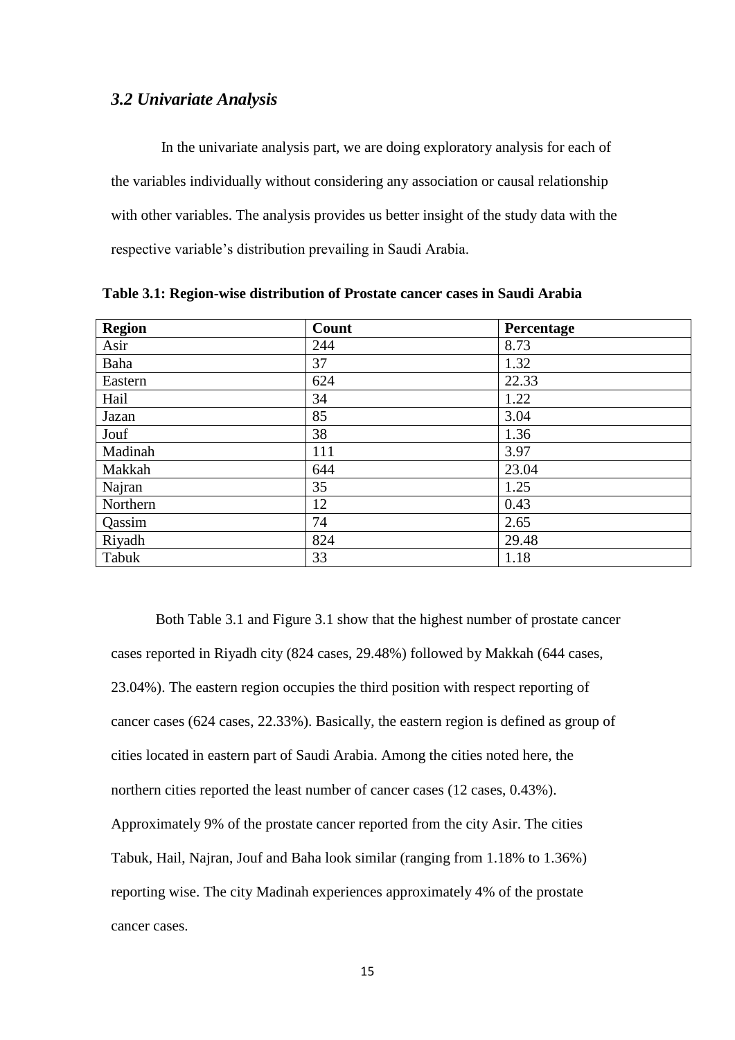#### *3.2 Univariate Analysis*

In the univariate analysis part, we are doing exploratory analysis for each of the variables individually without considering any association or causal relationship with other variables. The analysis provides us better insight of the study data with the respective variable's distribution prevailing in Saudi Arabia.

| <b>Region</b> | Count | Percentage |
|---------------|-------|------------|
| Asir          | 244   | 8.73       |
| Baha          | 37    | 1.32       |
| Eastern       | 624   | 22.33      |
| Hail          | 34    | 1.22       |
| Jazan         | 85    | 3.04       |
| Jouf          | 38    | 1.36       |
| Madinah       | 111   | 3.97       |
| Makkah        | 644   | 23.04      |
| Najran        | 35    | 1.25       |
| Northern      | 12    | 0.43       |
| Qassim        | 74    | 2.65       |
| Riyadh        | 824   | 29.48      |
| Tabuk         | 33    | 1.18       |

**Table 3.1: Region-wise distribution of Prostate cancer cases in Saudi Arabia**

Both Table 3.1 and Figure 3.1 show that the highest number of prostate cancer cases reported in Riyadh city (824 cases, 29.48%) followed by Makkah (644 cases, 23.04%). The eastern region occupies the third position with respect reporting of cancer cases (624 cases, 22.33%). Basically, the eastern region is defined as group of cities located in eastern part of Saudi Arabia. Among the cities noted here, the northern cities reported the least number of cancer cases (12 cases, 0.43%). Approximately 9% of the prostate cancer reported from the city Asir. The cities Tabuk, Hail, Najran, Jouf and Baha look similar (ranging from 1.18% to 1.36%) reporting wise. The city Madinah experiences approximately 4% of the prostate cancer cases.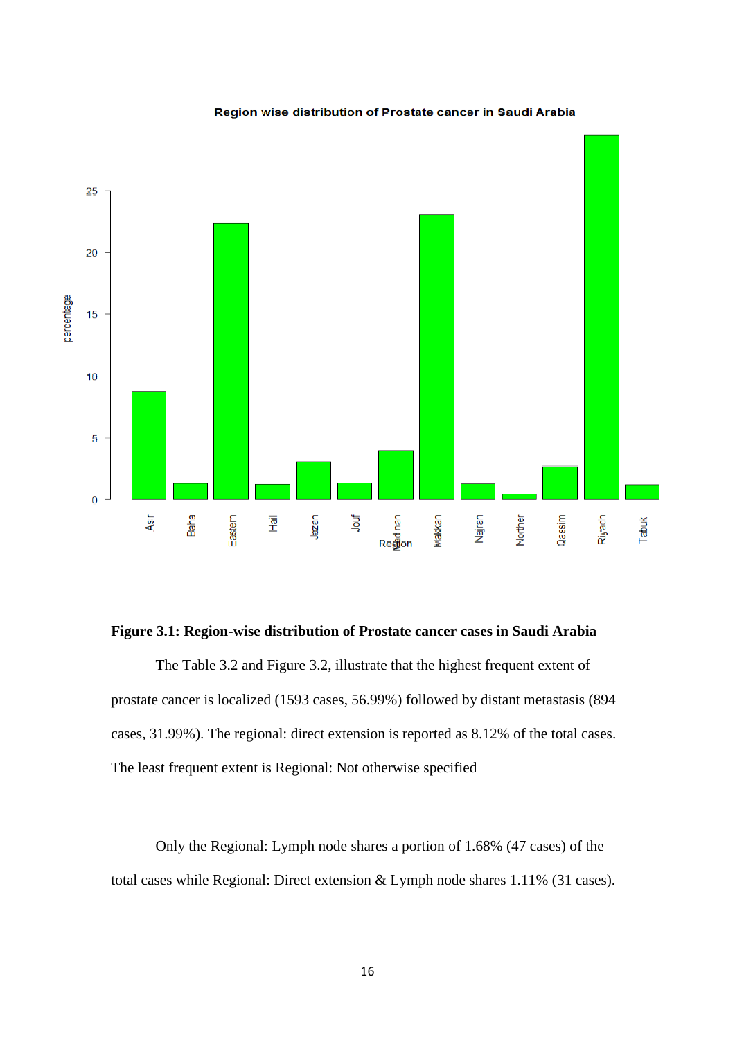

#### Region wise distribution of Prostate cancer in Saudi Arabia

#### **Figure 3.1: Region-wise distribution of Prostate cancer cases in Saudi Arabia**

The Table 3.2 and Figure 3.2, illustrate that the highest frequent extent of prostate cancer is localized (1593 cases, 56.99%) followed by distant metastasis (894 cases, 31.99%). The regional: direct extension is reported as 8.12% of the total cases. The least frequent extent is Regional: Not otherwise specified

Only the Regional: Lymph node shares a portion of 1.68% (47 cases) of the total cases while Regional: Direct extension & Lymph node shares 1.11% (31 cases).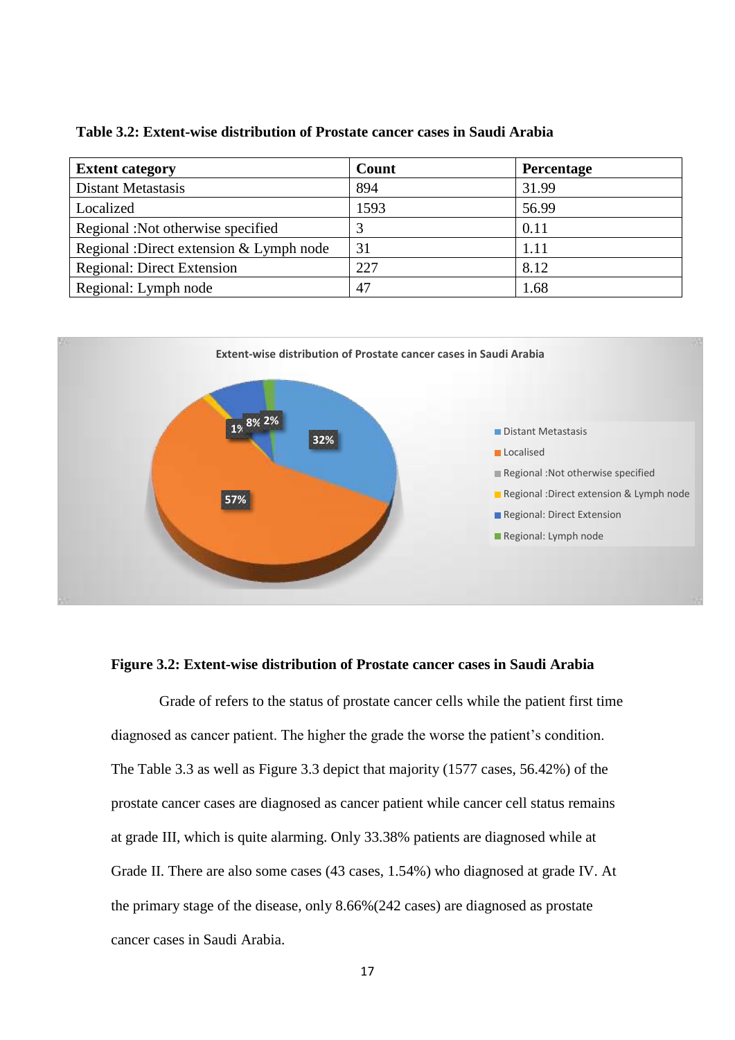| <b>Extent category</b>                  | Count | <b>Percentage</b> |
|-----------------------------------------|-------|-------------------|
| <b>Distant Metastasis</b>               | 894   | 31.99             |
| Localized                               | 1593  | 56.99             |
| Regional: Not otherwise specified       |       | 0.11              |
| Regional :Direct extension & Lymph node | 31    | 1.11              |
| <b>Regional: Direct Extension</b>       | 227   | 8.12              |
| Regional: Lymph node                    | 47    | 1.68              |



#### **Figure 3.2: Extent-wise distribution of Prostate cancer cases in Saudi Arabia**

Grade of refers to the status of prostate cancer cells while the patient first time diagnosed as cancer patient. The higher the grade the worse the patient's condition. The Table 3.3 as well as Figure 3.3 depict that majority (1577 cases, 56.42%) of the prostate cancer cases are diagnosed as cancer patient while cancer cell status remains at grade III, which is quite alarming. Only 33.38% patients are diagnosed while at Grade II. There are also some cases (43 cases, 1.54%) who diagnosed at grade IV. At the primary stage of the disease, only 8.66%(242 cases) are diagnosed as prostate cancer cases in Saudi Arabia.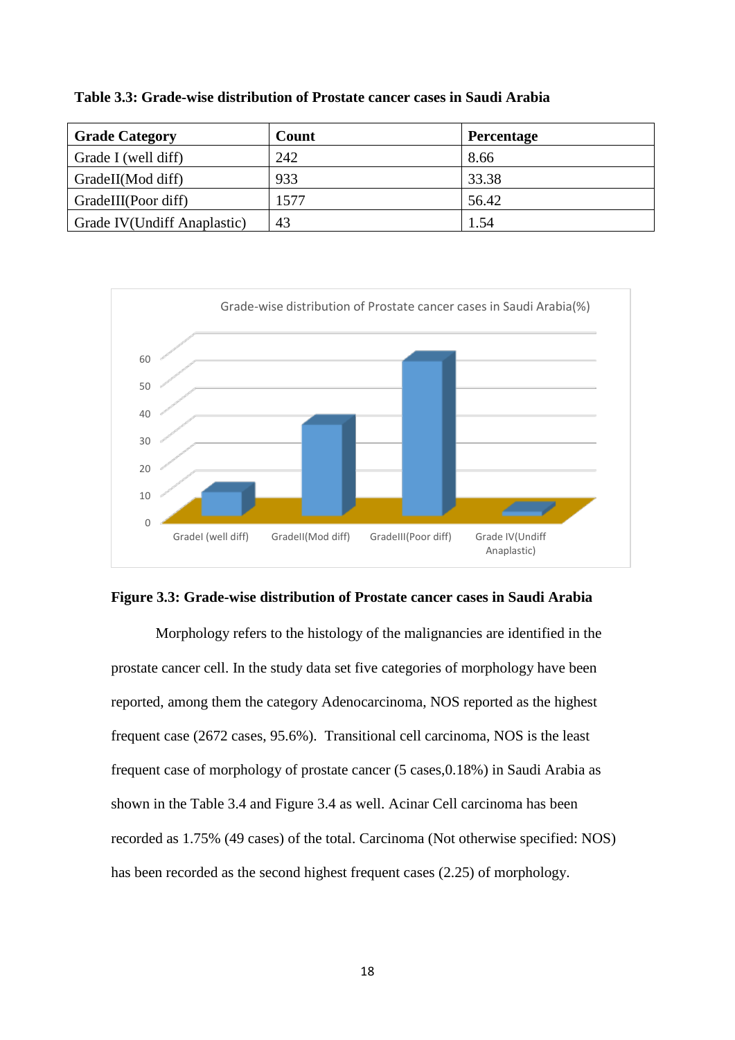| <b>Grade Category</b>       | Count | <b>Percentage</b> |
|-----------------------------|-------|-------------------|
| Grade I (well diff)         | 242   | 8.66              |
| GradeII(Mod diff)           | 933   | 33.38             |
| GradeIII(Poor diff)         | 1577  | 56.42             |
| Grade IV(Undiff Anaplastic) | 43    | 1.54              |

**Table 3.3: Grade-wise distribution of Prostate cancer cases in Saudi Arabia**



#### **Figure 3.3: Grade-wise distribution of Prostate cancer cases in Saudi Arabia**

Morphology refers to the histology of the malignancies are identified in the prostate cancer cell. In the study data set five categories of morphology have been reported, among them the category Adenocarcinoma, NOS reported as the highest frequent case (2672 cases, 95.6%). Transitional cell carcinoma, NOS is the least frequent case of morphology of prostate cancer (5 cases,0.18%) in Saudi Arabia as shown in the Table 3.4 and Figure 3.4 as well. Acinar Cell carcinoma has been recorded as 1.75% (49 cases) of the total. Carcinoma (Not otherwise specified: NOS) has been recorded as the second highest frequent cases (2.25) of morphology.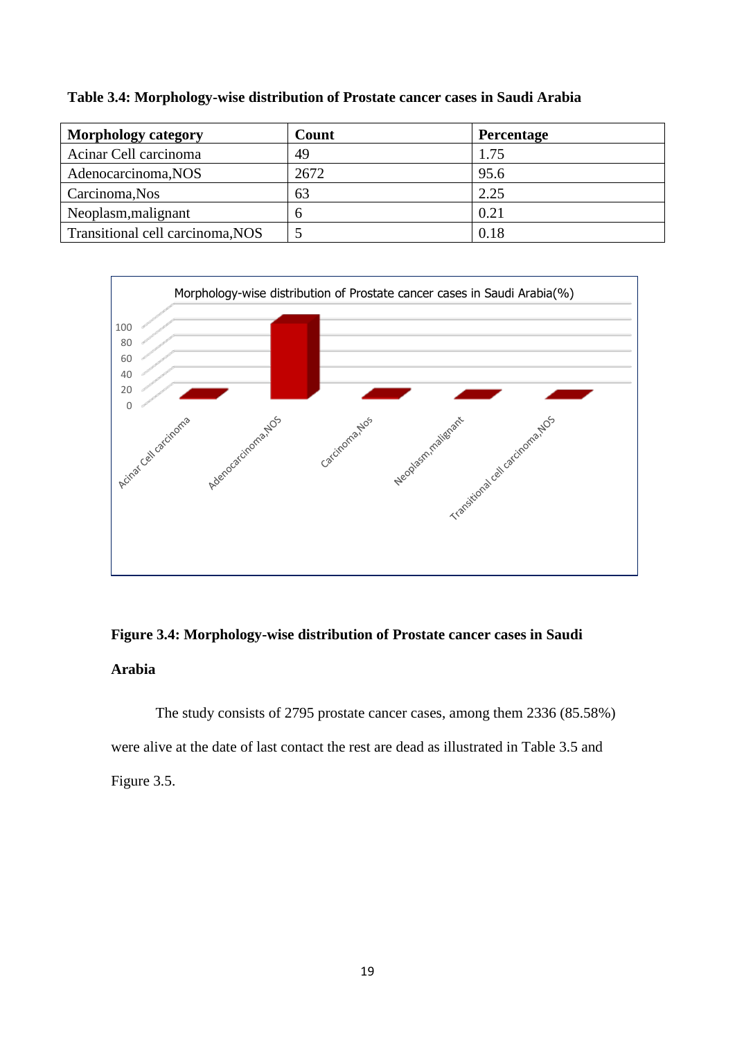| <b>Morphology category</b>       | Count | <b>Percentage</b> |
|----------------------------------|-------|-------------------|
| Acinar Cell carcinoma            | 49    | 1.75              |
| Adenocarcinoma, NOS              | 2672  | 95.6              |
| Carcinoma, Nos                   | 63    | 2.25              |
| Neoplasm, malignant              |       | 0.21              |
| Transitional cell carcinoma, NOS |       | 0.18              |

**Table 3.4: Morphology-wise distribution of Prostate cancer cases in Saudi Arabia**



### **Figure 3.4: Morphology-wise distribution of Prostate cancer cases in Saudi Arabia**

The study consists of 2795 prostate cancer cases, among them 2336 (85.58%) were alive at the date of last contact the rest are dead as illustrated in Table 3.5 and Figure 3.5.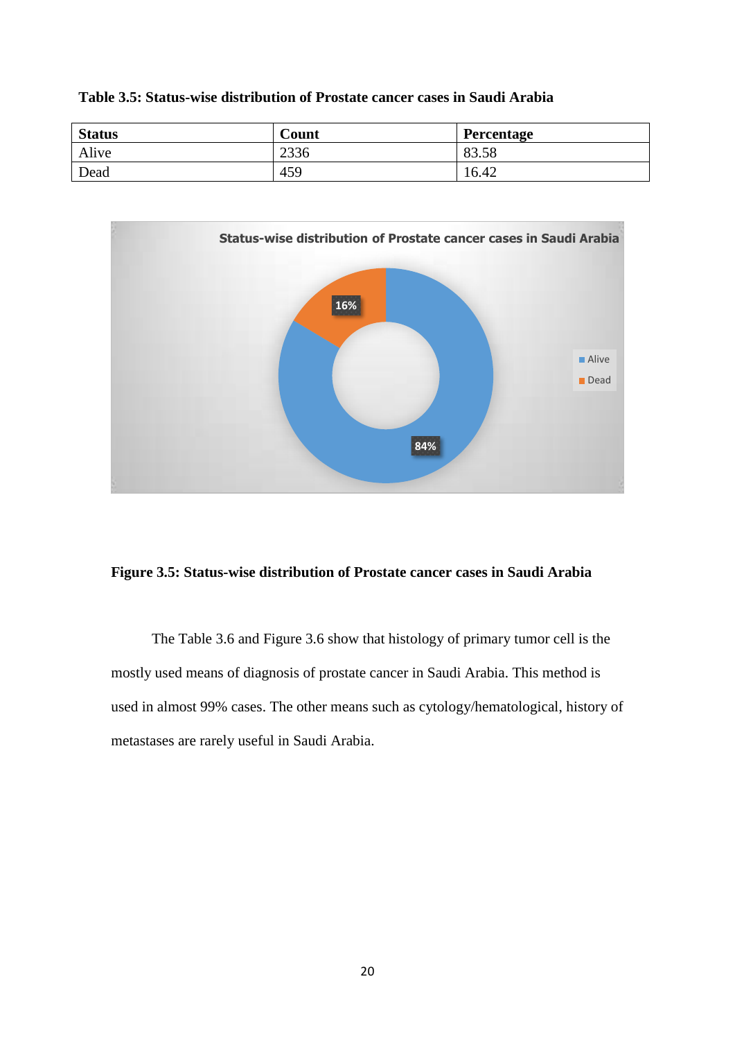| Table 3.5: Status-wise distribution of Prostate cancer cases in Saudi Arabia |  |  |  |  |  |  |  |  |  |  |  |  |  |  |  |
|------------------------------------------------------------------------------|--|--|--|--|--|--|--|--|--|--|--|--|--|--|--|
|------------------------------------------------------------------------------|--|--|--|--|--|--|--|--|--|--|--|--|--|--|--|

| <b>Status</b> | Count | Percentage |
|---------------|-------|------------|
| Alive         | 2336  | 83.58      |
| Dead          | 459   | 16.42      |



#### **Figure 3.5: Status-wise distribution of Prostate cancer cases in Saudi Arabia**

 The Table 3.6 and Figure 3.6 show that histology of primary tumor cell is the mostly used means of diagnosis of prostate cancer in Saudi Arabia. This method is used in almost 99% cases. The other means such as cytology/hematological, history of metastases are rarely useful in Saudi Arabia.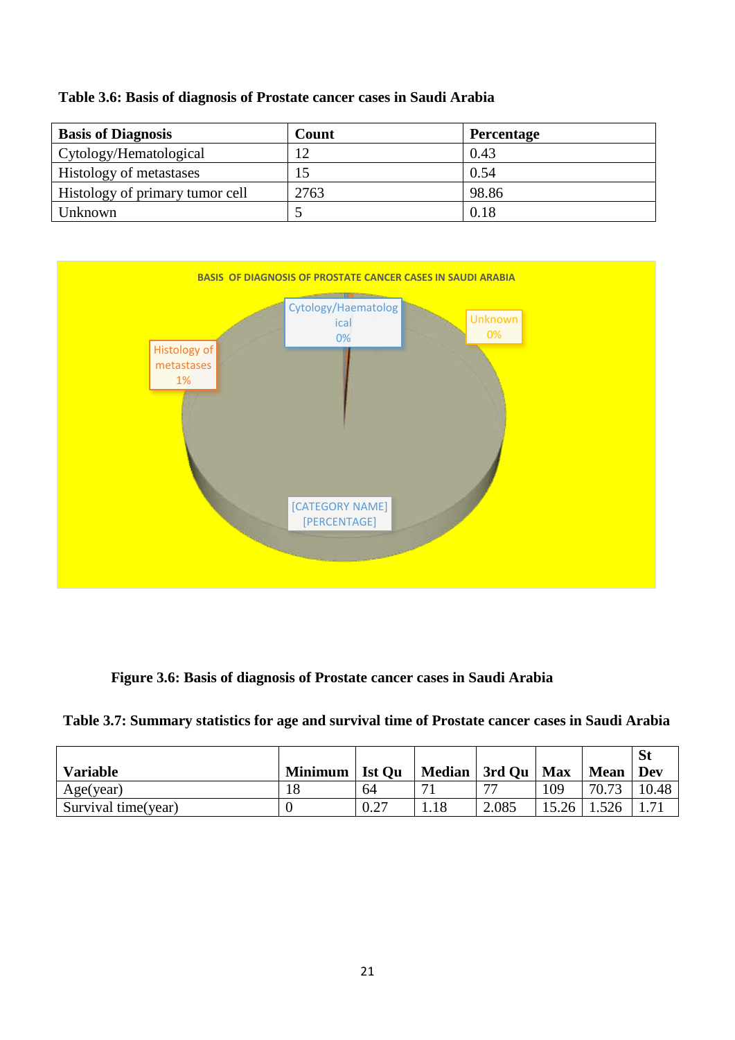#### **Table 3.6: Basis of diagnosis of Prostate cancer cases in Saudi Arabia**

| <b>Basis of Diagnosis</b>       | Count | Percentage |
|---------------------------------|-------|------------|
| Cytology/Hematological          | 1 ೧   | 0.43       |
| <b>Histology of metastases</b>  |       | 0.54       |
| Histology of primary tumor cell | 2763  | 98.86      |
| Unknown                         |       | 0.18       |



#### **Figure 3.6: Basis of diagnosis of Prostate cancer cases in Saudi Arabia**

**Table 3.7: Summary statistics for age and survival time of Prostate cancer cases in Saudi Arabia**

| <b>Variable</b>     | <b>Minimum</b> | <b>Ist Ou</b> | Median   3rd Qu | <b>Max</b> | <b>Mean</b> | Dev   |
|---------------------|----------------|---------------|-----------------|------------|-------------|-------|
| Age(year)           |                | 64            |                 | 109        | 70.73       | 10.48 |
| Survival time(year) |                |               | 2.085           | 5.26       | 1.526       |       |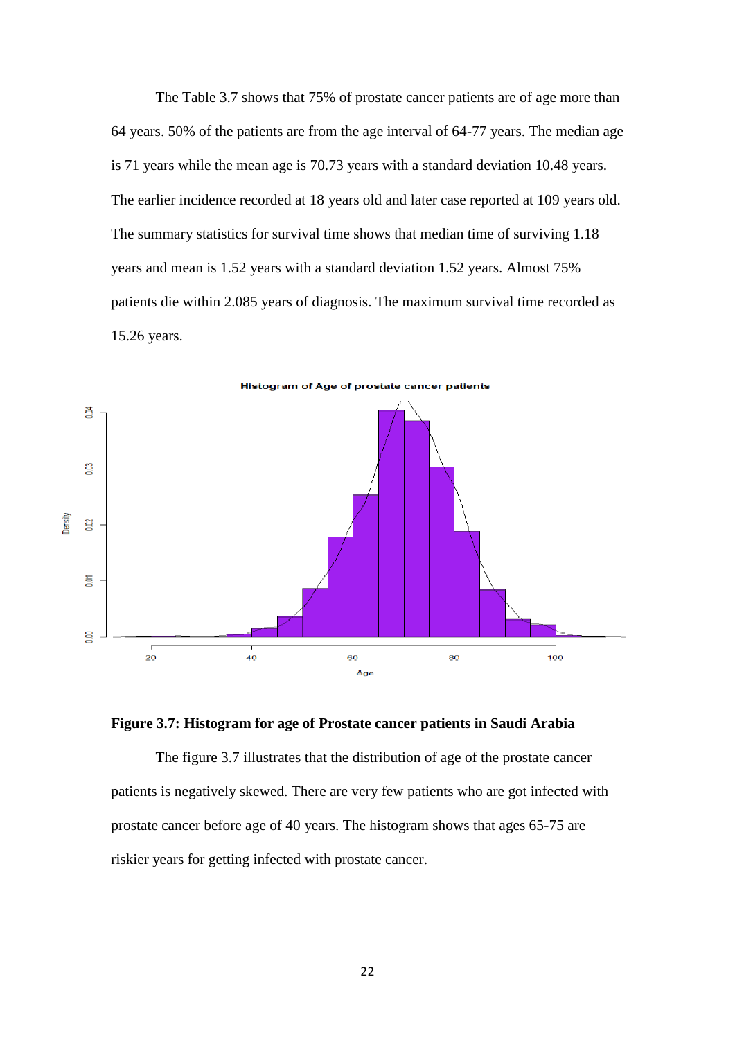The Table 3.7 shows that 75% of prostate cancer patients are of age more than 64 years. 50% of the patients are from the age interval of 64-77 years. The median age is 71 years while the mean age is 70.73 years with a standard deviation 10.48 years. The earlier incidence recorded at 18 years old and later case reported at 109 years old. The summary statistics for survival time shows that median time of surviving 1.18 years and mean is 1.52 years with a standard deviation 1.52 years. Almost 75% patients die within 2.085 years of diagnosis. The maximum survival time recorded as 15.26 years.





The figure 3.7 illustrates that the distribution of age of the prostate cancer patients is negatively skewed. There are very few patients who are got infected with prostate cancer before age of 40 years. The histogram shows that ages 65-75 are riskier years for getting infected with prostate cancer.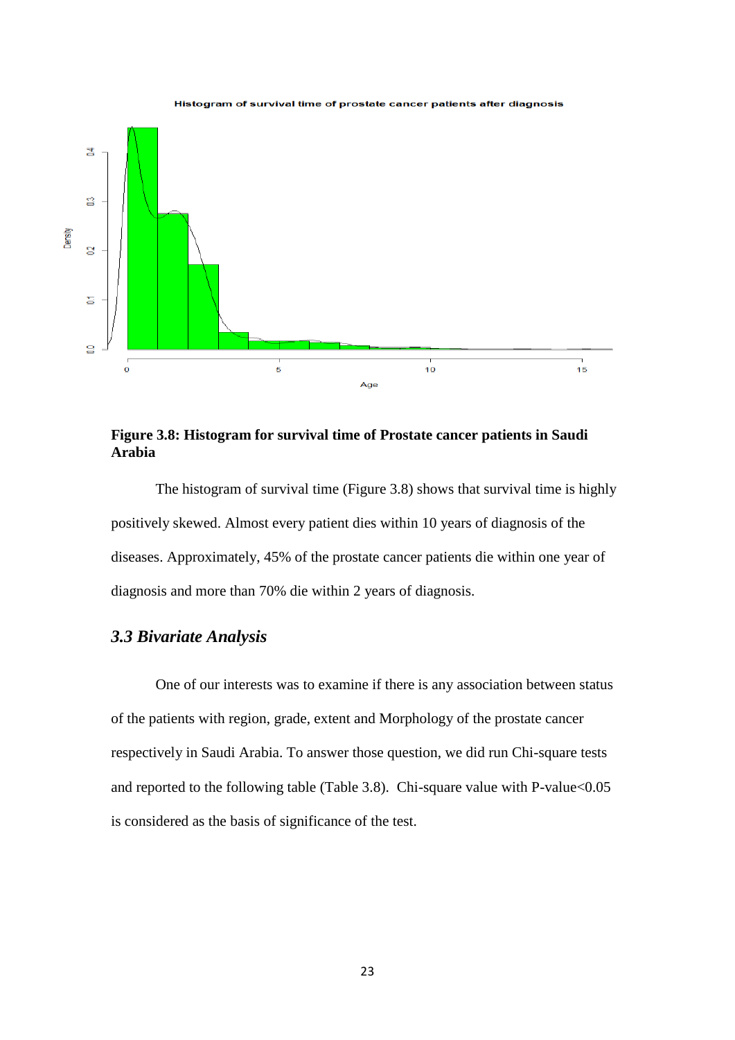

#### Histogram of survival time of prostate cancer patients after diagnosis

**Figure 3.8: Histogram for survival time of Prostate cancer patients in Saudi Arabia**

The histogram of survival time (Figure 3.8) shows that survival time is highly positively skewed. Almost every patient dies within 10 years of diagnosis of the diseases. Approximately, 45% of the prostate cancer patients die within one year of diagnosis and more than 70% die within 2 years of diagnosis.

#### *3.3 Bivariate Analysis*

One of our interests was to examine if there is any association between status of the patients with region, grade, extent and Morphology of the prostate cancer respectively in Saudi Arabia. To answer those question, we did run Chi-square tests and reported to the following table (Table 3.8). Chi-square value with P-value<0.05 is considered as the basis of significance of the test.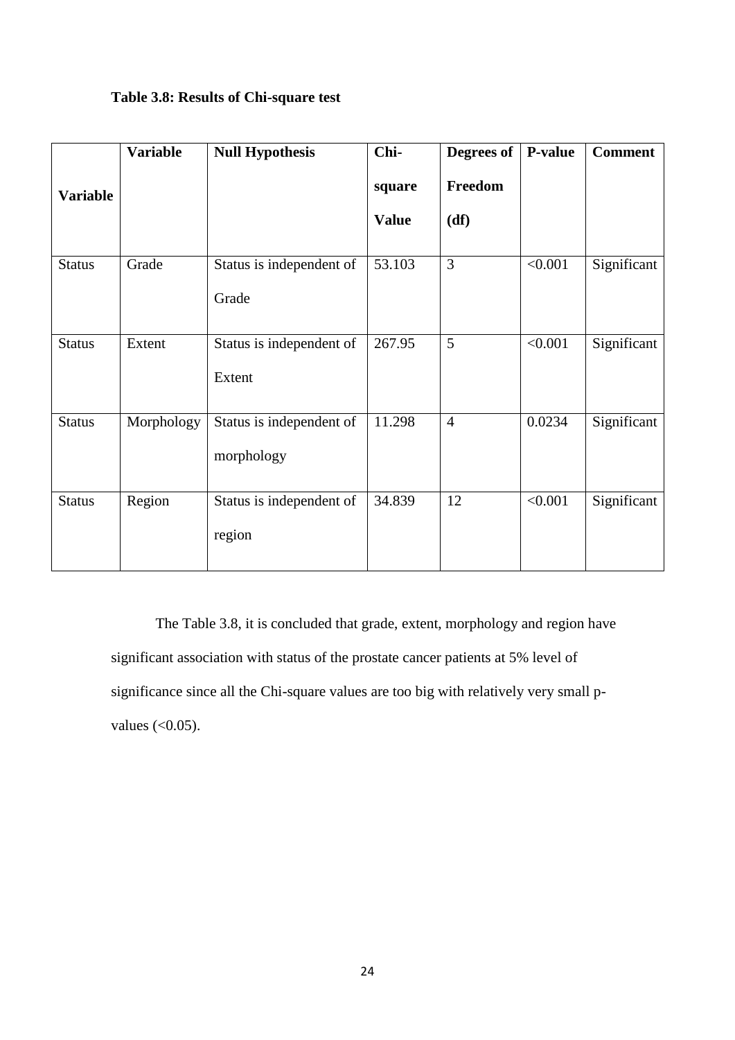|  |  |  | Table 3.8: Results of Chi-square test |
|--|--|--|---------------------------------------|
|--|--|--|---------------------------------------|

|                 | <b>Variable</b> | <b>Null Hypothesis</b>                 | Chi-         | Degrees of     | P-value | <b>Comment</b> |
|-----------------|-----------------|----------------------------------------|--------------|----------------|---------|----------------|
| <b>Variable</b> |                 |                                        | square       | Freedom        |         |                |
|                 |                 |                                        | <b>Value</b> | (df)           |         |                |
| <b>Status</b>   | Grade           | Status is independent of<br>Grade      | 53.103       | $\overline{3}$ | < 0.001 | Significant    |
| <b>Status</b>   | Extent          | Status is independent of<br>Extent     | 267.95       | 5              | < 0.001 | Significant    |
| <b>Status</b>   | Morphology      | Status is independent of<br>morphology | 11.298       | $\overline{4}$ | 0.0234  | Significant    |
| <b>Status</b>   | Region          | Status is independent of<br>region     | 34.839       | 12             | < 0.001 | Significant    |

The Table 3.8, it is concluded that grade, extent, morphology and region have significant association with status of the prostate cancer patients at 5% level of significance since all the Chi-square values are too big with relatively very small pvalues  $( $0.05$ ).$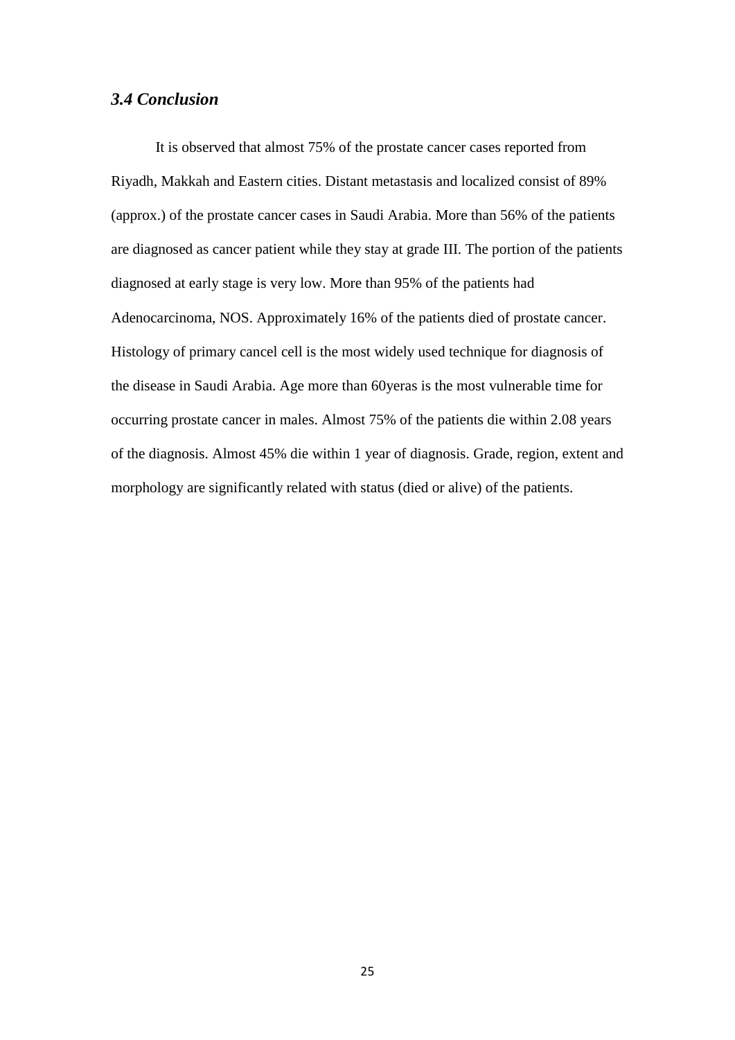#### *3.4 Conclusion*

It is observed that almost 75% of the prostate cancer cases reported from Riyadh, Makkah and Eastern cities. Distant metastasis and localized consist of 89% (approx.) of the prostate cancer cases in Saudi Arabia. More than 56% of the patients are diagnosed as cancer patient while they stay at grade III. The portion of the patients diagnosed at early stage is very low. More than 95% of the patients had Adenocarcinoma, NOS. Approximately 16% of the patients died of prostate cancer. Histology of primary cancel cell is the most widely used technique for diagnosis of the disease in Saudi Arabia. Age more than 60yeras is the most vulnerable time for occurring prostate cancer in males. Almost 75% of the patients die within 2.08 years of the diagnosis. Almost 45% die within 1 year of diagnosis. Grade, region, extent and morphology are significantly related with status (died or alive) of the patients.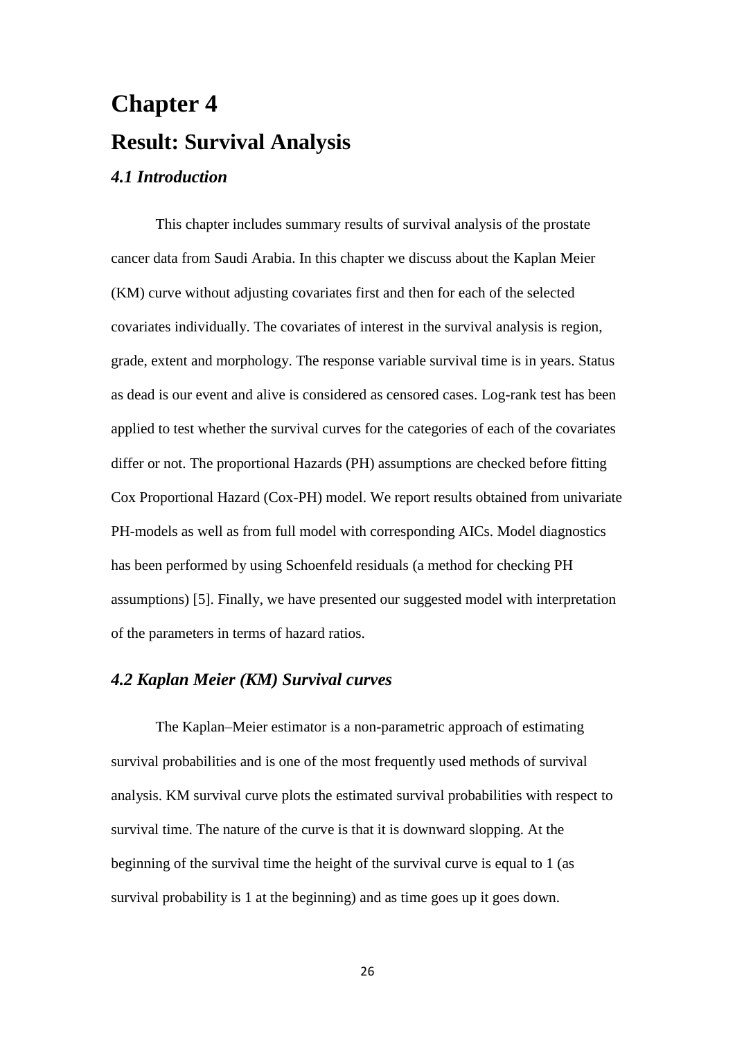# **Chapter 4 Result: Survival Analysis** *4.1 Introduction*

This chapter includes summary results of survival analysis of the prostate cancer data from Saudi Arabia. In this chapter we discuss about the Kaplan Meier (KM) curve without adjusting covariates first and then for each of the selected covariates individually. The covariates of interest in the survival analysis is region, grade, extent and morphology. The response variable survival time is in years. Status as dead is our event and alive is considered as censored cases. Log-rank test has been applied to test whether the survival curves for the categories of each of the covariates differ or not. The proportional Hazards (PH) assumptions are checked before fitting Cox Proportional Hazard (Cox-PH) model. We report results obtained from univariate PH-models as well as from full model with corresponding AICs. Model diagnostics has been performed by using Schoenfeld residuals (a method for checking PH assumptions) [5]. Finally, we have presented our suggested model with interpretation of the parameters in terms of hazard ratios.

#### *4.2 Kaplan Meier (KM) Survival curves*

The Kaplan–Meier estimator is a non-parametric approach of estimating survival probabilities and is one of the most frequently used methods of survival analysis. KM survival curve plots the estimated survival probabilities with respect to survival time. The nature of the curve is that it is downward slopping. At the beginning of the survival time the height of the survival curve is equal to 1 (as survival probability is 1 at the beginning) and as time goes up it goes down.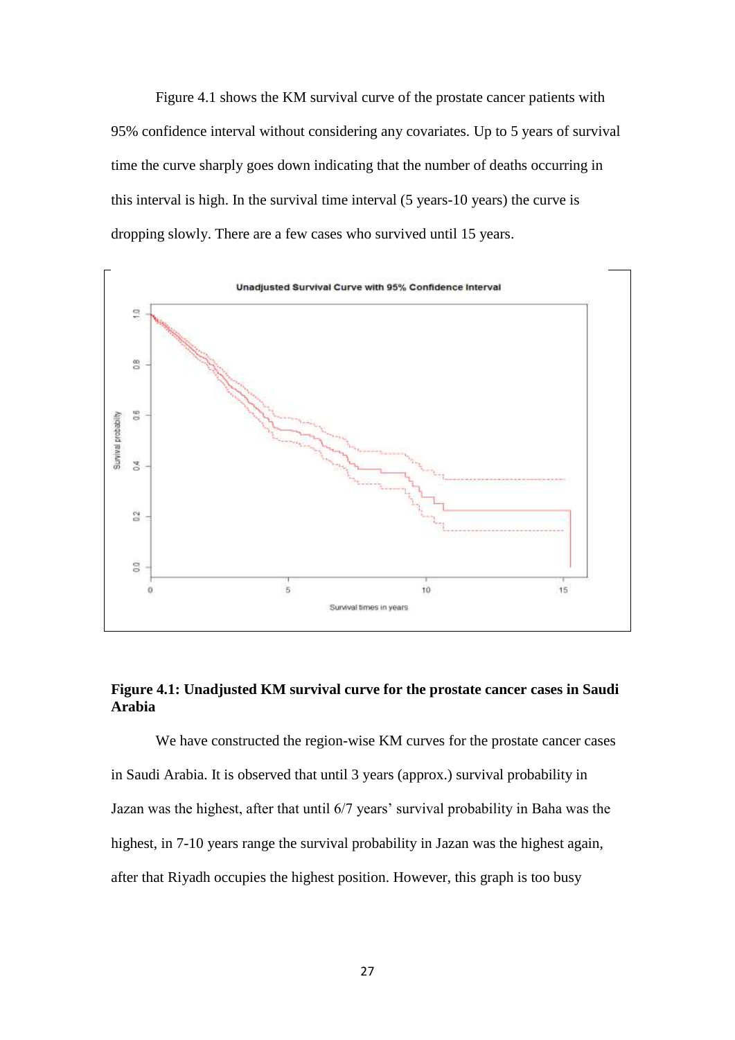Figure 4.1 shows the KM survival curve of the prostate cancer patients with 95% confidence interval without considering any covariates. Up to 5 years of survival time the curve sharply goes down indicating that the number of deaths occurring in this interval is high. In the survival time interval (5 years-10 years) the curve is dropping slowly. There are a few cases who survived until 15 years.



### **Figure 4.1: Unadjusted KM survival curve for the prostate cancer cases in Saudi Arabia**

We have constructed the region-wise KM curves for the prostate cancer cases in Saudi Arabia. It is observed that until 3 years (approx.) survival probability in Jazan was the highest, after that until 6/7 years' survival probability in Baha was the highest, in 7-10 years range the survival probability in Jazan was the highest again, after that Riyadh occupies the highest position. However, this graph is too busy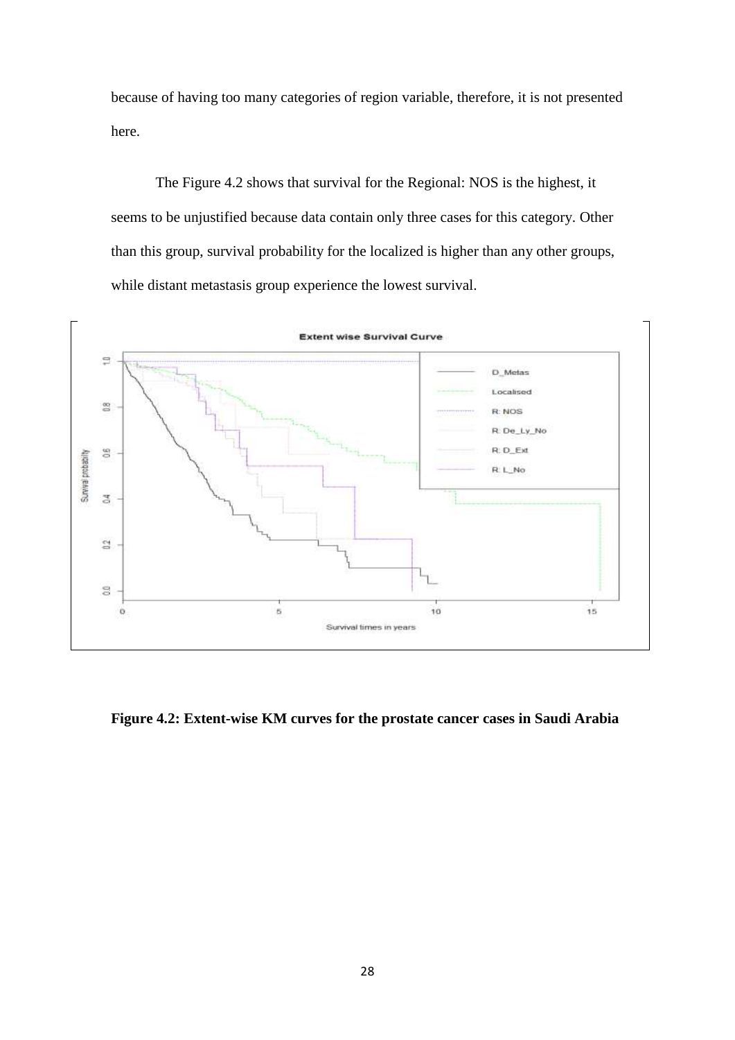because of having too many categories of region variable, therefore, it is not presented here.

The Figure 4.2 shows that survival for the Regional: NOS is the highest, it seems to be unjustified because data contain only three cases for this category. Other than this group, survival probability for the localized is higher than any other groups, while distant metastasis group experience the lowest survival.



**Figure 4.2: Extent-wise KM curves for the prostate cancer cases in Saudi Arabia**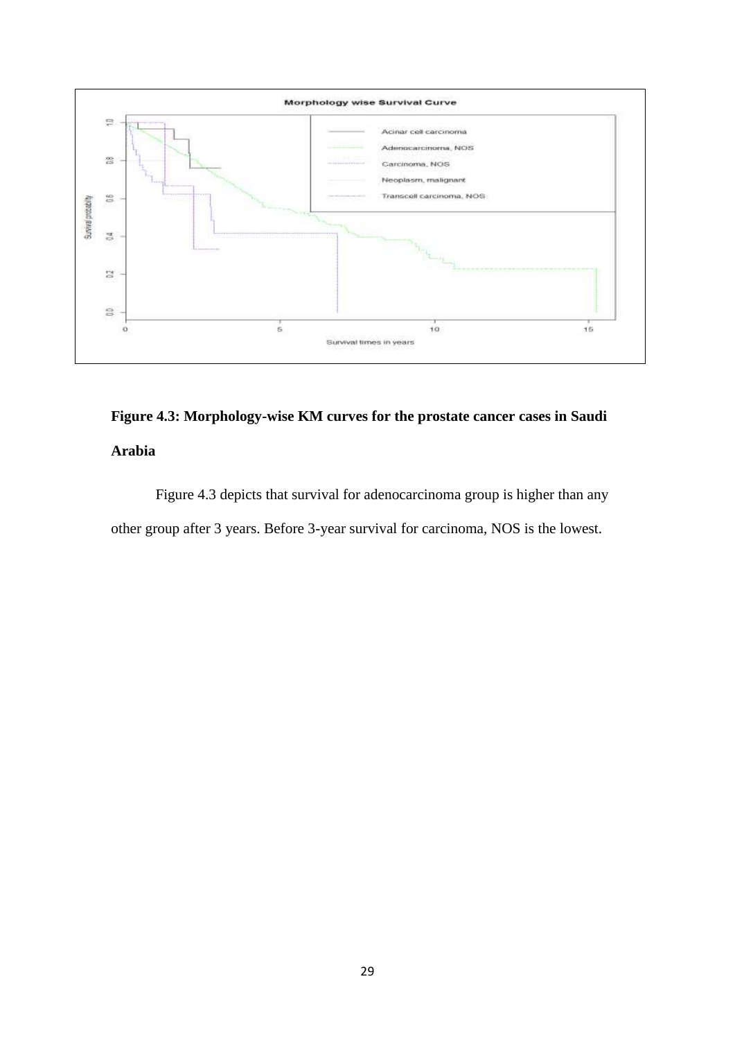

# **Figure 4.3: Morphology-wise KM curves for the prostate cancer cases in Saudi Arabia**

Figure 4.3 depicts that survival for adenocarcinoma group is higher than any other group after 3 years. Before 3-year survival for carcinoma, NOS is the lowest.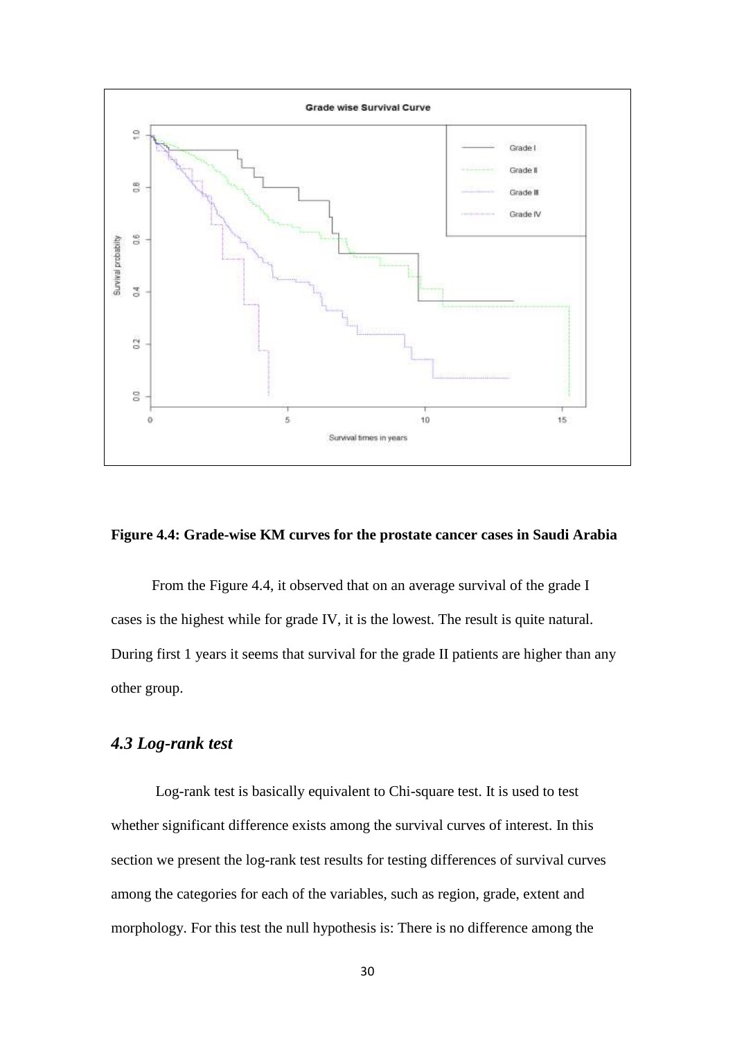

#### **Figure 4.4: Grade-wise KM curves for the prostate cancer cases in Saudi Arabia**

 From the Figure 4.4, it observed that on an average survival of the grade I cases is the highest while for grade IV, it is the lowest. The result is quite natural. During first 1 years it seems that survival for the grade II patients are higher than any other group.

### *4.3 Log-rank test*

Log-rank test is basically equivalent to Chi-square test. It is used to test whether significant difference exists among the survival curves of interest. In this section we present the log-rank test results for testing differences of survival curves among the categories for each of the variables, such as region, grade, extent and morphology. For this test the null hypothesis is: There is no difference among the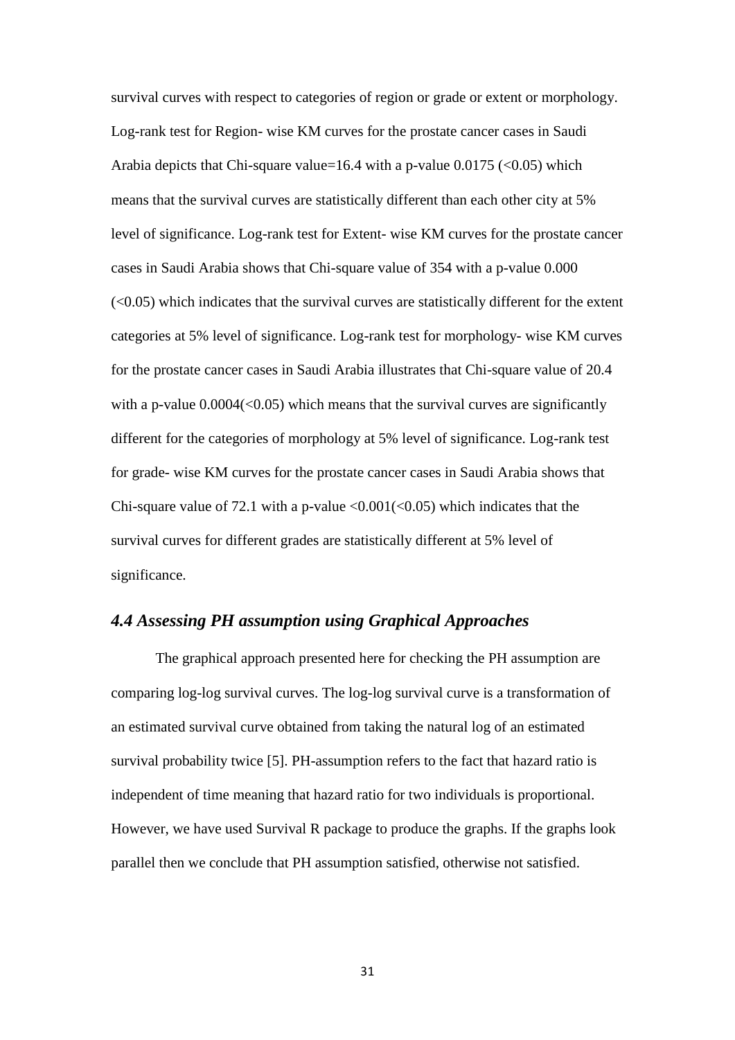survival curves with respect to categories of region or grade or extent or morphology. Log-rank test for Region- wise KM curves for the prostate cancer cases in Saudi Arabia depicts that Chi-square value=16.4 with a p-value  $0.0175 \approx 0.05$  which means that the survival curves are statistically different than each other city at 5% level of significance. Log-rank test for Extent- wise KM curves for the prostate cancer cases in Saudi Arabia shows that Chi-square value of 354 with a p-value 0.000  $( $0.05$ ) which indicates that the survival curves are statistically different for the extent$ categories at 5% level of significance. Log-rank test for morphology- wise KM curves for the prostate cancer cases in Saudi Arabia illustrates that Chi-square value of 20.4 with a p-value  $0.0004 \leq 0.05$ ) which means that the survival curves are significantly different for the categories of morphology at 5% level of significance. Log-rank test for grade- wise KM curves for the prostate cancer cases in Saudi Arabia shows that Chi-square value of 72.1 with a p-value  $\langle 0.001(\langle 0.05) \rangle$  which indicates that the survival curves for different grades are statistically different at 5% level of significance.

### *4.4 Assessing PH assumption using Graphical Approaches*

The graphical approach presented here for checking the PH assumption are comparing log-log survival curves. The log-log survival curve is a transformation of an estimated survival curve obtained from taking the natural log of an estimated survival probability twice [5]. PH-assumption refers to the fact that hazard ratio is independent of time meaning that hazard ratio for two individuals is proportional. However, we have used Survival R package to produce the graphs. If the graphs look parallel then we conclude that PH assumption satisfied, otherwise not satisfied.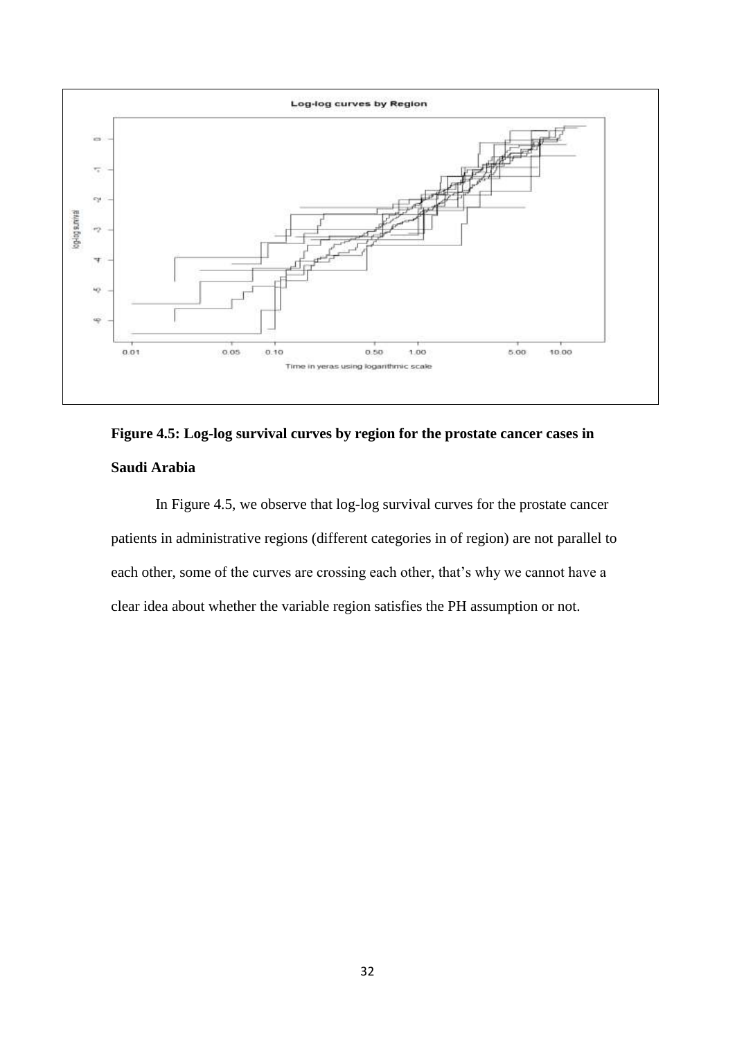

# **Figure 4.5: Log-log survival curves by region for the prostate cancer cases in Saudi Arabia**

 In Figure 4.5, we observe that log-log survival curves for the prostate cancer patients in administrative regions (different categories in of region) are not parallel to each other, some of the curves are crossing each other, that's why we cannot have a clear idea about whether the variable region satisfies the PH assumption or not.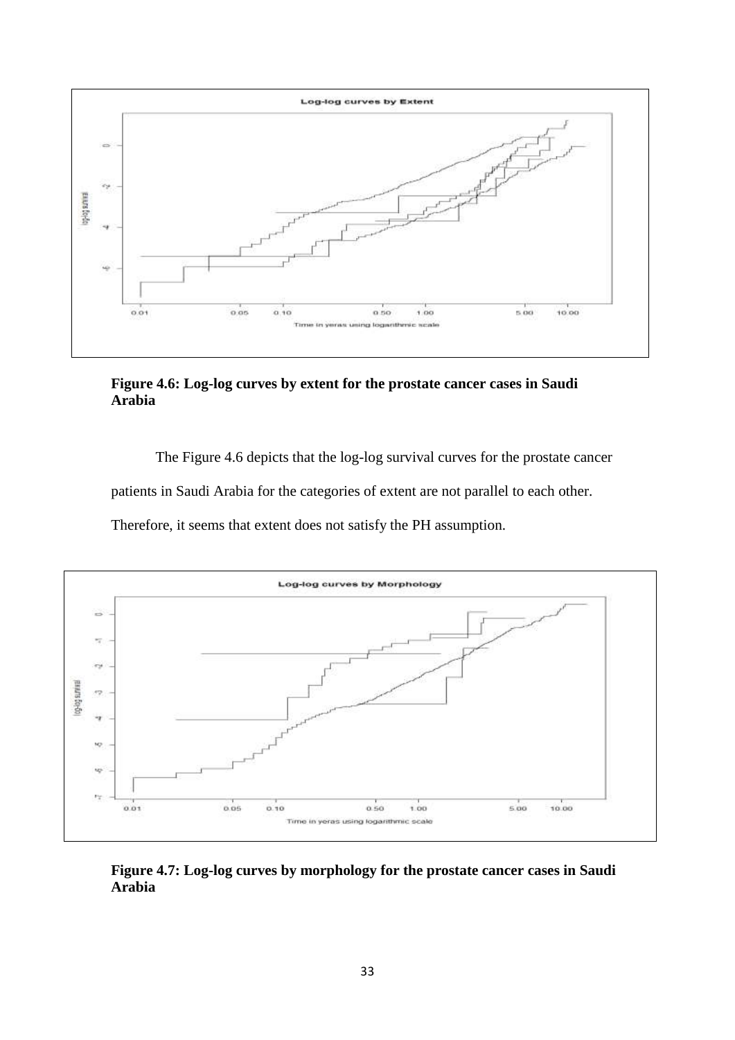

**Figure 4.6: Log-log curves by extent for the prostate cancer cases in Saudi Arabia**

The Figure 4.6 depicts that the log-log survival curves for the prostate cancer

patients in Saudi Arabia for the categories of extent are not parallel to each other.

Therefore, it seems that extent does not satisfy the PH assumption.



**Figure 4.7: Log-log curves by morphology for the prostate cancer cases in Saudi Arabia**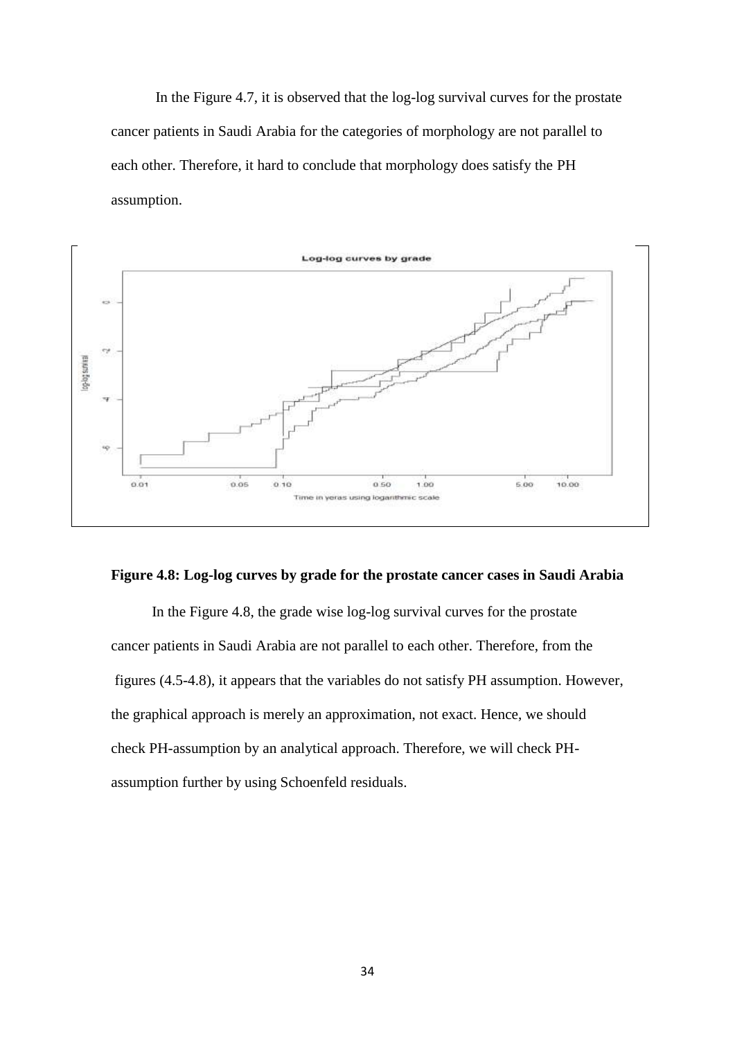In the Figure 4.7, it is observed that the log-log survival curves for the prostate cancer patients in Saudi Arabia for the categories of morphology are not parallel to each other. Therefore, it hard to conclude that morphology does satisfy the PH assumption.



#### **Figure 4.8: Log-log curves by grade for the prostate cancer cases in Saudi Arabia**

 In the Figure 4.8, the grade wise log-log survival curves for the prostate cancer patients in Saudi Arabia are not parallel to each other. Therefore, from the figures (4.5-4.8), it appears that the variables do not satisfy PH assumption. However, the graphical approach is merely an approximation, not exact. Hence, we should check PH-assumption by an analytical approach. Therefore, we will check PHassumption further by using Schoenfeld residuals.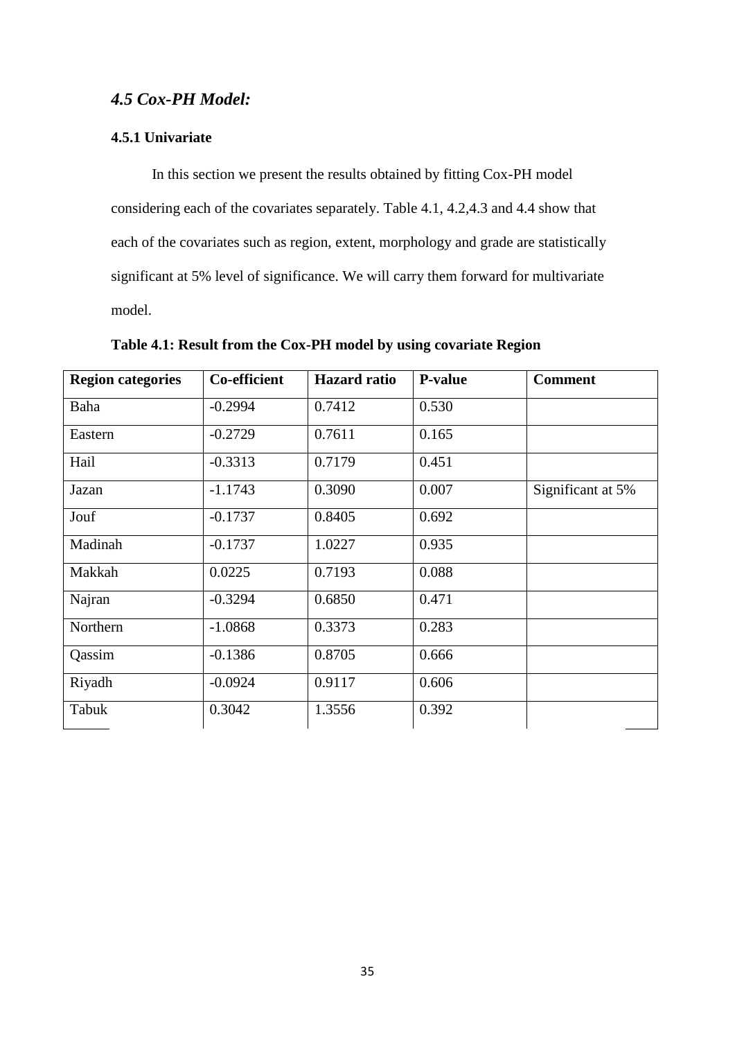### *4.5 Cox-PH Model:*

### **4.5.1 Univariate**

 In this section we present the results obtained by fitting Cox-PH model considering each of the covariates separately. Table 4.1, 4.2,4.3 and 4.4 show that each of the covariates such as region, extent, morphology and grade are statistically significant at 5% level of significance. We will carry them forward for multivariate model.

| <b>Region categories</b> | <b>Co-efficient</b> | <b>Hazard</b> ratio | <b>P-value</b> | <b>Comment</b>    |
|--------------------------|---------------------|---------------------|----------------|-------------------|
| Baha                     | $-0.2994$           | 0.7412              | 0.530          |                   |
| Eastern                  | $-0.2729$           | 0.7611              | 0.165          |                   |
| Hail                     | $-0.3313$           | 0.7179              | 0.451          |                   |
| Jazan                    | $-1.1743$           | 0.3090              | 0.007          | Significant at 5% |
| Jouf                     | $-0.1737$           | 0.8405              | 0.692          |                   |
| Madinah                  | $-0.1737$           | 1.0227              | 0.935          |                   |
| Makkah                   | 0.0225              | 0.7193              | 0.088          |                   |
| Najran                   | $-0.3294$           | 0.6850              | 0.471          |                   |
| Northern                 | $-1.0868$           | 0.3373              | 0.283          |                   |
| Qassim                   | $-0.1386$           | 0.8705              | 0.666          |                   |
| Riyadh                   | $-0.0924$           | 0.9117              | 0.606          |                   |
| Tabuk                    | 0.3042              | 1.3556              | 0.392          |                   |

**Table 4.1: Result from the Cox-PH model by using covariate Region**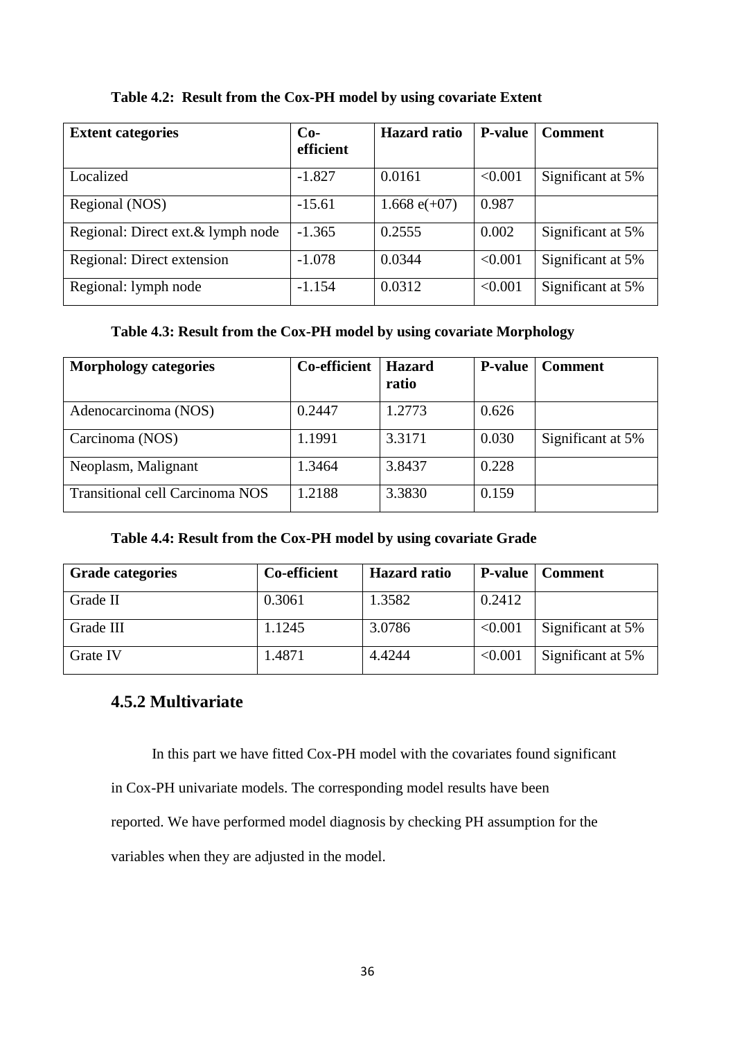| <b>Extent categories</b>           | $Co-$<br>efficient | <b>Hazard</b> ratio | <b>P-value</b> | <b>Comment</b>    |
|------------------------------------|--------------------|---------------------|----------------|-------------------|
| Localized                          | $-1.827$           | 0.0161              | < 0.001        | Significant at 5% |
| Regional (NOS)                     | $-15.61$           | 1.668 $e(+07)$      | 0.987          |                   |
| Regional: Direct ext. & lymph node | $-1.365$           | 0.2555              | 0.002          | Significant at 5% |
| Regional: Direct extension         | $-1.078$           | 0.0344              | < 0.001        | Significant at 5% |
| Regional: lymph node               | $-1.154$           | 0.0312              | < 0.001        | Significant at 5% |

**Table 4.2: Result from the Cox-PH model by using covariate Extent**

### **Table 4.3: Result from the Cox-PH model by using covariate Morphology**

| <b>Morphology categories</b>    | Co-efficient | <b>Hazard</b><br>ratio | <b>P-value</b> | <b>Comment</b>    |
|---------------------------------|--------------|------------------------|----------------|-------------------|
| Adenocarcinoma (NOS)            | 0.2447       | 1.2773                 | 0.626          |                   |
| Carcinoma (NOS)                 | 1.1991       | 3.3171                 | 0.030          | Significant at 5% |
| Neoplasm, Malignant             | 1.3464       | 3.8437                 | 0.228          |                   |
| Transitional cell Carcinoma NOS | 1.2188       | 3.3830                 | 0.159          |                   |

### **Table 4.4: Result from the Cox-PH model by using covariate Grade**

| <b>Grade categories</b> | Co-efficient | <b>Hazard</b> ratio |         | <b>P-value</b>   Comment |
|-------------------------|--------------|---------------------|---------|--------------------------|
| Grade II                | 0.3061       | 1.3582              | 0.2412  |                          |
| Grade III               | 1.1245       | 3.0786              | < 0.001 | Significant at 5%        |
| <b>Grate IV</b>         | 1.4871       | 4.4244              | < 0.001 | Significant at 5%        |

### **4.5.2 Multivariate**

In this part we have fitted Cox-PH model with the covariates found significant

in Cox-PH univariate models. The corresponding model results have been

reported. We have performed model diagnosis by checking PH assumption for the

variables when they are adjusted in the model.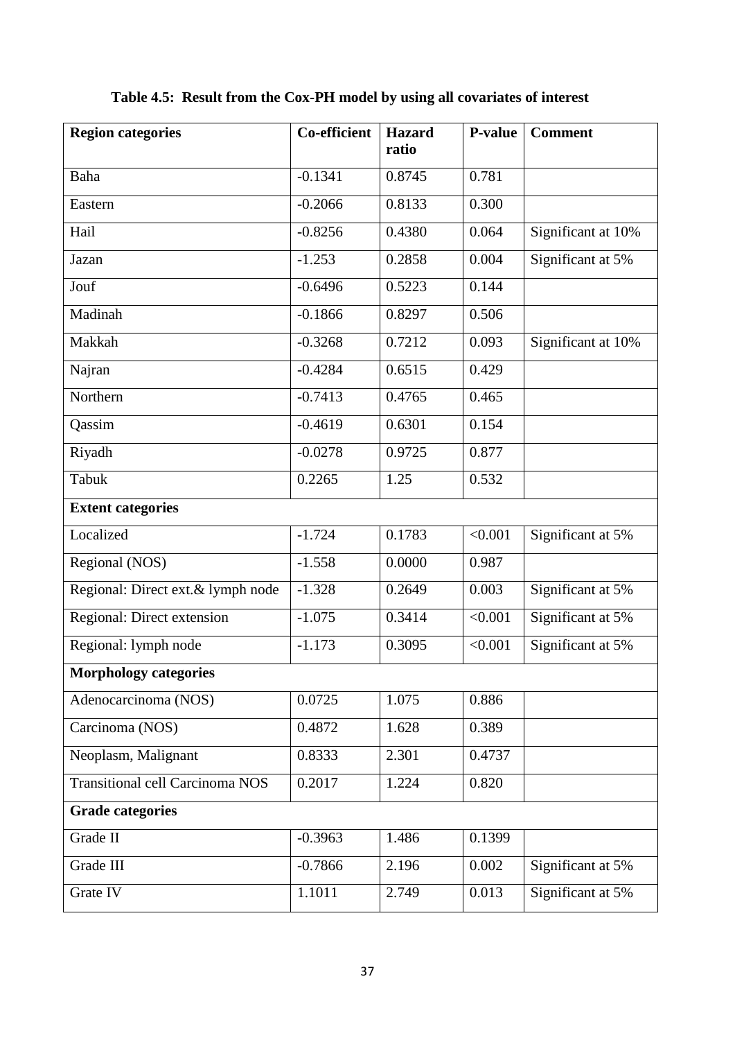| <b>Region categories</b>               | $\overline{\text{Co}}$ -efficient | <b>Hazard</b><br>ratio | <b>P-value</b> | <b>Comment</b>     |
|----------------------------------------|-----------------------------------|------------------------|----------------|--------------------|
| Baha                                   | $-0.1341$                         | 0.8745                 | 0.781          |                    |
| Eastern                                | $-0.2066$                         | 0.8133                 | 0.300          |                    |
| Hail                                   | $-0.8256$                         | 0.4380                 | 0.064          | Significant at 10% |
| Jazan                                  | $-1.253$                          | 0.2858                 | 0.004          | Significant at 5%  |
| Jouf                                   | $-0.6496$                         | 0.5223                 | 0.144          |                    |
| Madinah                                | $-0.1866$                         | 0.8297                 | 0.506          |                    |
| Makkah                                 | $-0.3268$                         | 0.7212                 | 0.093          | Significant at 10% |
| Najran                                 | $-0.4284$                         | 0.6515                 | 0.429          |                    |
| Northern                               | $-0.7413$                         | 0.4765                 | 0.465          |                    |
| Qassim                                 | $-0.4619$                         | 0.6301                 | 0.154          |                    |
| Riyadh                                 | $-0.0278$                         | 0.9725                 | 0.877          |                    |
| Tabuk                                  | 0.2265                            | 1.25                   | 0.532          |                    |
| <b>Extent categories</b>               |                                   |                        |                |                    |
| Localized                              | $-1.724$                          | 0.1783                 | < 0.001        | Significant at 5%  |
| Regional (NOS)                         | $-1.558$                          | 0.0000                 | 0.987          |                    |
| Regional: Direct ext.& lymph node      | $-1.328$                          | 0.2649                 | 0.003          | Significant at 5%  |
| Regional: Direct extension             | $-1.075$                          | 0.3414                 | < 0.001        | Significant at 5%  |
| Regional: lymph node                   | $-1.173$                          | 0.3095                 | < 0.001        | Significant at 5%  |
| <b>Morphology categories</b>           |                                   |                        |                |                    |
| Adenocarcinoma (NOS)                   | 0.0725                            | 1.075                  | 0.886          |                    |
| Carcinoma (NOS)                        | 0.4872                            | 1.628                  | 0.389          |                    |
| Neoplasm, Malignant                    | 0.8333                            | 2.301                  | 0.4737         |                    |
| <b>Transitional cell Carcinoma NOS</b> | 0.2017                            | 1.224                  | 0.820          |                    |
| <b>Grade categories</b>                |                                   |                        |                |                    |
| Grade II                               | $-0.3963$                         | 1.486                  | 0.1399         |                    |
| Grade III                              | $-0.7866$                         | 2.196                  | 0.002          | Significant at 5%  |
| Grate IV                               | 1.1011                            | 2.749                  | 0.013          | Significant at 5%  |

**Table 4.5: Result from the Cox-PH model by using all covariates of interest**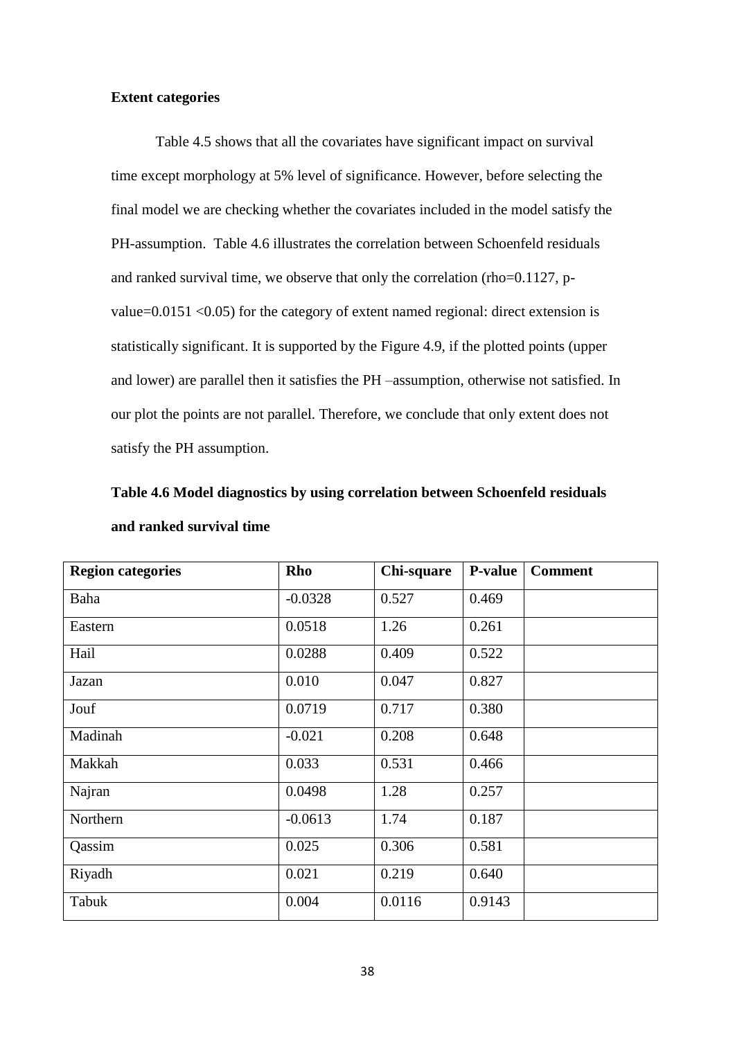### **Extent categories**

Table 4.5 shows that all the covariates have significant impact on survival time except morphology at 5% level of significance. However, before selecting the final model we are checking whether the covariates included in the model satisfy the PH-assumption. Table 4.6 illustrates the correlation between Schoenfeld residuals and ranked survival time, we observe that only the correlation (rho=0.1127, pvalue=0.0151 <0.05) for the category of extent named regional: direct extension is statistically significant. It is supported by the Figure 4.9, if the plotted points (upper and lower) are parallel then it satisfies the PH –assumption, otherwise not satisfied. In our plot the points are not parallel. Therefore, we conclude that only extent does not satisfy the PH assumption.

| Table 4.6 Model diagnostics by using correlation between Schoenfeld residuals |  |  |
|-------------------------------------------------------------------------------|--|--|
| and ranked survival time                                                      |  |  |

| <b>Region categories</b> | Rho       | Chi-square | <b>P-value</b> | <b>Comment</b> |
|--------------------------|-----------|------------|----------------|----------------|
| Baha                     | $-0.0328$ | 0.527      | 0.469          |                |
| Eastern                  | 0.0518    | 1.26       | 0.261          |                |
| Hail                     | 0.0288    | 0.409      | 0.522          |                |
| Jazan                    | 0.010     | 0.047      | 0.827          |                |
| Jouf                     | 0.0719    | 0.717      | 0.380          |                |
| Madinah                  | $-0.021$  | 0.208      | 0.648          |                |
| Makkah                   | 0.033     | 0.531      | 0.466          |                |
| Najran                   | 0.0498    | 1.28       | 0.257          |                |
| Northern                 | $-0.0613$ | 1.74       | 0.187          |                |
| Qassim                   | 0.025     | 0.306      | 0.581          |                |
| Riyadh                   | 0.021     | 0.219      | 0.640          |                |
| Tabuk                    | 0.004     | 0.0116     | 0.9143         |                |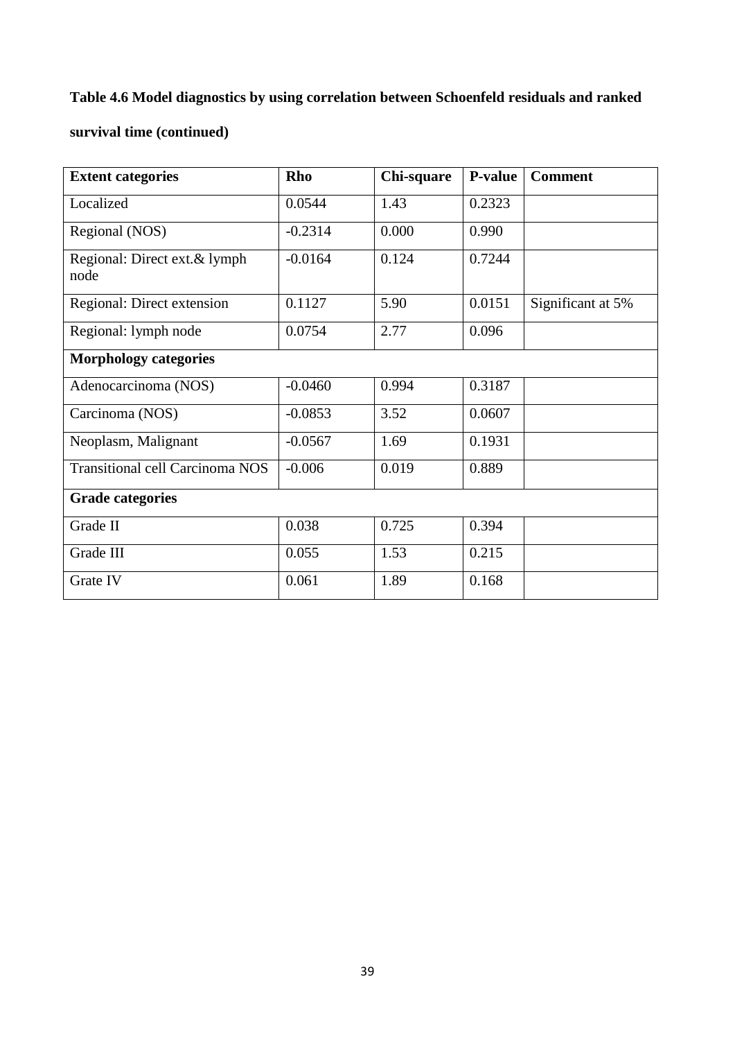### **Table 4.6 Model diagnostics by using correlation between Schoenfeld residuals and ranked**

### **survival time (continued)**

| <b>Extent categories</b>               | Rho       | Chi-square | P-value | <b>Comment</b>    |
|----------------------------------------|-----------|------------|---------|-------------------|
| Localized                              | 0.0544    | 1.43       | 0.2323  |                   |
| Regional (NOS)                         | $-0.2314$ | 0.000      | 0.990   |                   |
| Regional: Direct ext.& lymph<br>node   | $-0.0164$ | 0.124      | 0.7244  |                   |
| Regional: Direct extension             | 0.1127    | 5.90       | 0.0151  | Significant at 5% |
| Regional: lymph node                   | 0.0754    | 2.77       | 0.096   |                   |
| <b>Morphology categories</b>           |           |            |         |                   |
| Adenocarcinoma (NOS)                   | $-0.0460$ | 0.994      | 0.3187  |                   |
| Carcinoma (NOS)                        | $-0.0853$ | 3.52       | 0.0607  |                   |
| Neoplasm, Malignant                    | $-0.0567$ | 1.69       | 0.1931  |                   |
| <b>Transitional cell Carcinoma NOS</b> | $-0.006$  | 0.019      | 0.889   |                   |
| <b>Grade categories</b>                |           |            |         |                   |
| Grade II                               | 0.038     | 0.725      | 0.394   |                   |
| Grade III                              | 0.055     | 1.53       | 0.215   |                   |
| Grate IV                               | 0.061     | 1.89       | 0.168   |                   |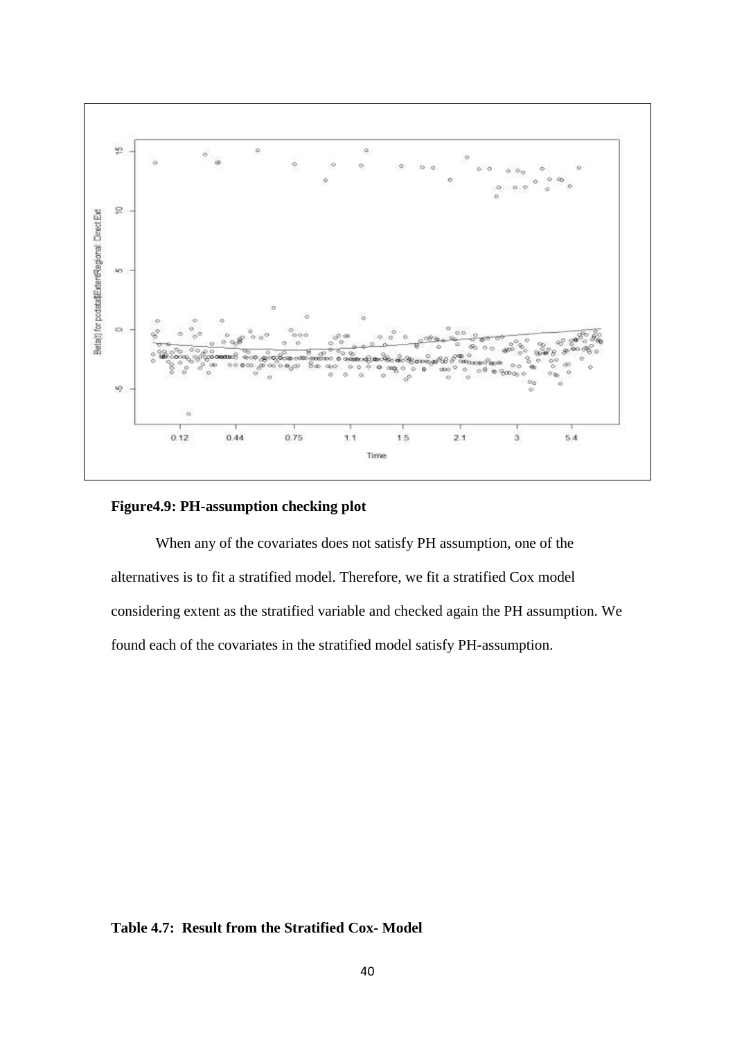

#### **Figure4.9: PH-assumption checking plot**

When any of the covariates does not satisfy PH assumption, one of the alternatives is to fit a stratified model. Therefore, we fit a stratified Cox model considering extent as the stratified variable and checked again the PH assumption. We found each of the covariates in the stratified model satisfy PH-assumption.

### **Table 4.7: Result from the Stratified Cox- Model**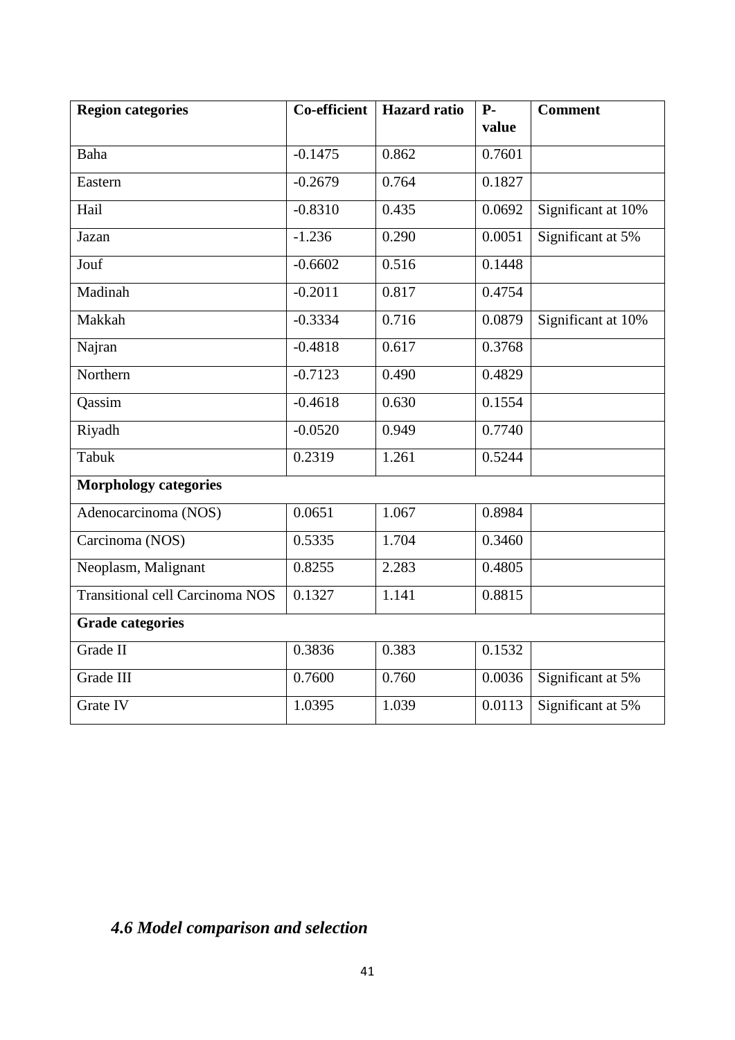| <b>Region categories</b>               | $\overline{\text{Co}}$ -efficient | <b>Hazard</b> ratio | $P-$<br>value       | <b>Comment</b>     |
|----------------------------------------|-----------------------------------|---------------------|---------------------|--------------------|
|                                        |                                   |                     |                     |                    |
| Baha                                   | $-0.1475$                         | 0.862               | 0.7601              |                    |
| Eastern                                | $-0.2679$                         | 0.764               | 0.1827              |                    |
| Hail                                   | $-0.8310$                         | 0.435               | 0.0692              | Significant at 10% |
| Jazan                                  | $-1.236$                          | 0.290               | $0.005\overline{1}$ | Significant at 5%  |
| Jouf                                   | $-0.6602$                         | 0.516               | 0.1448              |                    |
| Madinah                                | $-0.2011$                         | 0.817               | 0.4754              |                    |
| Makkah                                 | $-0.3334$                         | 0.716               | 0.0879              | Significant at 10% |
| Najran                                 | $-0.4818$                         | 0.617               | 0.3768              |                    |
| Northern                               | $-0.7123$                         | 0.490               | 0.4829              |                    |
| Qassim                                 | $-0.4618$                         | 0.630               | 0.1554              |                    |
| Riyadh                                 | $-0.0520$                         | 0.949               | 0.7740              |                    |
| Tabuk                                  | 0.2319                            | 1.261               | 0.5244              |                    |
| <b>Morphology categories</b>           |                                   |                     |                     |                    |
| Adenocarcinoma (NOS)                   | 0.0651                            | 1.067               | 0.8984              |                    |
| Carcinoma (NOS)                        | 0.5335                            | 1.704               | 0.3460              |                    |
| Neoplasm, Malignant                    | 0.8255                            | 2.283               | 0.4805              |                    |
| <b>Transitional cell Carcinoma NOS</b> | 0.1327                            | 1.141               | 0.8815              |                    |
| <b>Grade categories</b>                |                                   |                     |                     |                    |
| Grade II                               | 0.3836                            | 0.383               | 0.1532              |                    |
| Grade III                              | 0.7600                            | 0.760               | 0.0036              | Significant at 5%  |
| Grate IV                               | 1.0395                            | 1.039               | 0.0113              | Significant at 5%  |

### *4.6 Model comparison and selection*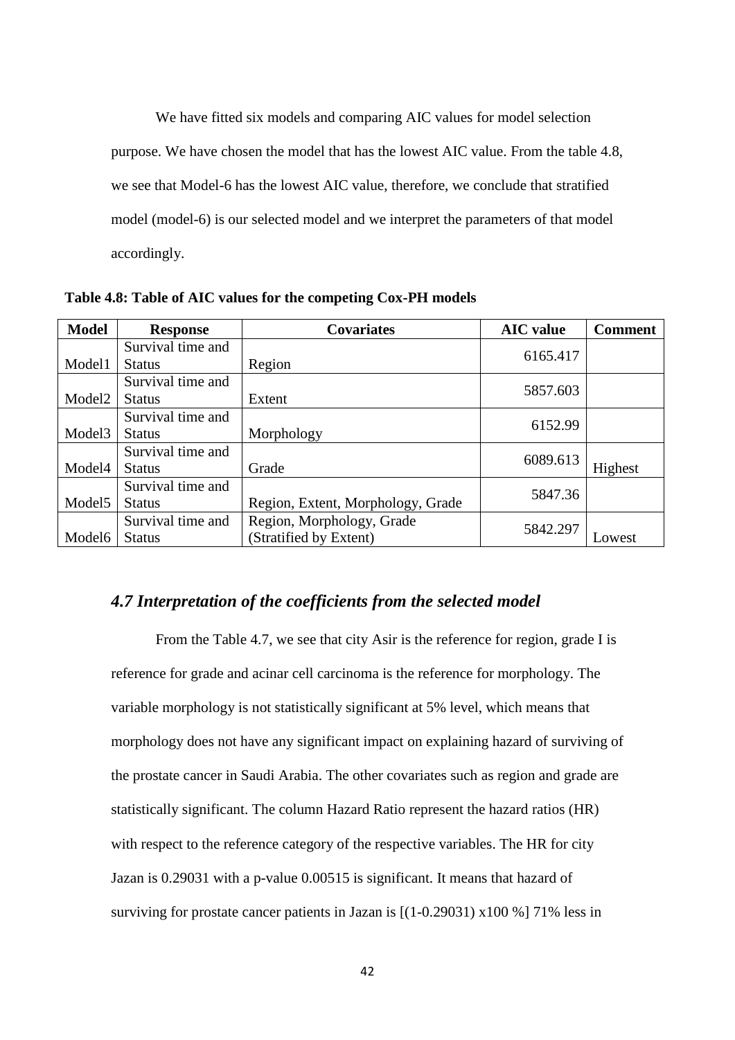We have fitted six models and comparing AIC values for model selection purpose. We have chosen the model that has the lowest AIC value. From the table 4.8, we see that Model-6 has the lowest AIC value, therefore, we conclude that stratified model (model-6) is our selected model and we interpret the parameters of that model accordingly.

| <b>Model</b>       | <b>Response</b>   | <b>Covariates</b>                 | <b>AIC</b> value | <b>Comment</b> |
|--------------------|-------------------|-----------------------------------|------------------|----------------|
|                    | Survival time and |                                   | 6165.417         |                |
| Model1             | <b>Status</b>     | Region                            |                  |                |
|                    | Survival time and |                                   | 5857.603         |                |
| Model <sub>2</sub> | <b>Status</b>     | Extent                            |                  |                |
|                    | Survival time and |                                   | 6152.99          |                |
| Model <sub>3</sub> | <b>Status</b>     | Morphology                        |                  |                |
|                    | Survival time and |                                   | 6089.613         |                |
| Model4             | <b>Status</b>     | Grade                             |                  | Highest        |
|                    | Survival time and |                                   | 5847.36          |                |
| Model <sub>5</sub> | <b>Status</b>     | Region, Extent, Morphology, Grade |                  |                |
|                    | Survival time and | Region, Morphology, Grade         |                  |                |
| Model <sub>6</sub> | <b>Status</b>     | (Stratified by Extent)            | 5842.297         | Lowest         |

**Table 4.8: Table of AIC values for the competing Cox-PH models**

### *4.7 Interpretation of the coefficients from the selected model*

From the Table 4.7, we see that city Asir is the reference for region, grade I is reference for grade and acinar cell carcinoma is the reference for morphology. The variable morphology is not statistically significant at 5% level, which means that morphology does not have any significant impact on explaining hazard of surviving of the prostate cancer in Saudi Arabia. The other covariates such as region and grade are statistically significant. The column Hazard Ratio represent the hazard ratios (HR) with respect to the reference category of the respective variables. The HR for city Jazan is 0.29031 with a p-value 0.00515 is significant. It means that hazard of surviving for prostate cancer patients in Jazan is  $[(1-0.29031) \times 100 \times 71 \times 100$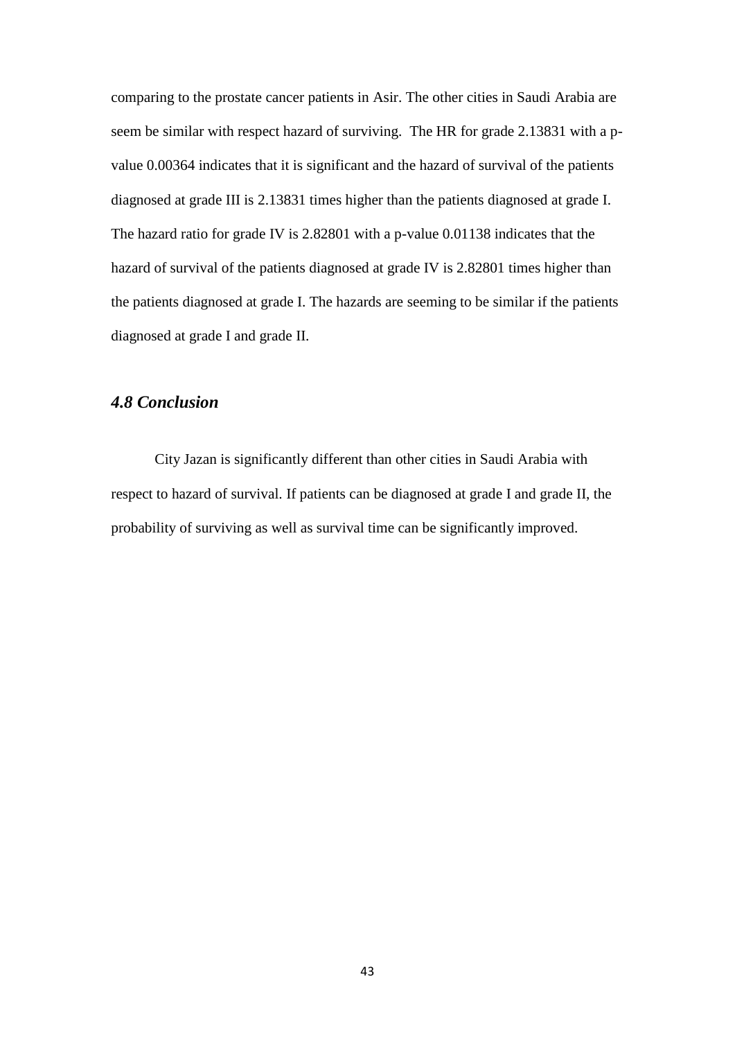comparing to the prostate cancer patients in Asir. The other cities in Saudi Arabia are seem be similar with respect hazard of surviving. The HR for grade 2.13831 with a pvalue 0.00364 indicates that it is significant and the hazard of survival of the patients diagnosed at grade III is 2.13831 times higher than the patients diagnosed at grade I. The hazard ratio for grade IV is 2.82801 with a p-value 0.01138 indicates that the hazard of survival of the patients diagnosed at grade IV is 2.82801 times higher than the patients diagnosed at grade I. The hazards are seeming to be similar if the patients diagnosed at grade I and grade II.

### *4.8 Conclusion*

City Jazan is significantly different than other cities in Saudi Arabia with respect to hazard of survival. If patients can be diagnosed at grade I and grade II, the probability of surviving as well as survival time can be significantly improved.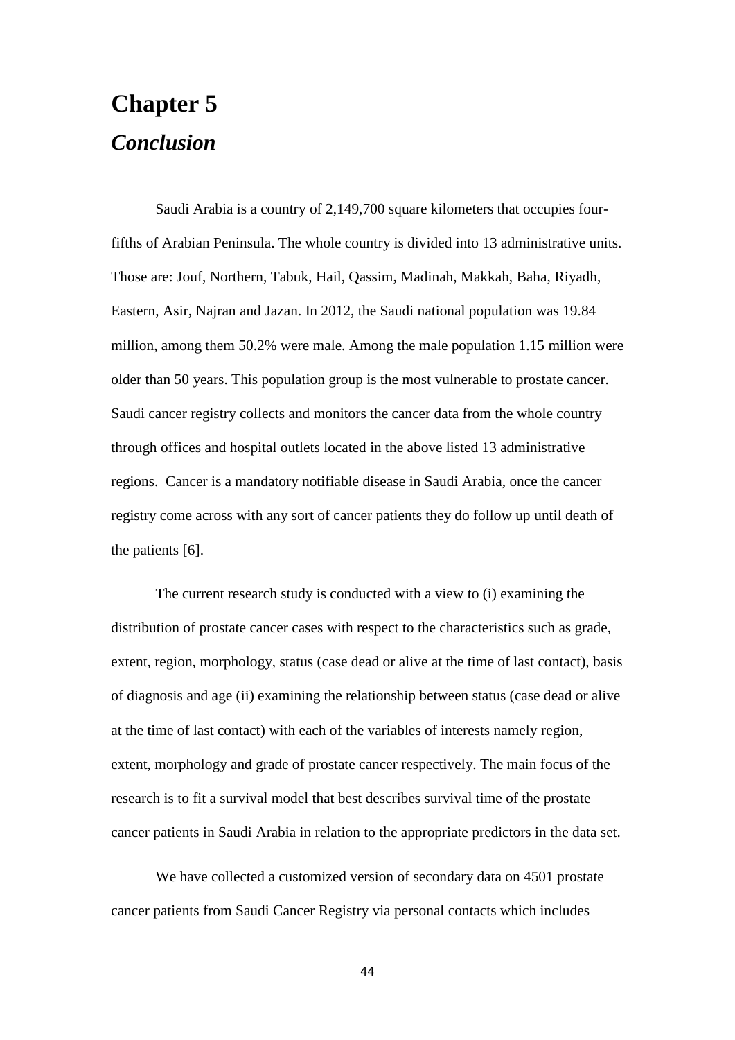# **Chapter 5** *Conclusion*

Saudi Arabia is a country of 2,149,700 square kilometers that occupies fourfifths of Arabian Peninsula. The whole country is divided into 13 administrative units. Those are: Jouf, Northern, Tabuk, Hail, Qassim, Madinah, Makkah, Baha, Riyadh, Eastern, Asir, Najran and Jazan. In 2012, the Saudi national population was 19.84 million, among them 50.2% were male. Among the male population 1.15 million were older than 50 years. This population group is the most vulnerable to prostate cancer. Saudi cancer registry collects and monitors the cancer data from the whole country through offices and hospital outlets located in the above listed 13 administrative regions. Cancer is a mandatory notifiable disease in Saudi Arabia, once the cancer registry come across with any sort of cancer patients they do follow up until death of the patients [6].

The current research study is conducted with a view to (i) examining the distribution of prostate cancer cases with respect to the characteristics such as grade, extent, region, morphology, status (case dead or alive at the time of last contact), basis of diagnosis and age (ii) examining the relationship between status (case dead or alive at the time of last contact) with each of the variables of interests namely region, extent, morphology and grade of prostate cancer respectively. The main focus of the research is to fit a survival model that best describes survival time of the prostate cancer patients in Saudi Arabia in relation to the appropriate predictors in the data set.

We have collected a customized version of secondary data on 4501 prostate cancer patients from Saudi Cancer Registry via personal contacts which includes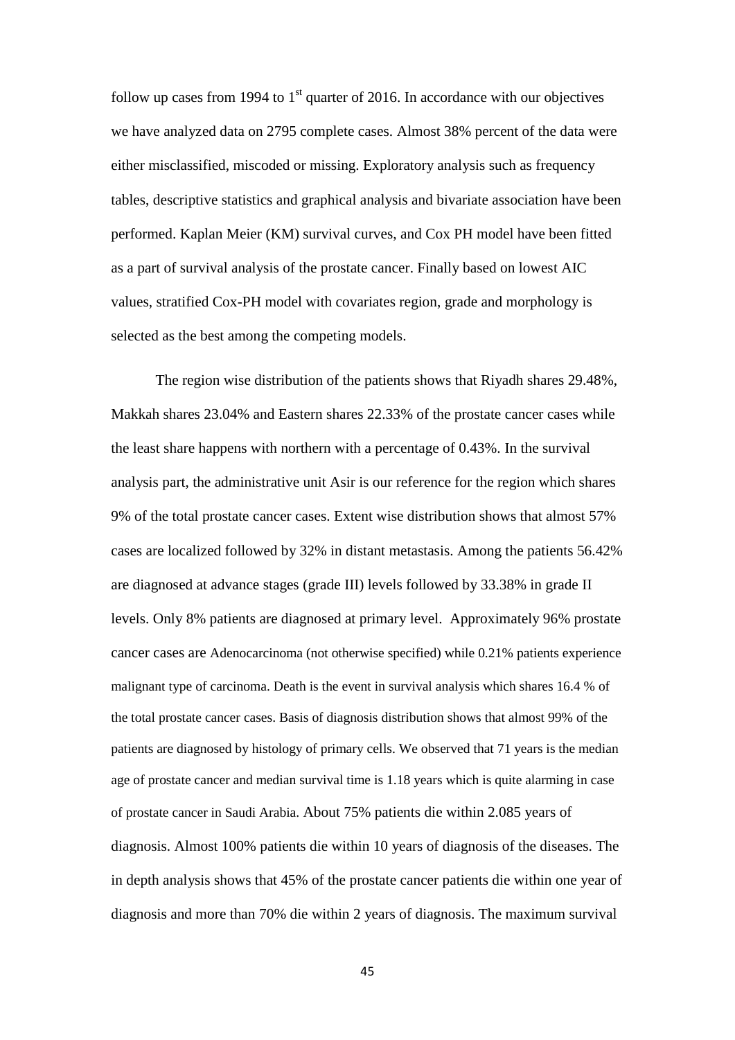follow up cases from 1994 to  $1<sup>st</sup>$  quarter of 2016. In accordance with our objectives we have analyzed data on 2795 complete cases. Almost 38% percent of the data were either misclassified, miscoded or missing. Exploratory analysis such as frequency tables, descriptive statistics and graphical analysis and bivariate association have been performed. Kaplan Meier (KM) survival curves, and Cox PH model have been fitted as a part of survival analysis of the prostate cancer. Finally based on lowest AIC values, stratified Cox-PH model with covariates region, grade and morphology is selected as the best among the competing models.

The region wise distribution of the patients shows that Riyadh shares 29.48%, Makkah shares 23.04% and Eastern shares 22.33% of the prostate cancer cases while the least share happens with northern with a percentage of 0.43%. In the survival analysis part, the administrative unit Asir is our reference for the region which shares 9% of the total prostate cancer cases. Extent wise distribution shows that almost 57% cases are localized followed by 32% in distant metastasis. Among the patients 56.42% are diagnosed at advance stages (grade III) levels followed by 33.38% in grade II levels. Only 8% patients are diagnosed at primary level. Approximately 96% prostate cancer cases are Adenocarcinoma (not otherwise specified) while 0.21% patients experience malignant type of carcinoma. Death is the event in survival analysis which shares 16.4 % of the total prostate cancer cases. Basis of diagnosis distribution shows that almost 99% of the patients are diagnosed by histology of primary cells. We observed that 71 years is the median age of prostate cancer and median survival time is 1.18 years which is quite alarming in case of prostate cancer in Saudi Arabia. About 75% patients die within 2.085 years of diagnosis. Almost 100% patients die within 10 years of diagnosis of the diseases. The in depth analysis shows that 45% of the prostate cancer patients die within one year of diagnosis and more than 70% die within 2 years of diagnosis. The maximum survival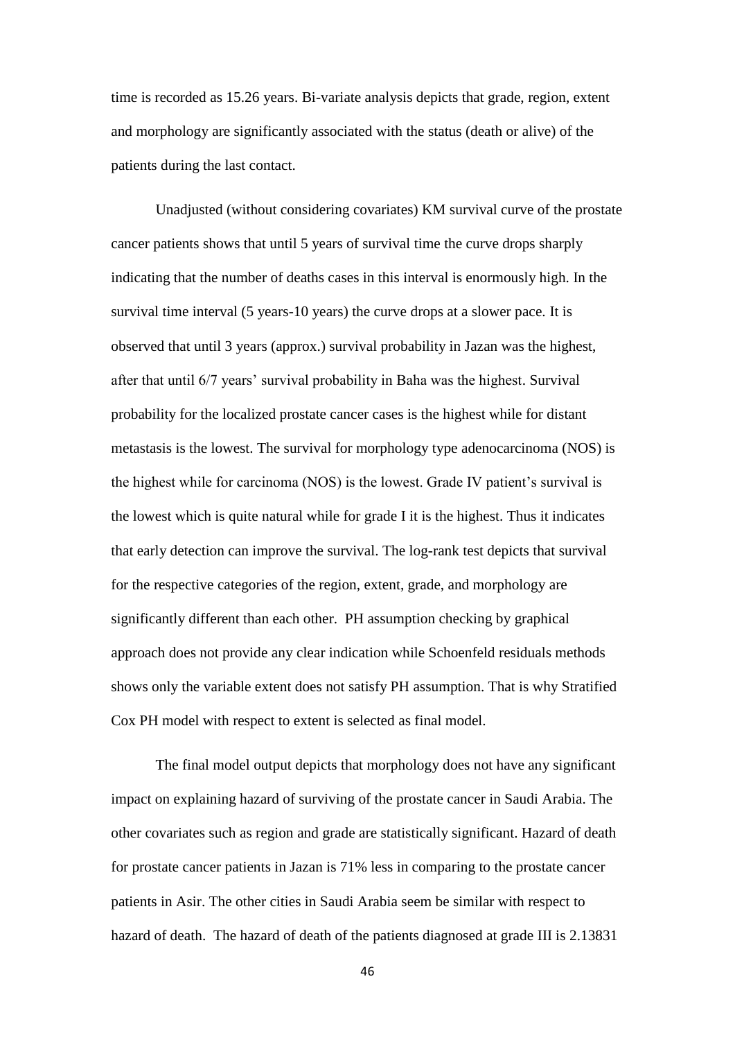time is recorded as 15.26 years. Bi-variate analysis depicts that grade, region, extent and morphology are significantly associated with the status (death or alive) of the patients during the last contact.

Unadjusted (without considering covariates) KM survival curve of the prostate cancer patients shows that until 5 years of survival time the curve drops sharply indicating that the number of deaths cases in this interval is enormously high. In the survival time interval (5 years-10 years) the curve drops at a slower pace. It is observed that until 3 years (approx.) survival probability in Jazan was the highest, after that until 6/7 years' survival probability in Baha was the highest. Survival probability for the localized prostate cancer cases is the highest while for distant metastasis is the lowest. The survival for morphology type adenocarcinoma (NOS) is the highest while for carcinoma (NOS) is the lowest. Grade IV patient's survival is the lowest which is quite natural while for grade I it is the highest. Thus it indicates that early detection can improve the survival. The log-rank test depicts that survival for the respective categories of the region, extent, grade, and morphology are significantly different than each other. PH assumption checking by graphical approach does not provide any clear indication while Schoenfeld residuals methods shows only the variable extent does not satisfy PH assumption. That is why Stratified Cox PH model with respect to extent is selected as final model.

The final model output depicts that morphology does not have any significant impact on explaining hazard of surviving of the prostate cancer in Saudi Arabia. The other covariates such as region and grade are statistically significant. Hazard of death for prostate cancer patients in Jazan is 71% less in comparing to the prostate cancer patients in Asir. The other cities in Saudi Arabia seem be similar with respect to hazard of death. The hazard of death of the patients diagnosed at grade III is 2.13831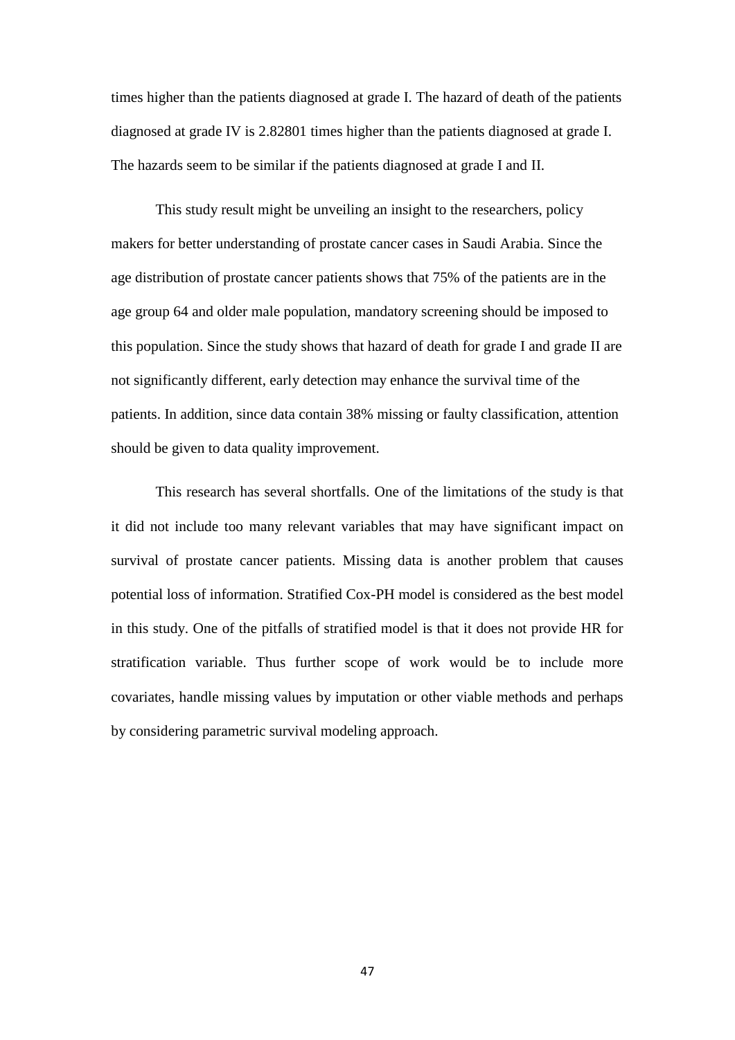times higher than the patients diagnosed at grade I. The hazard of death of the patients diagnosed at grade IV is 2.82801 times higher than the patients diagnosed at grade I. The hazards seem to be similar if the patients diagnosed at grade I and II.

This study result might be unveiling an insight to the researchers, policy makers for better understanding of prostate cancer cases in Saudi Arabia. Since the age distribution of prostate cancer patients shows that 75% of the patients are in the age group 64 and older male population, mandatory screening should be imposed to this population. Since the study shows that hazard of death for grade I and grade II are not significantly different, early detection may enhance the survival time of the patients. In addition, since data contain 38% missing or faulty classification, attention should be given to data quality improvement.

This research has several shortfalls. One of the limitations of the study is that it did not include too many relevant variables that may have significant impact on survival of prostate cancer patients. Missing data is another problem that causes potential loss of information. Stratified Cox-PH model is considered as the best model in this study. One of the pitfalls of stratified model is that it does not provide HR for stratification variable. Thus further scope of work would be to include more covariates, handle missing values by imputation or other viable methods and perhaps by considering parametric survival modeling approach.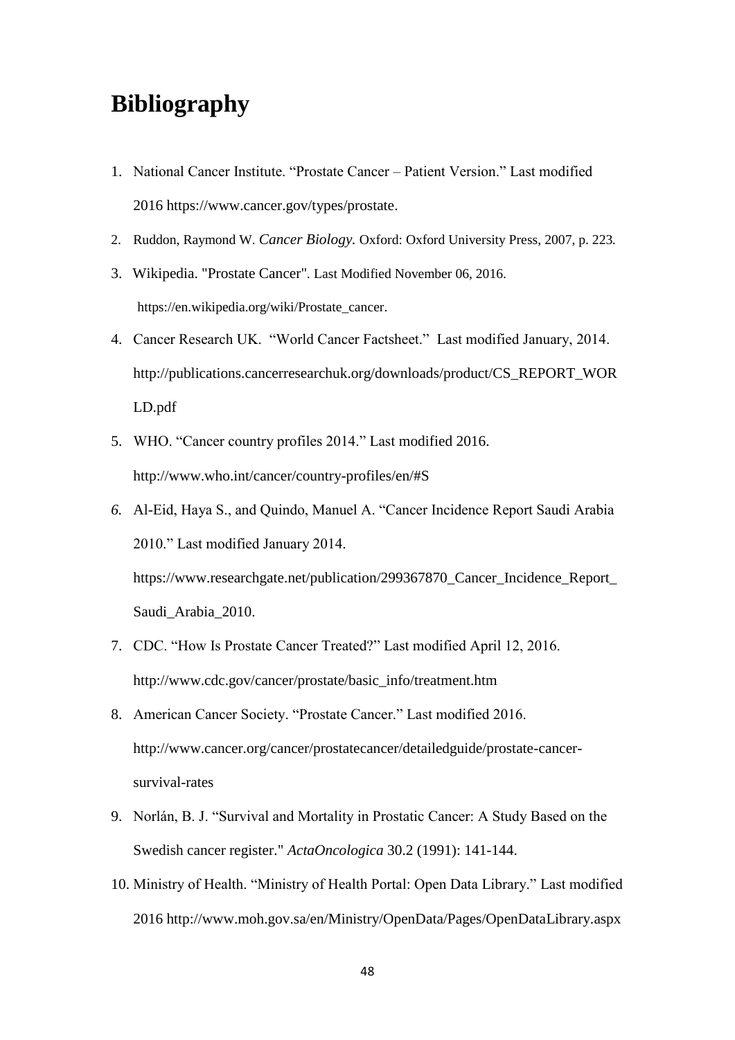# **Bibliography**

- 1. National Cancer Institute. "Prostate Cancer Patient Version." Last modified 2016 https://www.cancer.gov/types/prostate.
- 2. Ruddon, Raymond W. *Cancer Biology.* Oxford: Oxford University Press, 2007, p. 223*.*
- 3. Wikipedia. "Prostate Cancer"*.* Last Modified November 06, 2016. https://en.wikipedia.org/wiki/Prostate\_cancer.
- 4. Cancer Research UK. "World Cancer Factsheet." Last modified January, 2014. http://publications.cancerresearchuk.org/downloads/product/CS\_REPORT\_WOR LD.pdf
- 5. WHO. "Cancer country profiles 2014." Last modified 2016. http://www.who.int/cancer/country-profiles/en/#S
- *6.* Al-Eid, Haya S., and Quindo, Manuel A. "Cancer Incidence Report Saudi Arabia 2010." Last modified January 2014. https://www.researchgate.net/publication/299367870\_Cancer\_Incidence\_Report Saudi\_Arabia\_2010.
- 7. CDC. "How Is Prostate Cancer Treated?" Last modified April 12, 2016. http://www.cdc.gov/cancer/prostate/basic\_info/treatment.htm
- 8. American Cancer Society. "Prostate Cancer." Last modified 2016. http://www.cancer.org/cancer/prostatecancer/detailedguide/prostate-cancersurvival-rates
- 9. Norlán, B. J. "Survival and Mortality in Prostatic Cancer: A Study Based on the Swedish cancer register." *ActaOncologica* 30.2 (1991): 141-144.
- 10. Ministry of Health. "Ministry of Health Portal: Open Data Library." Last modified 2016 http://www.moh.gov.sa/en/Ministry/OpenData/Pages/OpenDataLibrary.aspx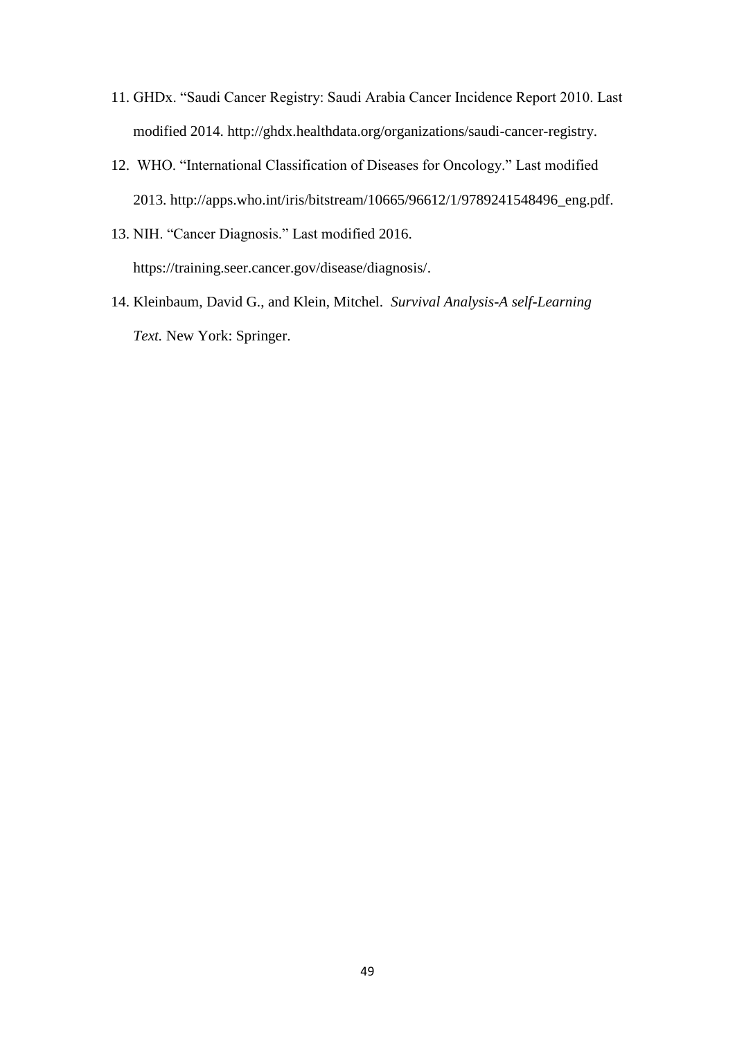- 11. GHDx. "Saudi Cancer Registry: Saudi Arabia Cancer Incidence Report 2010. Last modified 2014. http://ghdx.healthdata.org/organizations/saudi-cancer-registry.
- 12. WHO. "International Classification of Diseases for Oncology." Last modified 2013. http://apps.who.int/iris/bitstream/10665/96612/1/9789241548496\_eng.pdf.
- 13. NIH. "Cancer Diagnosis." Last modified 2016. https://training.seer.cancer.gov/disease/diagnosis/.
- 14. Kleinbaum, David G., and Klein, Mitchel. *Survival Analysis-A self-Learning Text.* New York: Springer.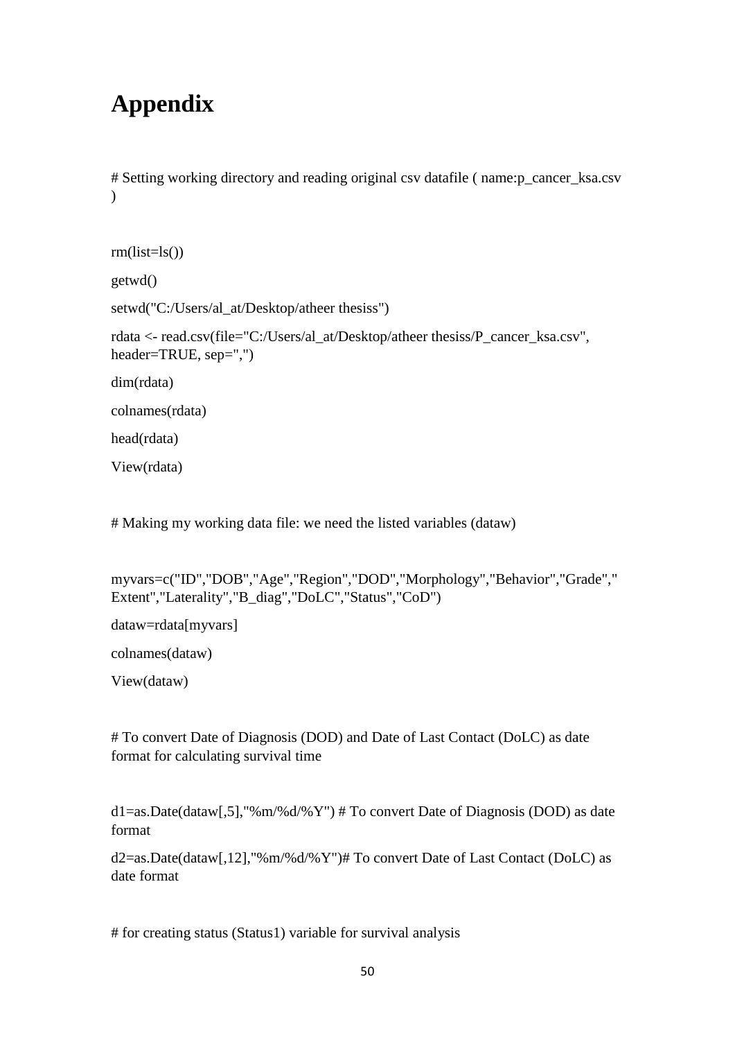# **Appendix**

# Setting working directory and reading original csv datafile ( name:p\_cancer\_ksa.csv )

```
rm(list=ls())getwd()
setwd("C:/Users/al_at/Desktop/atheer thesiss")
rdata <- read.csv(file="C:/Users/al_at/Desktop/atheer thesiss/P_cancer_ksa.csv", 
header=TRUE, sep=",")
dim(rdata)
colnames(rdata)
head(rdata)
View(rdata)
```
# Making my working data file: we need the listed variables (dataw)

myvars=c("ID","DOB","Age","Region","DOD","Morphology","Behavior","Grade"," Extent","Laterality","B\_diag","DoLC","Status","CoD")

dataw=rdata[myvars]

colnames(dataw)

View(dataw)

# To convert Date of Diagnosis (DOD) and Date of Last Contact (DoLC) as date format for calculating survival time

d1=as.Date(dataw[,5],"%m/%d/%Y") # To convert Date of Diagnosis (DOD) as date format

d2=as.Date(dataw[,12],"%m/%d/%Y")# To convert Date of Last Contact (DoLC) as date format

# for creating status (Status1) variable for survival analysis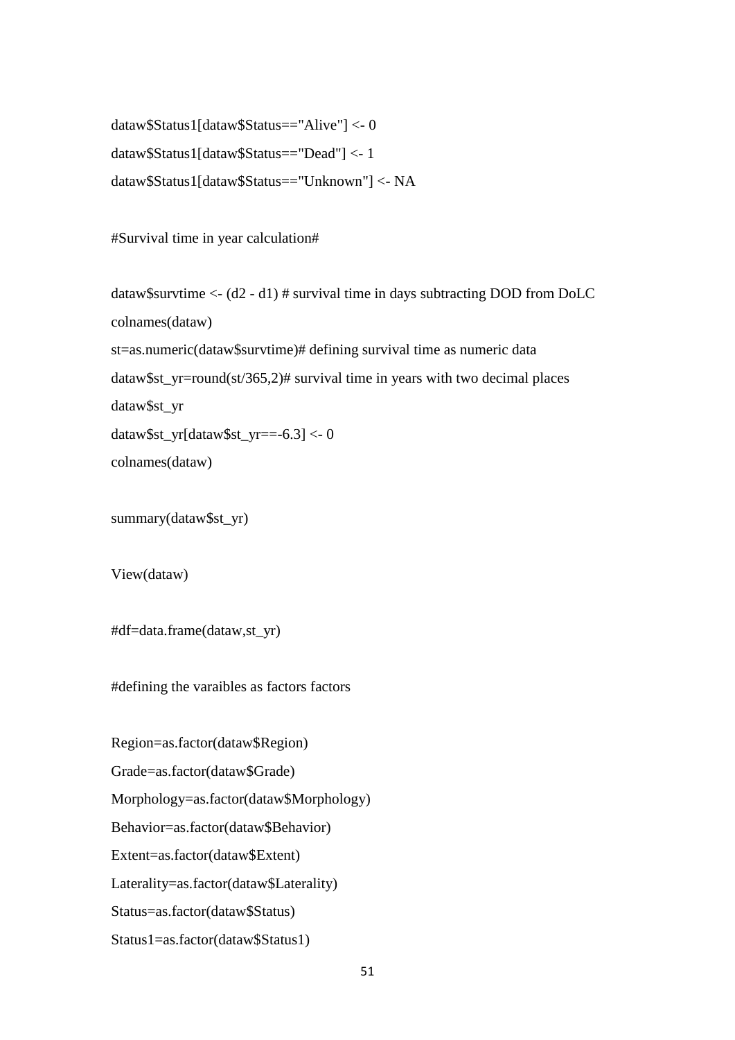dataw\$Status1[dataw\$Status=="Alive"] <- 0 dataw\$Status1[dataw\$Status=="Dead"] <- 1 dataw\$Status1[dataw\$Status=="Unknown"] <- NA

#Survival time in year calculation#

dataw\$survtime <- (d2 - d1) # survival time in days subtracting DOD from DoLC colnames(dataw) st=as.numeric(dataw\$survtime)# defining survival time as numeric data dataw\$st\_yr=round(st/365,2)# survival time in years with two decimal places dataw\$st\_yr dataw\$st\_yr[dataw\$st\_yr==-6.3] <- 0 colnames(dataw)

summary(dataw\$st\_yr)

View(dataw)

#df=data.frame(dataw,st\_yr)

#defining the varaibles as factors factors

Region=as.factor(dataw\$Region) Grade=as.factor(dataw\$Grade) Morphology=as.factor(dataw\$Morphology) Behavior=as.factor(dataw\$Behavior) Extent=as.factor(dataw\$Extent) Laterality=as.factor(dataw\$Laterality) Status=as.factor(dataw\$Status) Status1=as.factor(dataw\$Status1)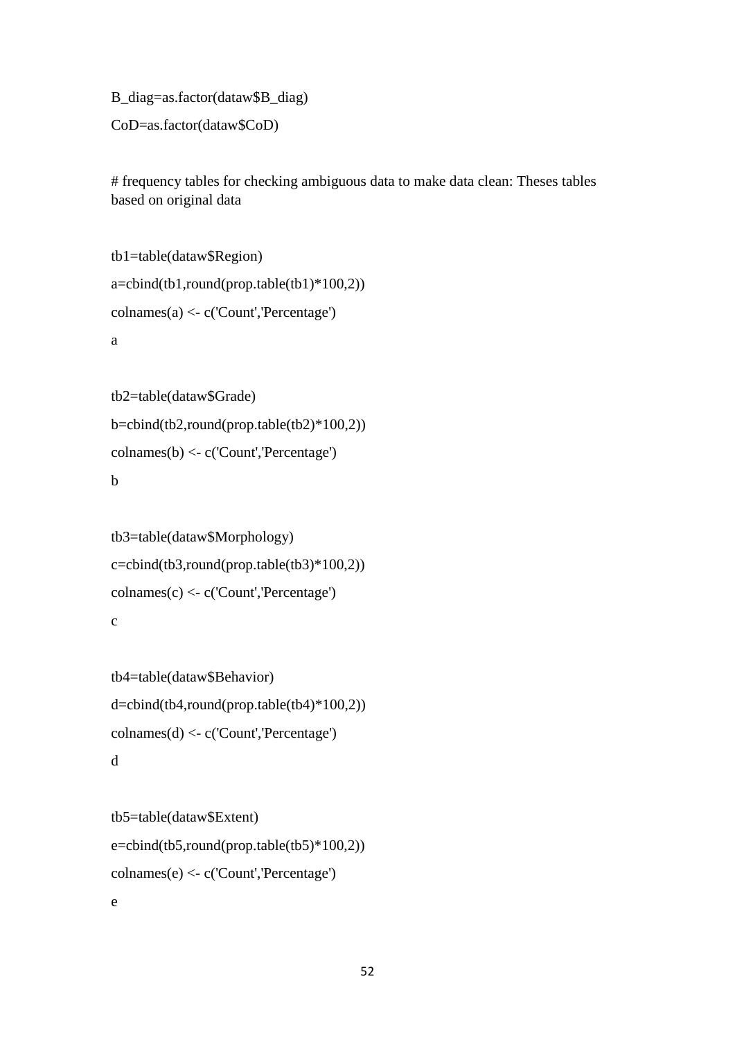```
B_diag=as.factor(dataw$B_diag)
```

```
CoD=as.factor(dataw$CoD)
```
# frequency tables for checking ambiguous data to make data clean: Theses tables based on original data

```
tb1=table(dataw$Region)
a = \text{cbind}(\text{tb1}, \text{round}(\text{prop.table}(\text{tb1}) \times 100, 2))collnames(a) < -c('Count', Percentage')a
```

```
tb2=table(dataw$Grade)
b=cbind(tb2,round(prop.table(tb2)*100,2))
colnames(b) <- c('Count','Percentage')
b
```

```
tb3=table(dataw$Morphology)
c = \text{cbind}(\text{tb3}, \text{round}(\text{prop.table}(\text{tb3})^*100, 2))colnames(c) <- c('Count','Percentage')
c
```

```
tb4=table(dataw$Behavior)
d=cbind(tb4,round(prop.table(tb4)*100,2))
colnames(d) <- c('Count','Percentage')
d
```

```
tb5=table(dataw$Extent)
e = \text{cbind}(\text{tb5}, \text{round}(\text{prop.table}(\text{tb5})^*100, 2))colnames(e) <- c('Count','Percentage')
e
```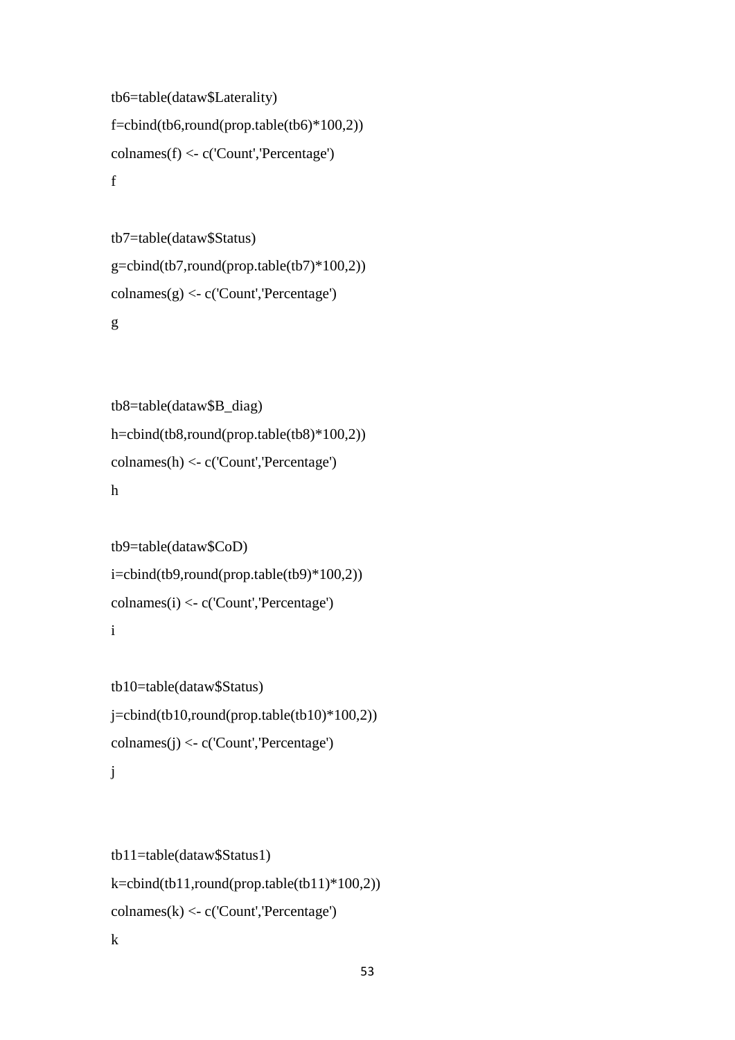```
tb6=table(dataw$Laterality)
f=cbind(tb6,round(prop.table(tb6)*100,2))
colnames(f) <- c('Count','Percentage')
f
```

```
tb7=table(dataw$Status)
g=cbind(tb7, round(prop.table(tb7)*100,2))colnames(g) <- c('Count','Percentage')
g
```

```
tb8=table(dataw$B_diag)
h=cbind(tb8,round(prop.table(tb8)*100,2))
colnames(h) <- c('Count','Percentage')
h
```

```
tb9=table(dataw$CoD)
i=cbind(tb9,round(prop.table(tb9)*100,2))
colnames(i) <- c('Count','Percentage')
i
```

```
tb10=table(dataw$Status)
j=cbind(tb10,round(prop.table(tb10)*100,2))
\text{columns}(i) \leq c('Count', \text{Percentage'})j
```

```
tb11=table(dataw$Status1)
k=cbind(tb11,round(prop.table(tb11)*100,2))
\text{columns}(k) \leq c('Count', \text{Percentage'})
```
k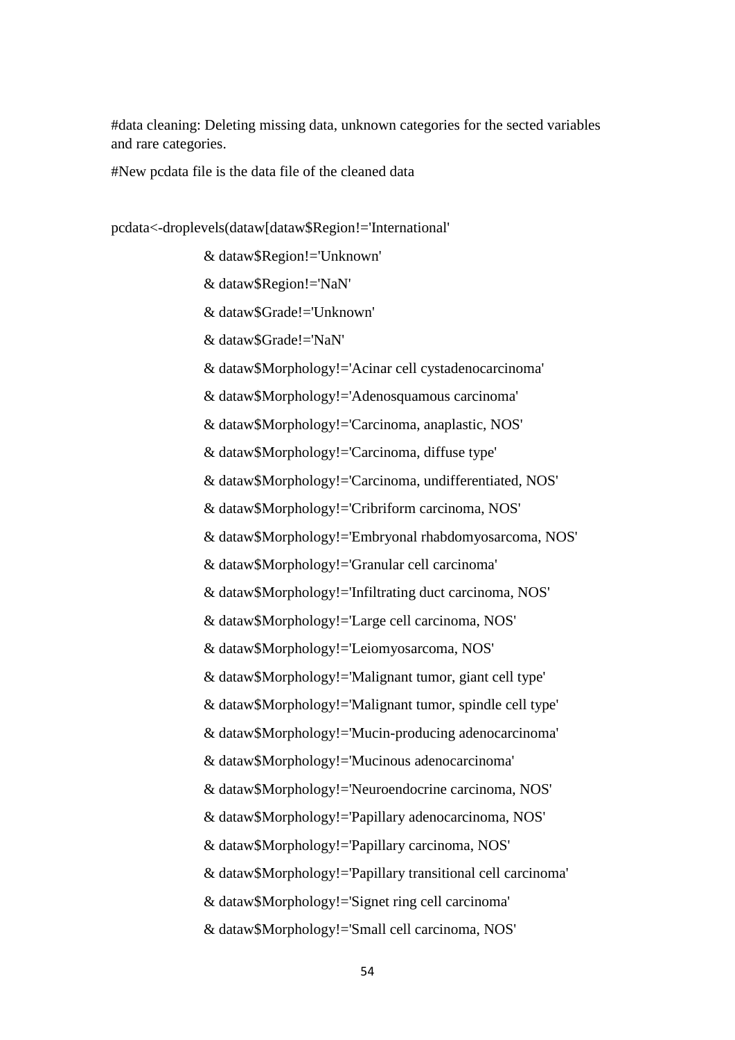#data cleaning: Deleting missing data, unknown categories for the sected variables and rare categories.

#New pcdata file is the data file of the cleaned data

pcdata<-droplevels(dataw[dataw\$Region!='International'

& dataw\$Region!='Unknown'

& dataw\$Region!='NaN'

& dataw\$Grade!='Unknown'

& dataw\$Grade!='NaN'

& dataw\$Morphology!='Acinar cell cystadenocarcinoma'

& dataw\$Morphology!='Adenosquamous carcinoma'

& dataw\$Morphology!='Carcinoma, anaplastic, NOS'

& dataw\$Morphology!='Carcinoma, diffuse type'

& dataw\$Morphology!='Carcinoma, undifferentiated, NOS'

& dataw\$Morphology!='Cribriform carcinoma, NOS'

& dataw\$Morphology!='Embryonal rhabdomyosarcoma, NOS'

& dataw\$Morphology!='Granular cell carcinoma'

& dataw\$Morphology!='Infiltrating duct carcinoma, NOS'

& dataw\$Morphology!='Large cell carcinoma, NOS'

& dataw\$Morphology!='Leiomyosarcoma, NOS'

& dataw\$Morphology!='Malignant tumor, giant cell type'

& dataw\$Morphology!='Malignant tumor, spindle cell type'

& dataw\$Morphology!='Mucin-producing adenocarcinoma'

& dataw\$Morphology!='Mucinous adenocarcinoma'

& dataw\$Morphology!='Neuroendocrine carcinoma, NOS'

& dataw\$Morphology!='Papillary adenocarcinoma, NOS'

& dataw\$Morphology!='Papillary carcinoma, NOS'

& dataw\$Morphology!='Papillary transitional cell carcinoma'

& dataw\$Morphology!='Signet ring cell carcinoma'

& dataw\$Morphology!='Small cell carcinoma, NOS'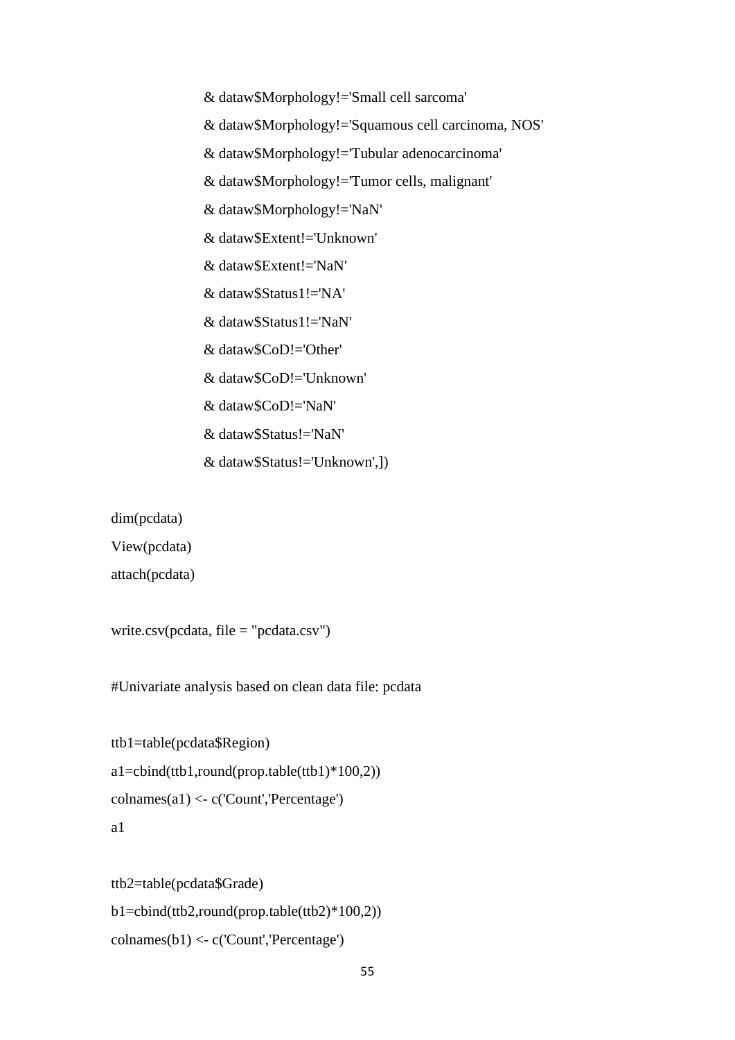& dataw\$Morphology!='Small cell sarcoma' & dataw\$Morphology!='Squamous cell carcinoma, NOS' & dataw\$Morphology!='Tubular adenocarcinoma' & dataw\$Morphology!='Tumor cells, malignant' & dataw\$Morphology!='NaN' & dataw\$Extent!='Unknown' & dataw\$Extent!='NaN' & dataw\$Status1!='NA' & dataw\$Status1!='NaN' & dataw\$CoD!='Other' & dataw\$CoD!='Unknown' & dataw\$CoD!='NaN' & dataw\$Status!='NaN' & dataw\$Status!='Unknown',])

dim(pcdata)

View(pcdata)

attach(pcdata)

```
write.csv(pcdata, file = "pcdata.csv")
```
#Univariate analysis based on clean data file: pcdata

```
ttb1=table(pcdata$Region)
a1=cbind(ttb1,round(prop.table(ttb1)*100,2))
colnames(a1) <- c('Count','Percentage')
a1
```

```
ttb2=table(pcdata$Grade)
b1=cbind(ttb2,round(prop.table(ttb2)*100,2))
colnames(b1) <- c('Count','Percentage')
```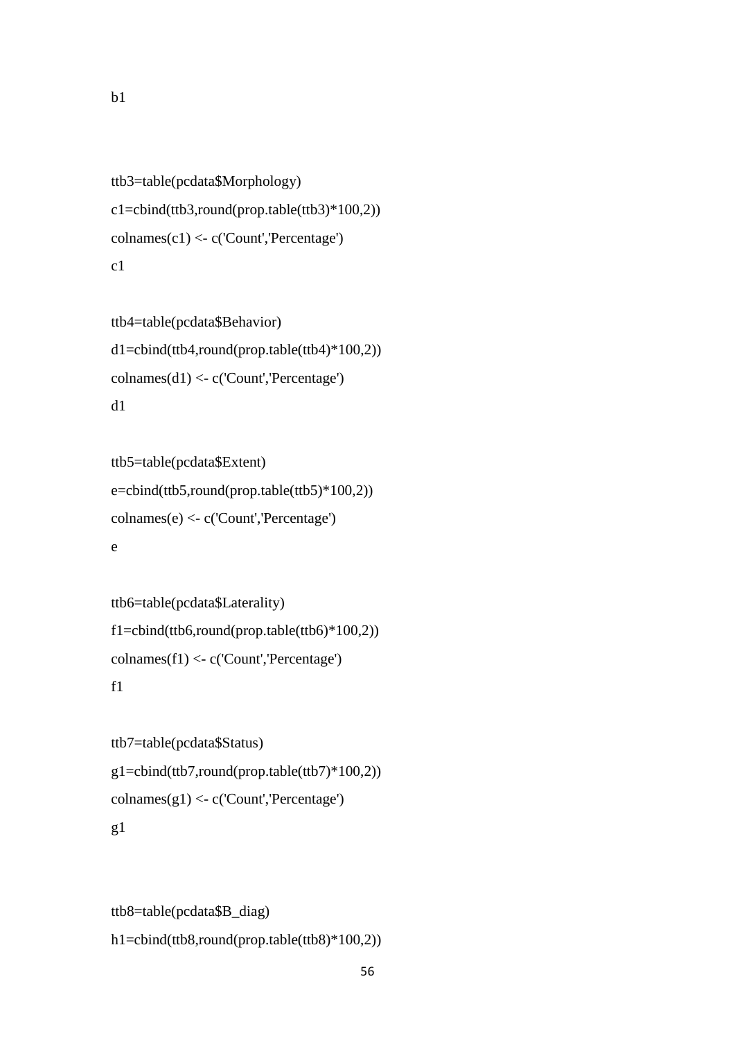```
ttb3=table(pcdata$Morphology)
c1=cbind(ttb3,round(prop.table(ttb3)*100,2))
\text{columns}(c1) \leq c(\text{Count}', \text{Percentage}')c<sub>1</sub>
```

```
ttb4=table(pcdata$Behavior)
d1=cbind(ttb4,round(prop.table(ttb4)*100,2))colnames(d1) <- c('Count','Percentage')
d1
```

```
ttb5=table(pcdata$Extent)
e=cbind(ttb5,round(prop.table(ttb5)*100,2))
colnames(e) <- c('Count','Percentage')
e
```

```
ttb6=table(pcdata$Laterality)
f1=cbind(ttb6, round(prop.table(ttb6)*100,2))\text{conames}(f1) \leq c(\text{Count}',\text{Percentage}')f1
```

```
ttb7=table(pcdata$Status)
g1=cbind(ttb7,round(prop.table(ttb7)*100,2))
\text{colnames}(g1) \leftarrow c('Count', \text{Percentage'})g1
```

```
ttb8=table(pcdata$B_diag)
h1=cbind(ttb8,round(prop.table(ttb8)*100,2))
```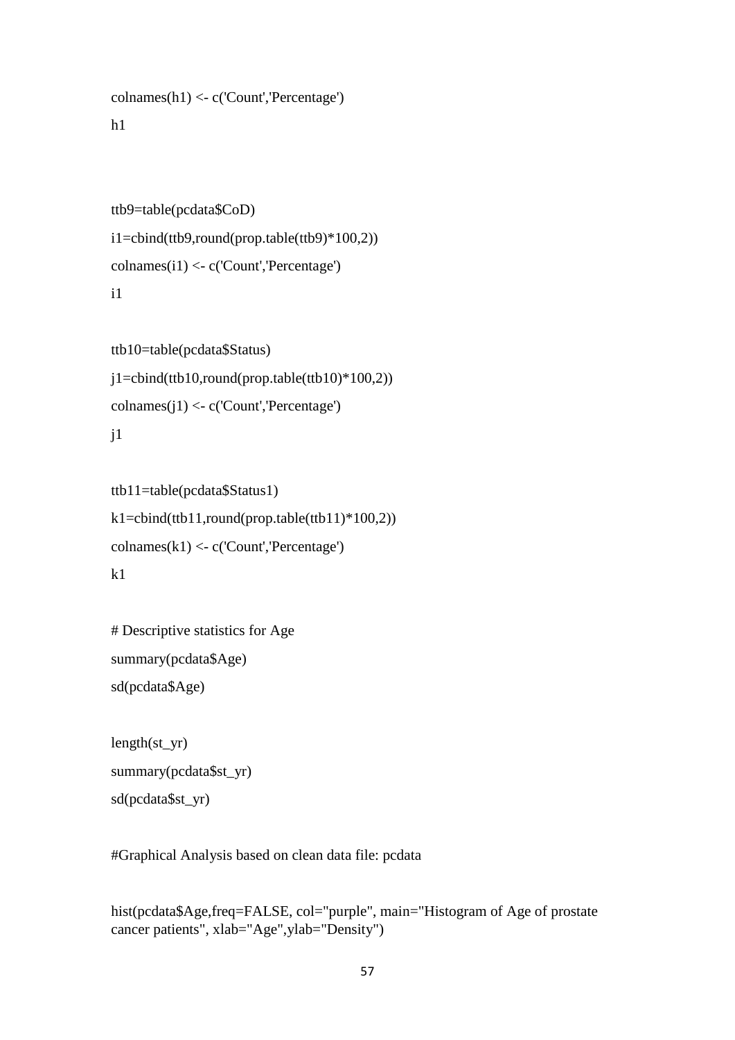```
colnames(h1) <- c('Count','Percentage')
```
### h1

```
ttb9=table(pcdata$CoD)
i1=cbind(ttb9,round(prop.table(ttb9)*100,2))
\text{columns}(i1) \leq c('Count', \text{Percentage'})i1
```

```
ttb10=table(pcdata$Status)
j1=cbind(ttb10,round(prop.table(ttb10)*100,2))collames(i1) < -c('Count', Percentage')i<sub>1</sub>
```

```
ttb11=table(pcdata$Status1)
k1=cbind(ttb11,round(prop.table(ttb11)*100,2))
\text{columns}(k1) \leq c('Count',^\text{Percentage'})k<sub>1</sub>
```

```
# Descriptive statistics for Age
summary(pcdata$Age)
sd(pcdata$Age)
```

```
length(styr)summary(pcdata$st_yr)
sd(pcdata$st_yr)
```
#Graphical Analysis based on clean data file: pcdata

hist(pcdata\$Age,freq=FALSE, col="purple", main="Histogram of Age of prostate cancer patients", xlab="Age",ylab="Density")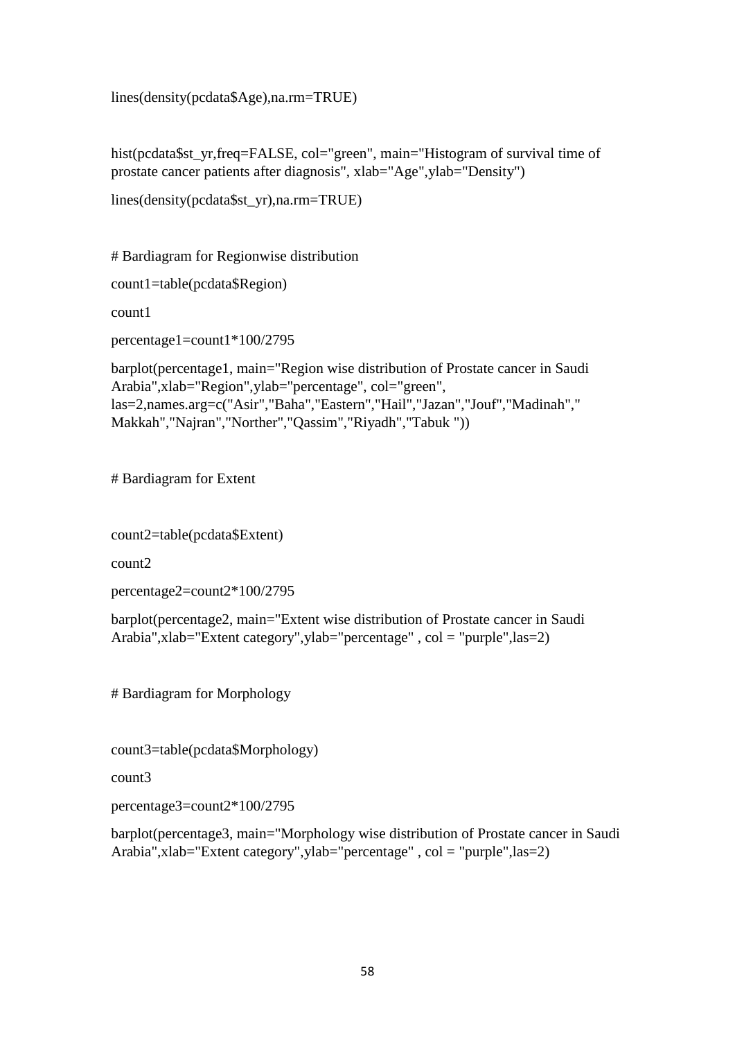lines(density(pcdata\$Age),na.rm=TRUE)

hist(pcdata\$st\_yr,freq=FALSE, col="green", main="Histogram of survival time of prostate cancer patients after diagnosis", xlab="Age",ylab="Density")

```
lines(density(pcdata$st_yr),na.rm=TRUE)
```
# Bardiagram for Regionwise distribution

count1=table(pcdata\$Region)

count1

percentage1=count1\*100/2795

```
barplot(percentage1, main="Region wise distribution of Prostate cancer in Saudi 
Arabia",xlab="Region",ylab="percentage", col="green", 
las=2,names.arg=c("Asir","Baha","Eastern","Hail","Jazan","Jouf","Madinah"," 
Makkah","Najran","Norther","Qassim","Riyadh","Tabuk "))
```
# Bardiagram for Extent

count2=table(pcdata\$Extent)

count2

percentage2=count2\*100/2795

barplot(percentage2, main="Extent wise distribution of Prostate cancer in Saudi Arabia",xlab="Extent category",ylab="percentage" , col = "purple",las=2)

# Bardiagram for Morphology

count3=table(pcdata\$Morphology)

count3

percentage3=count2\*100/2795

barplot(percentage3, main="Morphology wise distribution of Prostate cancer in Saudi Arabia",xlab="Extent category",ylab="percentage" , col = "purple",las=2)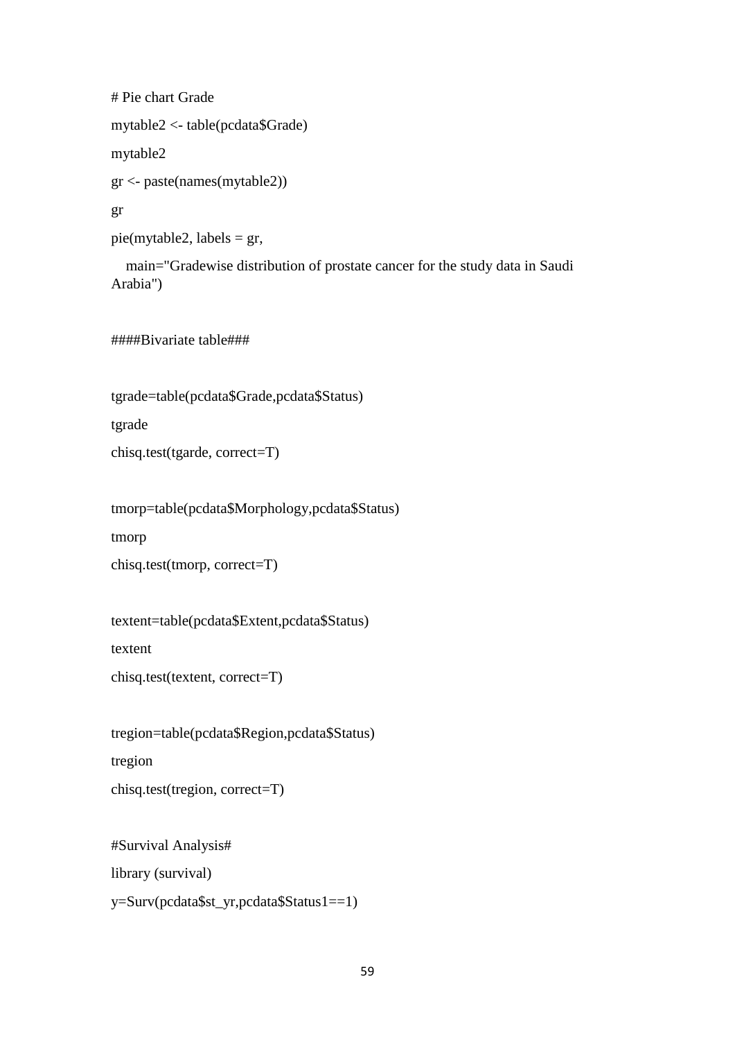# Pie chart Grade mytable2 <- table(pcdata\$Grade) mytable2 gr <- paste(names(mytable2)) gr pie(mytable2, labels = gr,

 main="Gradewise distribution of prostate cancer for the study data in Saudi Arabia")

####Bivariate table###

tgrade=table(pcdata\$Grade,pcdata\$Status)

tgrade

chisq.test(tgarde, correct=T)

tmorp=table(pcdata\$Morphology,pcdata\$Status)

tmorp

```
chisq.test(tmorp, correct=T)
```
textent=table(pcdata\$Extent,pcdata\$Status)

textent

chisq.test(textent, correct=T)

tregion=table(pcdata\$Region,pcdata\$Status)

tregion

```
chisq.test(tregion, correct=T)
```
#Survival Analysis#

library (survival)

y=Surv(pcdata\$st\_yr,pcdata\$Status1==1)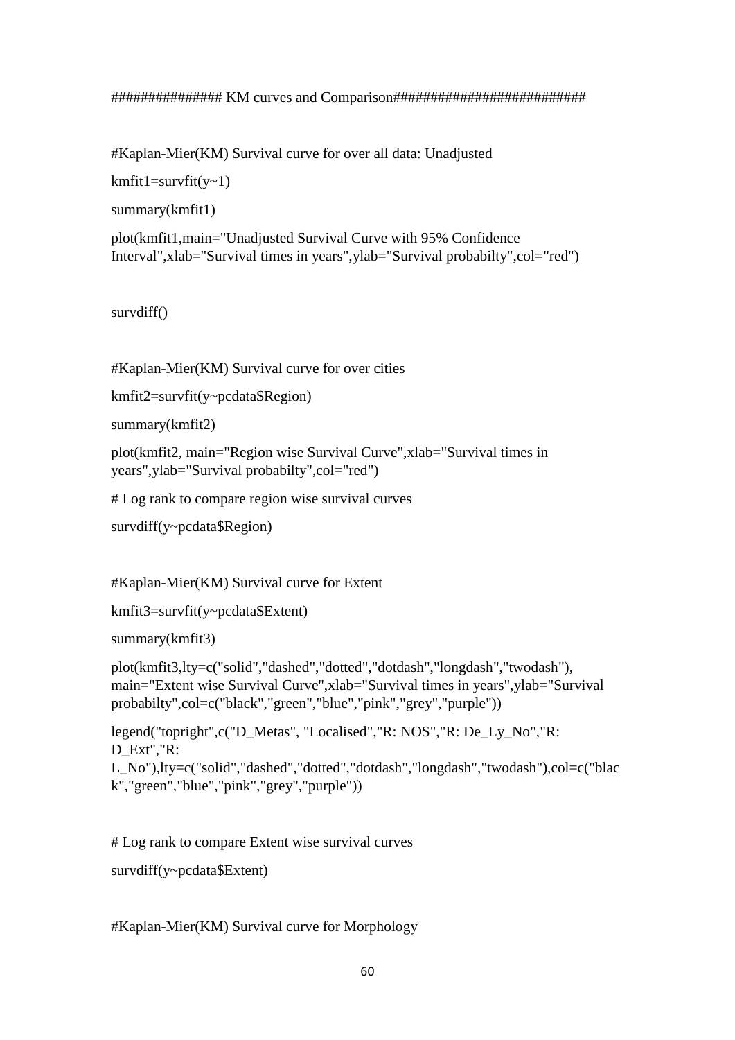```
############### KM curves and Comparison##########################
```
#Kaplan-Mier(KM) Survival curve for over all data: Unadjusted

 $kmfit1=survfit(v~1)$ 

summary(kmfit1)

plot(kmfit1,main="Unadjusted Survival Curve with 95% Confidence Interval",xlab="Survival times in years",ylab="Survival probabilty",col="red")

survdiff()

#Kaplan-Mier(KM) Survival curve for over cities

```
kmfit2=survfit(y~pcdata$Region)
```

```
summary(kmfit2)
```
plot(kmfit2, main="Region wise Survival Curve",xlab="Survival times in years",ylab="Survival probabilty",col="red")

# Log rank to compare region wise survival curves

```
survdiff(y~pcdata$Region)
```
#Kaplan-Mier(KM) Survival curve for Extent

```
kmfit3=survfit(y~pcdata$Extent)
```

```
summary(kmfit3)
```
plot(kmfit3,lty=c("solid","dashed","dotted","dotdash","longdash","twodash"), main="Extent wise Survival Curve",xlab="Survival times in years",ylab="Survival probabilty",col=c("black","green","blue","pink","grey","purple"))

```
legend("topright",c("D_Metas", "Localised","R: NOS","R: De_Ly_No","R: 
D_Ext","R:
L_No"),lty=c("solid","dashed","dotted","dotdash","longdash","twodash"),col=c("blac
```

```
k","green","blue","pink","grey","purple"))
```
# Log rank to compare Extent wise survival curves

```
survdiff(y~pcdata$Extent)
```
#Kaplan-Mier(KM) Survival curve for Morphology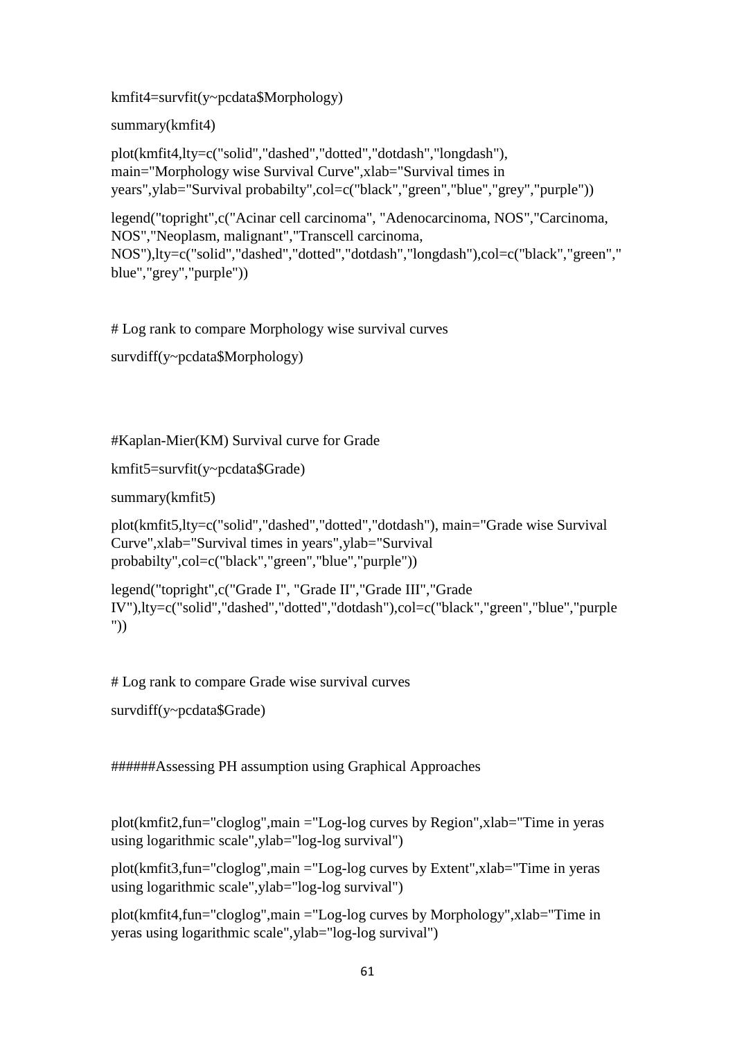kmfit4=survfit(y~pcdata\$Morphology)

summary(kmfit4)

plot(kmfit4,lty=c("solid","dashed","dotted","dotdash","longdash"), main="Morphology wise Survival Curve",xlab="Survival times in years",ylab="Survival probabilty",col=c("black","green","blue","grey","purple"))

legend("topright",c("Acinar cell carcinoma", "Adenocarcinoma, NOS","Carcinoma, NOS","Neoplasm, malignant","Transcell carcinoma, NOS"),lty=c("solid","dashed","dotted","dotdash","longdash"),col=c("black","green"," blue","grey","purple"))

# Log rank to compare Morphology wise survival curves

```
survdiff(y~pcdata$Morphology)
```
#Kaplan-Mier(KM) Survival curve for Grade

```
kmfit5=survfit(y~pcdata$Grade)
```

```
summary(kmfit5)
```
plot(kmfit5,lty=c("solid","dashed","dotted","dotdash"), main="Grade wise Survival Curve",xlab="Survival times in years",ylab="Survival probabilty",col=c("black","green","blue","purple"))

legend("topright",c("Grade I", "Grade II","Grade III","Grade IV"),lty=c("solid","dashed","dotted","dotdash"),col=c("black","green","blue","purple "))

# Log rank to compare Grade wise survival curves

```
survdiff(y~pcdata$Grade)
```
######Assessing PH assumption using Graphical Approaches

plot(kmfit2,fun="cloglog",main ="Log-log curves by Region",xlab="Time in yeras using logarithmic scale",ylab="log-log survival")

plot(kmfit3,fun="cloglog",main ="Log-log curves by Extent",xlab="Time in yeras using logarithmic scale",ylab="log-log survival")

plot(kmfit4,fun="cloglog",main ="Log-log curves by Morphology",xlab="Time in yeras using logarithmic scale",ylab="log-log survival")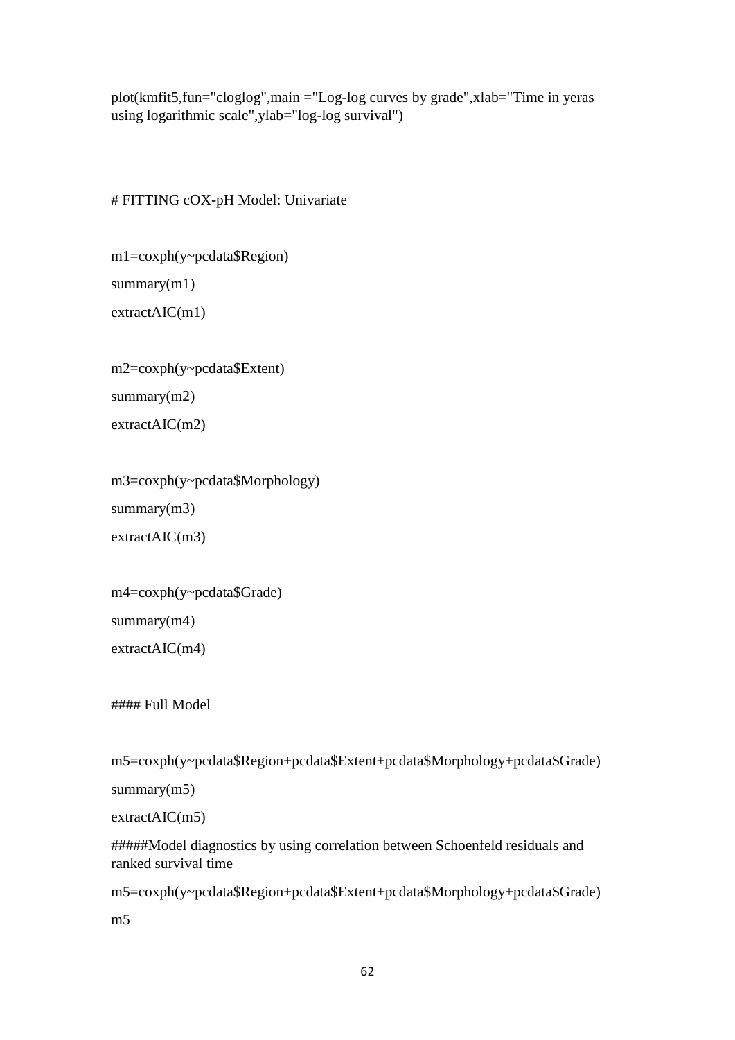plot(kmfit5,fun="cloglog",main ="Log-log curves by grade",xlab="Time in yeras using logarithmic scale",ylab="log-log survival")

### # FITTING cOX-pH Model: Univariate

```
m1=coxph(y~pcdata$Region)
summary(m1)
extractAIC(m1)
```
m2=coxph(y~pcdata\$Extent) summary(m2) extractAIC(m2)

```
m3=coxph(y~pcdata$Morphology)
summary(m3)extractAIC(m3)
```

```
m4=coxph(y~pcdata$Grade)
```
summary(m4)

extractAIC(m4)

#### Full Model

m5=coxph(y~pcdata\$Region+pcdata\$Extent+pcdata\$Morphology+pcdata\$Grade)

summary(m5)

```
extractAIC(m5)
```
#####Model diagnostics by using correlation between Schoenfeld residuals and ranked survival time

m5=coxph(y~pcdata\$Region+pcdata\$Extent+pcdata\$Morphology+pcdata\$Grade)

m5